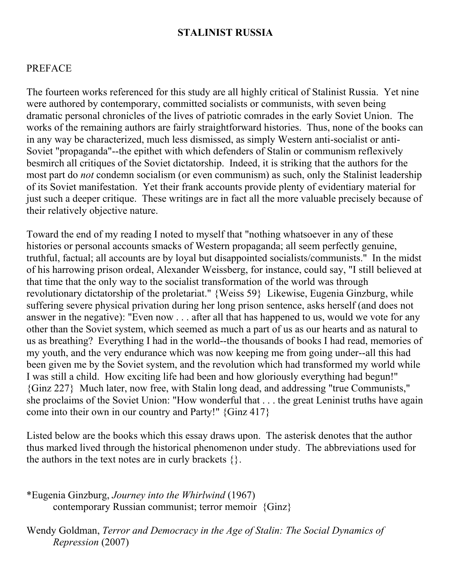#### **STALINIST RUSSIA**

## PREFACE

The fourteen works referenced for this study are all highly critical of Stalinist Russia. Yet nine were authored by contemporary, committed socialists or communists, with seven being dramatic personal chronicles of the lives of patriotic comrades in the early Soviet Union. The works of the remaining authors are fairly straightforward histories. Thus, none of the books can in any way be characterized, much less dismissed, as simply Western anti-socialist or anti-Soviet "propaganda"--the epithet with which defenders of Stalin or communism reflexively besmirch all critiques of the Soviet dictatorship. Indeed, it is striking that the authors for the most part do *not* condemn socialism (or even communism) as such, only the Stalinist leadership of its Soviet manifestation. Yet their frank accounts provide plenty of evidentiary material for just such a deeper critique. These writings are in fact all the more valuable precisely because of their relatively objective nature.

Toward the end of my reading I noted to myself that "nothing whatsoever in any of these histories or personal accounts smacks of Western propaganda; all seem perfectly genuine, truthful, factual; all accounts are by loyal but disappointed socialists/communists." In the midst of his harrowing prison ordeal, Alexander Weissberg, for instance, could say, "I still believed at that time that the only way to the socialist transformation of the world was through revolutionary dictatorship of the proletariat." {Weiss 59} Likewise, Eugenia Ginzburg, while suffering severe physical privation during her long prison sentence, asks herself (and does not answer in the negative): "Even now . . . after all that has happened to us, would we vote for any other than the Soviet system, which seemed as much a part of us as our hearts and as natural to us as breathing? Everything I had in the world--the thousands of books I had read, memories of my youth, and the very endurance which was now keeping me from going under--all this had been given me by the Soviet system, and the revolution which had transformed my world while I was still a child. How exciting life had been and how gloriously everything had begun!" {Ginz 227} Much later, now free, with Stalin long dead, and addressing "true Communists," she proclaims of the Soviet Union: "How wonderful that . . . the great Leninist truths have again come into their own in our country and Party!" {Ginz 417}

Listed below are the books which this essay draws upon. The asterisk denotes that the author thus marked lived through the historical phenomenon under study. The abbreviations used for the authors in the text notes are in curly brackets  $\{\}.$ 

\*Eugenia Ginzburg, *Journey into the Whirlwind* (1967) contemporary Russian communist; terror memoir {Ginz}

Wendy Goldman, *Terror and Democracy in the Age of Stalin: The Social Dynamics of Repression* (2007)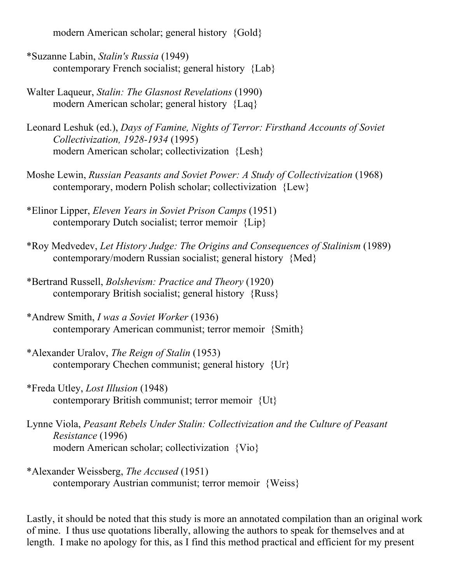modern American scholar; general history {Gold}

- \*Suzanne Labin, *Stalin's Russia* (1949) contemporary French socialist; general history {Lab}
- Walter Laqueur, *Stalin: The Glasnost Revelations* (1990) modern American scholar; general history {Laq}
- Leonard Leshuk (ed.), *Days of Famine, Nights of Terror: Firsthand Accounts of Soviet Collectivization, 1928-1934* (1995) modern American scholar; collectivization {Lesh}
- Moshe Lewin, *Russian Peasants and Soviet Power: A Study of Collectivization* (1968) contemporary, modern Polish scholar; collectivization {Lew}
- \*Elinor Lipper, *Eleven Years in Soviet Prison Camps* (1951) contemporary Dutch socialist; terror memoir {Lip}
- \*Roy Medvedev, *Let History Judge: The Origins and Consequences of Stalinism* (1989) contemporary/modern Russian socialist; general history {Med}
- \*Bertrand Russell, *Bolshevism: Practice and Theory* (1920) contemporary British socialist; general history {Russ}
- \*Andrew Smith, *I was a Soviet Worker* (1936) contemporary American communist; terror memoir {Smith}
- \*Alexander Uralov, *The Reign of Stalin* (1953) contemporary Chechen communist; general history {Ur}
- \*Freda Utley, *Lost Illusion* (1948) contemporary British communist; terror memoir {Ut}
- Lynne Viola, *Peasant Rebels Under Stalin: Collectivization and the Culture of Peasant Resistance* (1996) modern American scholar; collectivization {Vio}
- \*Alexander Weissberg, *The Accused* (1951) contemporary Austrian communist; terror memoir {Weiss}

Lastly, it should be noted that this study is more an annotated compilation than an original work of mine. I thus use quotations liberally, allowing the authors to speak for themselves and at length. I make no apology for this, as I find this method practical and efficient for my present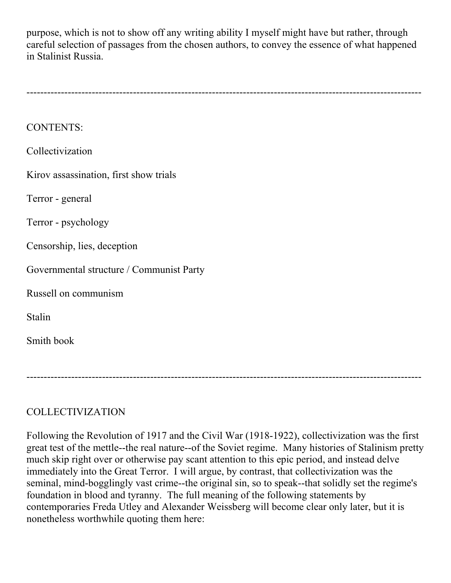purpose, which is not to show off any writing ability I myself might have but rather, through careful selection of passages from the chosen authors, to convey the essence of what happened in Stalinist Russia.

| <b>CONTENTS:</b>                         |
|------------------------------------------|
| Collectivization                         |
| Kirov assassination, first show trials   |
| Terror - general                         |
| Terror - psychology                      |
| Censorship, lies, deception              |
| Governmental structure / Communist Party |
| Russell on communism                     |
| Stalin                                   |
| Smith book                               |
|                                          |
|                                          |

# COLLECTIVIZATION

Following the Revolution of 1917 and the Civil War (1918-1922), collectivization was the first great test of the mettle--the real nature--of the Soviet regime. Many histories of Stalinism pretty much skip right over or otherwise pay scant attention to this epic period, and instead delve immediately into the Great Terror. I will argue, by contrast, that collectivization was the seminal, mind-bogglingly vast crime--the original sin, so to speak--that solidly set the regime's foundation in blood and tyranny. The full meaning of the following statements by contemporaries Freda Utley and Alexander Weissberg will become clear only later, but it is nonetheless worthwhile quoting them here: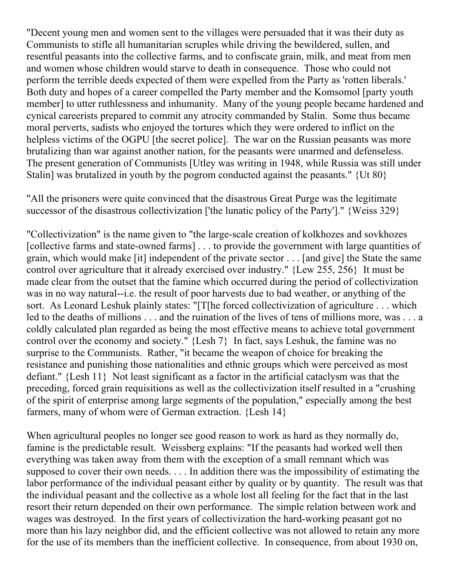"Decent young men and women sent to the villages were persuaded that it was their duty as Communists to stifle all humanitarian scruples while driving the bewildered, sullen, and resentful peasants into the collective farms, and to confiscate grain, milk, and meat from men and women whose children would starve to death in consequence. Those who could not perform the terrible deeds expected of them were expelled from the Party as 'rotten liberals.' Both duty and hopes of a career compelled the Party member and the Komsomol [party youth member] to utter ruthlessness and inhumanity. Many of the young people became hardened and cynical careerists prepared to commit any atrocity commanded by Stalin. Some thus became moral perverts, sadists who enjoyed the tortures which they were ordered to inflict on the helpless victims of the OGPU [the secret police]. The war on the Russian peasants was more brutalizing than war against another nation, for the peasants were unarmed and defenseless. The present generation of Communists [Utley was writing in 1948, while Russia was still under Stalin] was brutalized in youth by the pogrom conducted against the peasants." {Ut 80}

"All the prisoners were quite convinced that the disastrous Great Purge was the legitimate successor of the disastrous collectivization ['the lunatic policy of the Party']." {Weiss 329}

"Collectivization" is the name given to "the large-scale creation of kolkhozes and sovkhozes [collective farms and state-owned farms] . . . to provide the government with large quantities of grain, which would make [it] independent of the private sector . . . [and give] the State the same control over agriculture that it already exercised over industry." {Lew 255, 256} It must be made clear from the outset that the famine which occurred during the period of collectivization was in no way natural--i.e. the result of poor harvests due to bad weather, or anything of the sort. As Leonard Leshuk plainly states: "[T[he forced collectivization of agriculture . . . which led to the deaths of millions . . . and the ruination of the lives of tens of millions more, was . . . a coldly calculated plan regarded as being the most effective means to achieve total government control over the economy and society." {Lesh 7} In fact, says Leshuk, the famine was no surprise to the Communists. Rather, "it became the weapon of choice for breaking the resistance and punishing those nationalities and ethnic groups which were perceived as most defiant." {Lesh 11} Not least significant as a factor in the artificial cataclysm was that the preceding, forced grain requisitions as well as the collectivization itself resulted in a "crushing of the spirit of enterprise among large segments of the population," especially among the best farmers, many of whom were of German extraction. {Lesh 14}

When agricultural peoples no longer see good reason to work as hard as they normally do, famine is the predictable result. Weissberg explains: "If the peasants had worked well then everything was taken away from them with the exception of a small remnant which was supposed to cover their own needs. . . . In addition there was the impossibility of estimating the labor performance of the individual peasant either by quality or by quantity. The result was that the individual peasant and the collective as a whole lost all feeling for the fact that in the last resort their return depended on their own performance. The simple relation between work and wages was destroyed. In the first years of collectivization the hard-working peasant got no more than his lazy neighbor did, and the efficient collective was not allowed to retain any more for the use of its members than the inefficient collective. In consequence, from about 1930 on,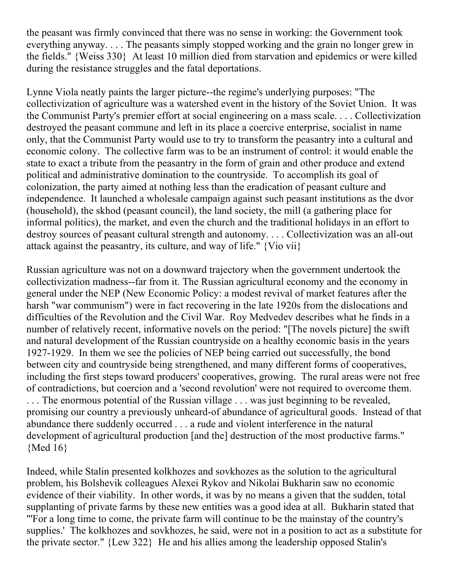the peasant was firmly convinced that there was no sense in working: the Government took everything anyway. . . . The peasants simply stopped working and the grain no longer grew in the fields." {Weiss 330} At least 10 million died from starvation and epidemics or were killed during the resistance struggles and the fatal deportations.

Lynne Viola neatly paints the larger picture--the regime's underlying purposes: "The collectivization of agriculture was a watershed event in the history of the Soviet Union. It was the Communist Party's premier effort at social engineering on a mass scale. . . . Collectivization destroyed the peasant commune and left in its place a coercive enterprise, socialist in name only, that the Communist Party would use to try to transform the peasantry into a cultural and economic colony. The collective farm was to be an instrument of control: it would enable the state to exact a tribute from the peasantry in the form of grain and other produce and extend political and administrative domination to the countryside. To accomplish its goal of colonization, the party aimed at nothing less than the eradication of peasant culture and independence. It launched a wholesale campaign against such peasant institutions as the dvor (household), the skhod (peasant council), the land society, the mill (a gathering place for informal politics), the market, and even the church and the traditional holidays in an effort to destroy sources of peasant cultural strength and autonomy. . . . Collectivization was an all-out attack against the peasantry, its culture, and way of life." {Vio vii}

Russian agriculture was not on a downward trajectory when the government undertook the collectivization madness--far from it. The Russian agricultural economy and the economy in general under the NEP (New Economic Policy: a modest revival of market features after the harsh "war communism") were in fact recovering in the late 1920s from the dislocations and difficulties of the Revolution and the Civil War. Roy Medvedev describes what he finds in a number of relatively recent, informative novels on the period: "[The novels picture] the swift and natural development of the Russian countryside on a healthy economic basis in the years 1927-1929. In them we see the policies of NEP being carried out successfully, the bond between city and countryside being strengthened, and many different forms of cooperatives, including the first steps toward producers' cooperatives, growing. The rural areas were not free of contradictions, but coercion and a 'second revolution' were not required to overcome them. . . . The enormous potential of the Russian village . . . was just beginning to be revealed, promising our country a previously unheard-of abundance of agricultural goods. Instead of that abundance there suddenly occurred . . . a rude and violent interference in the natural development of agricultural production [and the] destruction of the most productive farms." {Med 16}

Indeed, while Stalin presented kolkhozes and sovkhozes as the solution to the agricultural problem, his Bolshevik colleagues Alexei Rykov and Nikolai Bukharin saw no economic evidence of their viability. In other words, it was by no means a given that the sudden, total supplanting of private farms by these new entities was a good idea at all. Bukharin stated that "'For a long time to come, the private farm will continue to be the mainstay of the country's supplies.' The kolkhozes and sovkhozes, he said, were not in a position to act as a substitute for the private sector." {Lew 322} He and his allies among the leadership opposed Stalin's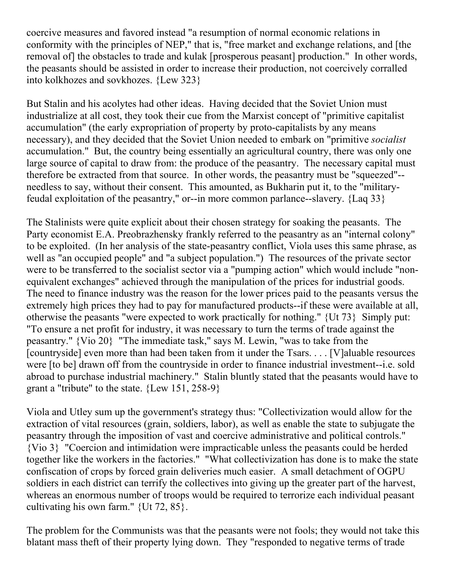coercive measures and favored instead "a resumption of normal economic relations in conformity with the principles of NEP," that is, "free market and exchange relations, and [the removal of] the obstacles to trade and kulak [prosperous peasant] production." In other words, the peasants should be assisted in order to increase their production, not coercively corralled into kolkhozes and sovkhozes. {Lew 323}

But Stalin and his acolytes had other ideas. Having decided that the Soviet Union must industrialize at all cost, they took their cue from the Marxist concept of "primitive capitalist accumulation" (the early expropriation of property by proto-capitalists by any means necessary), and they decided that the Soviet Union needed to embark on "primitive *socialist* accumulation." But, the country being essentially an agricultural country, there was only one large source of capital to draw from: the produce of the peasantry. The necessary capital must therefore be extracted from that source. In other words, the peasantry must be "squeezed"- needless to say, without their consent. This amounted, as Bukharin put it, to the "militaryfeudal exploitation of the peasantry," or--in more common parlance--slavery. {Laq 33}

The Stalinists were quite explicit about their chosen strategy for soaking the peasants. The Party economist E.A. Preobrazhensky frankly referred to the peasantry as an "internal colony" to be exploited. (In her analysis of the state-peasantry conflict, Viola uses this same phrase, as well as "an occupied people" and "a subject population.") The resources of the private sector were to be transferred to the socialist sector via a "pumping action" which would include "nonequivalent exchanges" achieved through the manipulation of the prices for industrial goods. The need to finance industry was the reason for the lower prices paid to the peasants versus the extremely high prices they had to pay for manufactured products--if these were available at all, otherwise the peasants "were expected to work practically for nothing." {Ut 73} Simply put: "To ensure a net profit for industry, it was necessary to turn the terms of trade against the peasantry." {Vio 20} "The immediate task," says M. Lewin, "was to take from the [countryside] even more than had been taken from it under the Tsars. . . . [V]aluable resources were [to be] drawn off from the countryside in order to finance industrial investment--i.e. sold abroad to purchase industrial machinery." Stalin bluntly stated that the peasants would have to grant a "tribute" to the state. {Lew 151, 258-9}

Viola and Utley sum up the government's strategy thus: "Collectivization would allow for the extraction of vital resources (grain, soldiers, labor), as well as enable the state to subjugate the peasantry through the imposition of vast and coercive administrative and political controls." {Vio 3} "Coercion and intimidation were impracticable unless the peasants could be herded together like the workers in the factories." "What collectivization has done is to make the state confiscation of crops by forced grain deliveries much easier. A small detachment of OGPU soldiers in each district can terrify the collectives into giving up the greater part of the harvest, whereas an enormous number of troops would be required to terrorize each individual peasant cultivating his own farm." {Ut 72, 85}.

The problem for the Communists was that the peasants were not fools; they would not take this blatant mass theft of their property lying down. They "responded to negative terms of trade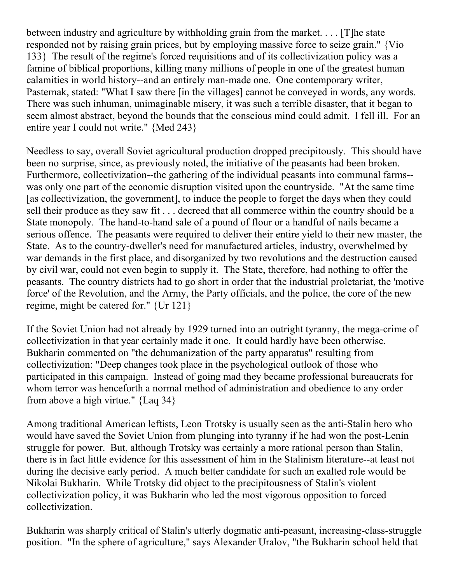between industry and agriculture by withholding grain from the market. . . . [T]he state responded not by raising grain prices, but by employing massive force to seize grain." {Vio 133} The result of the regime's forced requisitions and of its collectivization policy was a famine of biblical proportions, killing many millions of people in one of the greatest human calamities in world history--and an entirely man-made one. One contemporary writer, Pasternak, stated: "What I saw there [in the villages] cannot be conveyed in words, any words. There was such inhuman, unimaginable misery, it was such a terrible disaster, that it began to seem almost abstract, beyond the bounds that the conscious mind could admit. I fell ill. For an entire year I could not write." {Med 243}

Needless to say, overall Soviet agricultural production dropped precipitously. This should have been no surprise, since, as previously noted, the initiative of the peasants had been broken. Furthermore, collectivization--the gathering of the individual peasants into communal farms- was only one part of the economic disruption visited upon the countryside. "At the same time [as collectivization, the government], to induce the people to forget the days when they could sell their produce as they saw fit . . . decreed that all commerce within the country should be a State monopoly. The hand-to-hand sale of a pound of flour or a handful of nails became a serious offence. The peasants were required to deliver their entire yield to their new master, the State. As to the country-dweller's need for manufactured articles, industry, overwhelmed by war demands in the first place, and disorganized by two revolutions and the destruction caused by civil war, could not even begin to supply it. The State, therefore, had nothing to offer the peasants. The country districts had to go short in order that the industrial proletariat, the 'motive force' of the Revolution, and the Army, the Party officials, and the police, the core of the new regime, might be catered for." {Ur 121}

If the Soviet Union had not already by 1929 turned into an outright tyranny, the mega-crime of collectivization in that year certainly made it one. It could hardly have been otherwise. Bukharin commented on "the dehumanization of the party apparatus" resulting from collectivization: "Deep changes took place in the psychological outlook of those who participated in this campaign. Instead of going mad they became professional bureaucrats for whom terror was henceforth a normal method of administration and obedience to any order from above a high virtue." {Laq 34}

Among traditional American leftists, Leon Trotsky is usually seen as the anti-Stalin hero who would have saved the Soviet Union from plunging into tyranny if he had won the post-Lenin struggle for power. But, although Trotsky was certainly a more rational person than Stalin, there is in fact little evidence for this assessment of him in the Stalinism literature--at least not during the decisive early period. A much better candidate for such an exalted role would be Nikolai Bukharin. While Trotsky did object to the precipitousness of Stalin's violent collectivization policy, it was Bukharin who led the most vigorous opposition to forced collectivization.

Bukharin was sharply critical of Stalin's utterly dogmatic anti-peasant, increasing-class-struggle position. "In the sphere of agriculture," says Alexander Uralov, "the Bukharin school held that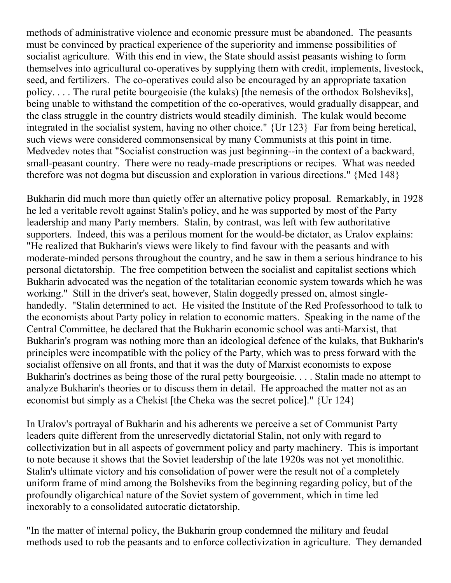methods of administrative violence and economic pressure must be abandoned. The peasants must be convinced by practical experience of the superiority and immense possibilities of socialist agriculture. With this end in view, the State should assist peasants wishing to form themselves into agricultural co-operatives by supplying them with credit, implements, livestock, seed, and fertilizers. The co-operatives could also be encouraged by an appropriate taxation policy. . . . The rural petite bourgeoisie (the kulaks) [the nemesis of the orthodox Bolsheviks], being unable to withstand the competition of the co-operatives, would gradually disappear, and the class struggle in the country districts would steadily diminish. The kulak would become integrated in the socialist system, having no other choice." {Ur 123} Far from being heretical, such views were considered commonsensical by many Communists at this point in time. Medvedev notes that "Socialist construction was just beginning--in the context of a backward, small-peasant country. There were no ready-made prescriptions or recipes. What was needed therefore was not dogma but discussion and exploration in various directions." {Med 148}

Bukharin did much more than quietly offer an alternative policy proposal. Remarkably, in 1928 he led a veritable revolt against Stalin's policy, and he was supported by most of the Party leadership and many Party members. Stalin, by contrast, was left with few authoritative supporters. Indeed, this was a perilous moment for the would-be dictator, as Uralov explains: "He realized that Bukharin's views were likely to find favour with the peasants and with moderate-minded persons throughout the country, and he saw in them a serious hindrance to his personal dictatorship. The free competition between the socialist and capitalist sections which Bukharin advocated was the negation of the totalitarian economic system towards which he was working." Still in the driver's seat, however, Stalin doggedly pressed on, almost singlehandedly. "Stalin determined to act. He visited the Institute of the Red Professorhood to talk to the economists about Party policy in relation to economic matters. Speaking in the name of the Central Committee, he declared that the Bukharin economic school was anti-Marxist, that Bukharin's program was nothing more than an ideological defence of the kulaks, that Bukharin's principles were incompatible with the policy of the Party, which was to press forward with the socialist offensive on all fronts, and that it was the duty of Marxist economists to expose Bukharin's doctrines as being those of the rural petty bourgeoisie. . . . Stalin made no attempt to analyze Bukharin's theories or to discuss them in detail. He approached the matter not as an economist but simply as a Chekist [the Cheka was the secret police]." {Ur 124}

In Uralov's portrayal of Bukharin and his adherents we perceive a set of Communist Party leaders quite different from the unreservedly dictatorial Stalin, not only with regard to collectivization but in all aspects of government policy and party machinery. This is important to note because it shows that the Soviet leadership of the late 1920s was not yet monolithic. Stalin's ultimate victory and his consolidation of power were the result not of a completely uniform frame of mind among the Bolsheviks from the beginning regarding policy, but of the profoundly oligarchical nature of the Soviet system of government, which in time led inexorably to a consolidated autocratic dictatorship.

"In the matter of internal policy, the Bukharin group condemned the military and feudal methods used to rob the peasants and to enforce collectivization in agriculture. They demanded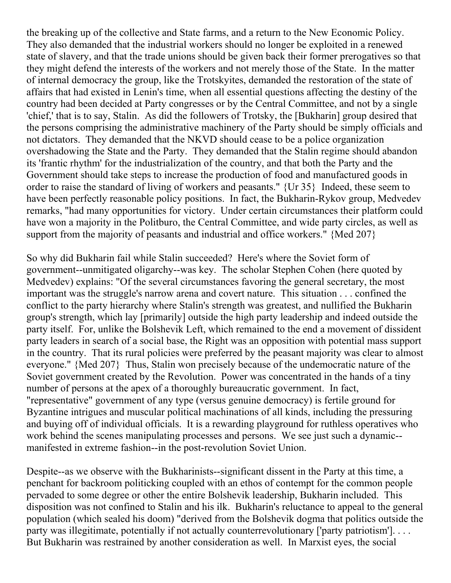the breaking up of the collective and State farms, and a return to the New Economic Policy. They also demanded that the industrial workers should no longer be exploited in a renewed state of slavery, and that the trade unions should be given back their former prerogatives so that they might defend the interests of the workers and not merely those of the State. In the matter of internal democracy the group, like the Trotskyites, demanded the restoration of the state of affairs that had existed in Lenin's time, when all essential questions affecting the destiny of the country had been decided at Party congresses or by the Central Committee, and not by a single 'chief,' that is to say, Stalin. As did the followers of Trotsky, the [Bukharin] group desired that the persons comprising the administrative machinery of the Party should be simply officials and not dictators. They demanded that the NKVD should cease to be a police organization overshadowing the State and the Party. They demanded that the Stalin regime should abandon its 'frantic rhythm' for the industrialization of the country, and that both the Party and the Government should take steps to increase the production of food and manufactured goods in order to raise the standard of living of workers and peasants." {Ur 35} Indeed, these seem to have been perfectly reasonable policy positions. In fact, the Bukharin-Rykov group, Medvedev remarks, "had many opportunities for victory. Under certain circumstances their platform could have won a majority in the Politburo, the Central Committee, and wide party circles, as well as support from the majority of peasants and industrial and office workers." {Med 207}

So why did Bukharin fail while Stalin succeeded? Here's where the Soviet form of government--unmitigated oligarchy--was key. The scholar Stephen Cohen (here quoted by Medvedev) explains: "Of the several circumstances favoring the general secretary, the most important was the struggle's narrow arena and covert nature. This situation . . . confined the conflict to the party hierarchy where Stalin's strength was greatest, and nullified the Bukharin group's strength, which lay [primarily] outside the high party leadership and indeed outside the party itself. For, unlike the Bolshevik Left, which remained to the end a movement of dissident party leaders in search of a social base, the Right was an opposition with potential mass support in the country. That its rural policies were preferred by the peasant majority was clear to almost everyone." {Med 207} Thus, Stalin won precisely because of the undemocratic nature of the Soviet government created by the Revolution. Power was concentrated in the hands of a tiny number of persons at the apex of a thoroughly bureaucratic government. In fact, "representative" government of any type (versus genuine democracy) is fertile ground for Byzantine intrigues and muscular political machinations of all kinds, including the pressuring and buying off of individual officials. It is a rewarding playground for ruthless operatives who work behind the scenes manipulating processes and persons. We see just such a dynamic- manifested in extreme fashion--in the post-revolution Soviet Union.

Despite--as we observe with the Bukharinists--significant dissent in the Party at this time, a penchant for backroom politicking coupled with an ethos of contempt for the common people pervaded to some degree or other the entire Bolshevik leadership, Bukharin included. This disposition was not confined to Stalin and his ilk. Bukharin's reluctance to appeal to the general population (which sealed his doom) "derived from the Bolshevik dogma that politics outside the party was illegitimate, potentially if not actually counterrevolutionary ['party patriotism']. . . . But Bukharin was restrained by another consideration as well. In Marxist eyes, the social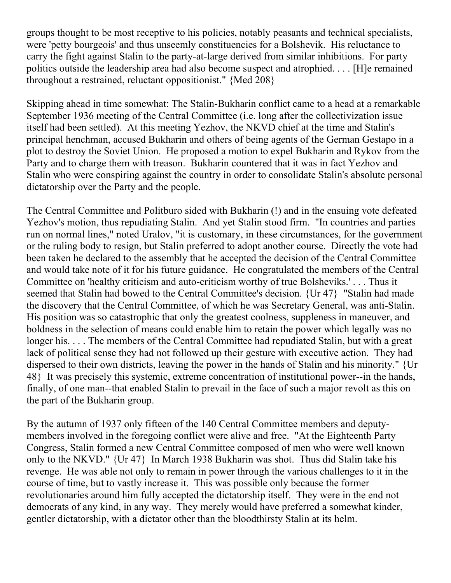groups thought to be most receptive to his policies, notably peasants and technical specialists, were 'petty bourgeois' and thus unseemly constituencies for a Bolshevik. His reluctance to carry the fight against Stalin to the party-at-large derived from similar inhibitions. For party politics outside the leadership area had also become suspect and atrophied. . . . [H]e remained throughout a restrained, reluctant oppositionist." {Med 208}

Skipping ahead in time somewhat: The Stalin-Bukharin conflict came to a head at a remarkable September 1936 meeting of the Central Committee (i.e. long after the collectivization issue itself had been settled). At this meeting Yezhov, the NKVD chief at the time and Stalin's principal henchman, accused Bukharin and others of being agents of the German Gestapo in a plot to destroy the Soviet Union. He proposed a motion to expel Bukharin and Rykov from the Party and to charge them with treason. Bukharin countered that it was in fact Yezhov and Stalin who were conspiring against the country in order to consolidate Stalin's absolute personal dictatorship over the Party and the people.

The Central Committee and Politburo sided with Bukharin (!) and in the ensuing vote defeated Yezhov's motion, thus repudiating Stalin. And yet Stalin stood firm. "In countries and parties run on normal lines," noted Uralov, "it is customary, in these circumstances, for the government or the ruling body to resign, but Stalin preferred to adopt another course. Directly the vote had been taken he declared to the assembly that he accepted the decision of the Central Committee and would take note of it for his future guidance. He congratulated the members of the Central Committee on 'healthy criticism and auto-criticism worthy of true Bolsheviks.' . . . Thus it seemed that Stalin had bowed to the Central Committee's decision. {Ur 47} "Stalin had made the discovery that the Central Committee, of which he was Secretary General, was anti-Stalin. His position was so catastrophic that only the greatest coolness, suppleness in maneuver, and boldness in the selection of means could enable him to retain the power which legally was no longer his. . . . The members of the Central Committee had repudiated Stalin, but with a great lack of political sense they had not followed up their gesture with executive action. They had dispersed to their own districts, leaving the power in the hands of Stalin and his minority." {Ur 48} It was precisely this systemic, extreme concentration of institutional power--in the hands, finally, of one man--that enabled Stalin to prevail in the face of such a major revolt as this on the part of the Bukharin group.

By the autumn of 1937 only fifteen of the 140 Central Committee members and deputymembers involved in the foregoing conflict were alive and free. "At the Eighteenth Party Congress, Stalin formed a new Central Committee composed of men who were well known only to the NKVD." {Ur 47} In March 1938 Bukharin was shot. Thus did Stalin take his revenge. He was able not only to remain in power through the various challenges to it in the course of time, but to vastly increase it. This was possible only because the former revolutionaries around him fully accepted the dictatorship itself. They were in the end not democrats of any kind, in any way. They merely would have preferred a somewhat kinder, gentler dictatorship, with a dictator other than the bloodthirsty Stalin at its helm.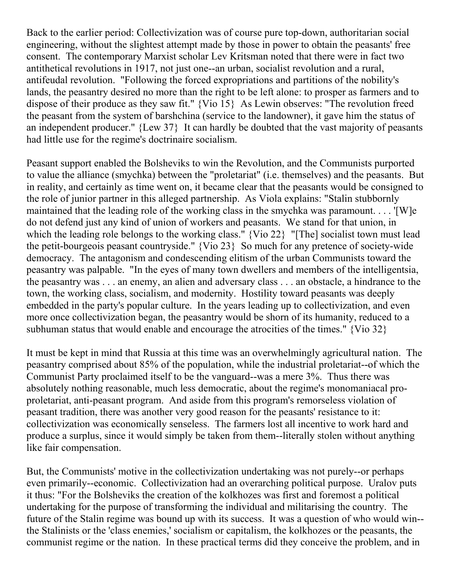Back to the earlier period: Collectivization was of course pure top-down, authoritarian social engineering, without the slightest attempt made by those in power to obtain the peasants' free consent. The contemporary Marxist scholar Lev Kritsman noted that there were in fact two antithetical revolutions in 1917, not just one--an urban, socialist revolution and a rural, antifeudal revolution. "Following the forced expropriations and partitions of the nobility's lands, the peasantry desired no more than the right to be left alone: to prosper as farmers and to dispose of their produce as they saw fit." {Vio 15} As Lewin observes: "The revolution freed the peasant from the system of barshchina (service to the landowner), it gave him the status of an independent producer." {Lew 37} It can hardly be doubted that the vast majority of peasants had little use for the regime's doctrinaire socialism.

Peasant support enabled the Bolsheviks to win the Revolution, and the Communists purported to value the alliance (smychka) between the "proletariat" (i.e. themselves) and the peasants. But in reality, and certainly as time went on, it became clear that the peasants would be consigned to the role of junior partner in this alleged partnership. As Viola explains: "Stalin stubbornly maintained that the leading role of the working class in the smychka was paramount. . . . '[W]e do not defend just any kind of union of workers and peasants. We stand for that union, in which the leading role belongs to the working class." {Vio 22} "[The] socialist town must lead the petit-bourgeois peasant countryside." {Vio 23} So much for any pretence of society-wide democracy. The antagonism and condescending elitism of the urban Communists toward the peasantry was palpable. "In the eyes of many town dwellers and members of the intelligentsia, the peasantry was . . . an enemy, an alien and adversary class . . . an obstacle, a hindrance to the town, the working class, socialism, and modernity. Hostility toward peasants was deeply embedded in the party's popular culture. In the years leading up to collectivization, and even more once collectivization began, the peasantry would be shorn of its humanity, reduced to a subhuman status that would enable and encourage the atrocities of the times." {Vio 32}

It must be kept in mind that Russia at this time was an overwhelmingly agricultural nation. The peasantry comprised about 85% of the population, while the industrial proletariat--of which the Communist Party proclaimed itself to be the vanguard--was a mere 3%. Thus there was absolutely nothing reasonable, much less democratic, about the regime's monomaniacal proproletariat, anti-peasant program. And aside from this program's remorseless violation of peasant tradition, there was another very good reason for the peasants' resistance to it: collectivization was economically senseless. The farmers lost all incentive to work hard and produce a surplus, since it would simply be taken from them--literally stolen without anything like fair compensation.

But, the Communists' motive in the collectivization undertaking was not purely--or perhaps even primarily--economic. Collectivization had an overarching political purpose. Uralov puts it thus: "For the Bolsheviks the creation of the kolkhozes was first and foremost a political undertaking for the purpose of transforming the individual and militarising the country. The future of the Stalin regime was bound up with its success. It was a question of who would win- the Stalinists or the 'class enemies,' socialism or capitalism, the kolkhozes or the peasants, the communist regime or the nation. In these practical terms did they conceive the problem, and in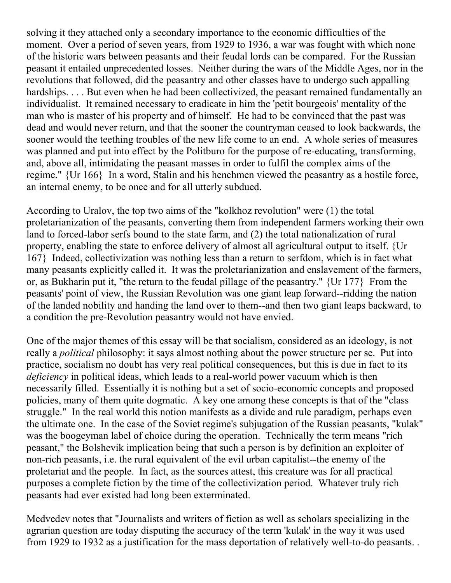solving it they attached only a secondary importance to the economic difficulties of the moment. Over a period of seven years, from 1929 to 1936, a war was fought with which none of the historic wars between peasants and their feudal lords can be compared. For the Russian peasant it entailed unprecedented losses. Neither during the wars of the Middle Ages, nor in the revolutions that followed, did the peasantry and other classes have to undergo such appalling hardships. . . . But even when he had been collectivized, the peasant remained fundamentally an individualist. It remained necessary to eradicate in him the 'petit bourgeois' mentality of the man who is master of his property and of himself. He had to be convinced that the past was dead and would never return, and that the sooner the countryman ceased to look backwards, the sooner would the teething troubles of the new life come to an end. A whole series of measures was planned and put into effect by the Politburo for the purpose of re-educating, transforming, and, above all, intimidating the peasant masses in order to fulfil the complex aims of the regime." {Ur 166} In a word, Stalin and his henchmen viewed the peasantry as a hostile force, an internal enemy, to be once and for all utterly subdued.

According to Uralov, the top two aims of the "kolkhoz revolution" were (1) the total proletarianization of the peasants, converting them from independent farmers working their own land to forced-labor serfs bound to the state farm, and (2) the total nationalization of rural property, enabling the state to enforce delivery of almost all agricultural output to itself. {Ur 167} Indeed, collectivization was nothing less than a return to serfdom, which is in fact what many peasants explicitly called it. It was the proletarianization and enslavement of the farmers, or, as Bukharin put it, "the return to the feudal pillage of the peasantry." {Ur 177} From the peasants' point of view, the Russian Revolution was one giant leap forward--ridding the nation of the landed nobility and handing the land over to them--and then two giant leaps backward, to a condition the pre-Revolution peasantry would not have envied.

One of the major themes of this essay will be that socialism, considered as an ideology, is not really a *political* philosophy: it says almost nothing about the power structure per se. Put into practice, socialism no doubt has very real political consequences, but this is due in fact to its *deficiency* in political ideas, which leads to a real-world power vacuum which is then necessarily filled. Essentially it is nothing but a set of socio-economic concepts and proposed policies, many of them quite dogmatic. A key one among these concepts is that of the "class struggle." In the real world this notion manifests as a divide and rule paradigm, perhaps even the ultimate one. In the case of the Soviet regime's subjugation of the Russian peasants, "kulak" was the boogeyman label of choice during the operation. Technically the term means "rich peasant," the Bolshevik implication being that such a person is by definition an exploiter of non-rich peasants, i.e. the rural equivalent of the evil urban capitalist--the enemy of the proletariat and the people. In fact, as the sources attest, this creature was for all practical purposes a complete fiction by the time of the collectivization period. Whatever truly rich peasants had ever existed had long been exterminated.

Medvedev notes that "Journalists and writers of fiction as well as scholars specializing in the agrarian question are today disputing the accuracy of the term 'kulak' in the way it was used from 1929 to 1932 as a justification for the mass deportation of relatively well-to-do peasants. .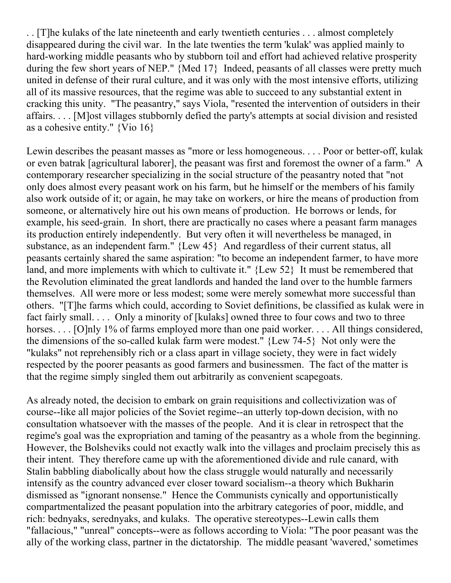. . [T]he kulaks of the late nineteenth and early twentieth centuries . . . almost completely disappeared during the civil war. In the late twenties the term 'kulak' was applied mainly to hard-working middle peasants who by stubborn toil and effort had achieved relative prosperity during the few short years of NEP." {Med 17} Indeed, peasants of all classes were pretty much united in defense of their rural culture, and it was only with the most intensive efforts, utilizing all of its massive resources, that the regime was able to succeed to any substantial extent in cracking this unity. "The peasantry," says Viola, "resented the intervention of outsiders in their affairs. . . . [M]ost villages stubbornly defied the party's attempts at social division and resisted as a cohesive entity." {Vio 16}

Lewin describes the peasant masses as "more or less homogeneous. . . . Poor or better-off, kulak or even batrak [agricultural laborer], the peasant was first and foremost the owner of a farm." A contemporary researcher specializing in the social structure of the peasantry noted that "not only does almost every peasant work on his farm, but he himself or the members of his family also work outside of it; or again, he may take on workers, or hire the means of production from someone, or alternatively hire out his own means of production. He borrows or lends, for example, his seed-grain. In short, there are practically no cases where a peasant farm manages its production entirely independently. But very often it will nevertheless be managed, in substance, as an independent farm." {Lew 45} And regardless of their current status, all peasants certainly shared the same aspiration: "to become an independent farmer, to have more land, and more implements with which to cultivate it." {Lew 52} It must be remembered that the Revolution eliminated the great landlords and handed the land over to the humble farmers themselves. All were more or less modest; some were merely somewhat more successful than others. "[T]he farms which could, according to Soviet definitions, be classified as kulak were in fact fairly small. . . . Only a minority of [kulaks] owned three to four cows and two to three horses. . . . [O]nly 1% of farms employed more than one paid worker. . . . All things considered, the dimensions of the so-called kulak farm were modest." {Lew 74-5} Not only were the "kulaks" not reprehensibly rich or a class apart in village society, they were in fact widely respected by the poorer peasants as good farmers and businessmen. The fact of the matter is that the regime simply singled them out arbitrarily as convenient scapegoats.

As already noted, the decision to embark on grain requisitions and collectivization was of course--like all major policies of the Soviet regime--an utterly top-down decision, with no consultation whatsoever with the masses of the people. And it is clear in retrospect that the regime's goal was the expropriation and taming of the peasantry as a whole from the beginning. However, the Bolsheviks could not exactly walk into the villages and proclaim precisely this as their intent. They therefore came up with the aforementioned divide and rule canard, with Stalin babbling diabolically about how the class struggle would naturally and necessarily intensify as the country advanced ever closer toward socialism--a theory which Bukharin dismissed as "ignorant nonsense." Hence the Communists cynically and opportunistically compartmentalized the peasant population into the arbitrary categories of poor, middle, and rich: bednyaks, serednyaks, and kulaks. The operative stereotypes--Lewin calls them "fallacious," "unreal" concepts--were as follows according to Viola: "The poor peasant was the ally of the working class, partner in the dictatorship. The middle peasant 'wavered,' sometimes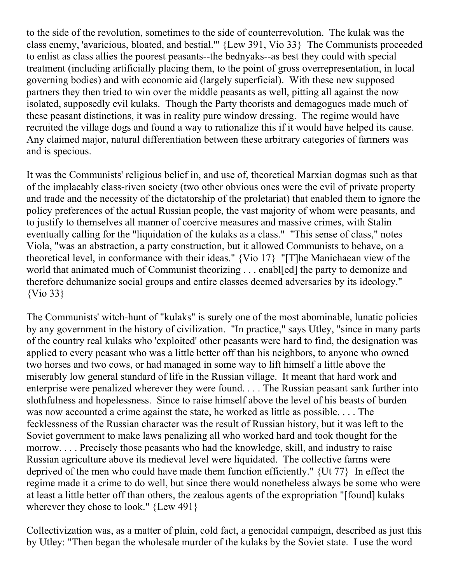to the side of the revolution, sometimes to the side of counterrevolution. The kulak was the class enemy, 'avaricious, bloated, and bestial.'" {Lew 391, Vio 33} The Communists proceeded to enlist as class allies the poorest peasants--the bednyaks--as best they could with special treatment (including artificially placing them, to the point of gross overrepresentation, in local governing bodies) and with economic aid (largely superficial). With these new supposed partners they then tried to win over the middle peasants as well, pitting all against the now isolated, supposedly evil kulaks. Though the Party theorists and demagogues made much of these peasant distinctions, it was in reality pure window dressing. The regime would have recruited the village dogs and found a way to rationalize this if it would have helped its cause. Any claimed major, natural differentiation between these arbitrary categories of farmers was and is specious.

It was the Communists' religious belief in, and use of, theoretical Marxian dogmas such as that of the implacably class-riven society (two other obvious ones were the evil of private property and trade and the necessity of the dictatorship of the proletariat) that enabled them to ignore the policy preferences of the actual Russian people, the vast majority of whom were peasants, and to justify to themselves all manner of coercive measures and massive crimes, with Stalin eventually calling for the "liquidation of the kulaks as a class." "This sense of class," notes Viola, "was an abstraction, a party construction, but it allowed Communists to behave, on a theoretical level, in conformance with their ideas." {Vio 17} "[T]he Manichaean view of the world that animated much of Communist theorizing . . . enabl[ed] the party to demonize and therefore dehumanize social groups and entire classes deemed adversaries by its ideology." {Vio 33}

The Communists' witch-hunt of "kulaks" is surely one of the most abominable, lunatic policies by any government in the history of civilization. "In practice," says Utley, "since in many parts of the country real kulaks who 'exploited' other peasants were hard to find, the designation was applied to every peasant who was a little better off than his neighbors, to anyone who owned two horses and two cows, or had managed in some way to lift himself a little above the miserably low general standard of life in the Russian village. It meant that hard work and enterprise were penalized wherever they were found. . . . The Russian peasant sank further into slothfulness and hopelessness. Since to raise himself above the level of his beasts of burden was now accounted a crime against the state, he worked as little as possible. . . . The fecklessness of the Russian character was the result of Russian history, but it was left to the Soviet government to make laws penalizing all who worked hard and took thought for the morrow. . . . Precisely those peasants who had the knowledge, skill, and industry to raise Russian agriculture above its medieval level were liquidated. The collective farms were deprived of the men who could have made them function efficiently." {Ut 77} In effect the regime made it a crime to do well, but since there would nonetheless always be some who were at least a little better off than others, the zealous agents of the expropriation "[found] kulaks wherever they chose to look." {Lew 491}

Collectivization was, as a matter of plain, cold fact, a genocidal campaign, described as just this by Utley: "Then began the wholesale murder of the kulaks by the Soviet state. I use the word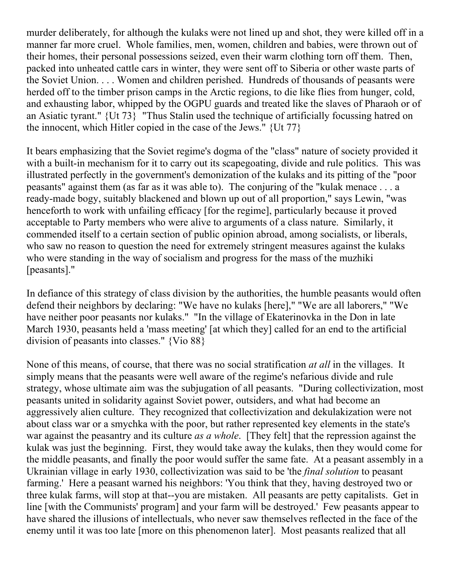murder deliberately, for although the kulaks were not lined up and shot, they were killed off in a manner far more cruel. Whole families, men, women, children and babies, were thrown out of their homes, their personal possessions seized, even their warm clothing torn off them. Then, packed into unheated cattle cars in winter, they were sent off to Siberia or other waste parts of the Soviet Union. . . . Women and children perished. Hundreds of thousands of peasants were herded off to the timber prison camps in the Arctic regions, to die like flies from hunger, cold, and exhausting labor, whipped by the OGPU guards and treated like the slaves of Pharaoh or of an Asiatic tyrant." {Ut 73} "Thus Stalin used the technique of artificially focussing hatred on the innocent, which Hitler copied in the case of the Jews." {Ut 77}

It bears emphasizing that the Soviet regime's dogma of the "class" nature of society provided it with a built-in mechanism for it to carry out its scapegoating, divide and rule politics. This was illustrated perfectly in the government's demonization of the kulaks and its pitting of the "poor peasants" against them (as far as it was able to). The conjuring of the "kulak menace . . . a ready-made bogy, suitably blackened and blown up out of all proportion," says Lewin, "was henceforth to work with unfailing efficacy [for the regime], particularly because it proved acceptable to Party members who were alive to arguments of a class nature. Similarly, it commended itself to a certain section of public opinion abroad, among socialists, or liberals, who saw no reason to question the need for extremely stringent measures against the kulaks who were standing in the way of socialism and progress for the mass of the muzhiki [peasants]."

In defiance of this strategy of class division by the authorities, the humble peasants would often defend their neighbors by declaring: "We have no kulaks [here]," "We are all laborers," "We have neither poor peasants nor kulaks." "In the village of Ekaterinovka in the Don in late March 1930, peasants held a 'mass meeting' [at which they] called for an end to the artificial division of peasants into classes." {Vio 88}

None of this means, of course, that there was no social stratification *at all* in the villages. It simply means that the peasants were well aware of the regime's nefarious divide and rule strategy, whose ultimate aim was the subjugation of all peasants. "During collectivization, most peasants united in solidarity against Soviet power, outsiders, and what had become an aggressively alien culture. They recognized that collectivization and dekulakization were not about class war or a smychka with the poor, but rather represented key elements in the state's war against the peasantry and its culture *as a whole*. [They felt] that the repression against the kulak was just the beginning. First, they would take away the kulaks, then they would come for the middle peasants, and finally the poor would suffer the same fate. At a peasant assembly in a Ukrainian village in early 1930, collectivization was said to be 'the *final solution* to peasant farming.' Here a peasant warned his neighbors: 'You think that they, having destroyed two or three kulak farms, will stop at that--you are mistaken. All peasants are petty capitalists. Get in line [with the Communists' program] and your farm will be destroyed.' Few peasants appear to have shared the illusions of intellectuals, who never saw themselves reflected in the face of the enemy until it was too late [more on this phenomenon later]. Most peasants realized that all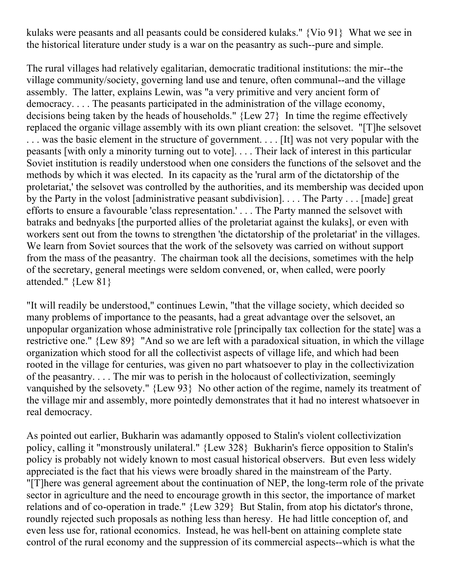kulaks were peasants and all peasants could be considered kulaks." {Vio 91} What we see in the historical literature under study is a war on the peasantry as such--pure and simple.

The rural villages had relatively egalitarian, democratic traditional institutions: the mir--the village community/society, governing land use and tenure, often communal--and the village assembly. The latter, explains Lewin, was "a very primitive and very ancient form of democracy. . . . The peasants participated in the administration of the village economy, decisions being taken by the heads of households." {Lew 27} In time the regime effectively replaced the organic village assembly with its own pliant creation: the selsovet. "[T]he selsovet . . . was the basic element in the structure of government. . . . [It] was not very popular with the peasants [with only a minority turning out to vote]. . . . Their lack of interest in this particular Soviet institution is readily understood when one considers the functions of the selsovet and the methods by which it was elected. In its capacity as the 'rural arm of the dictatorship of the proletariat,' the selsovet was controlled by the authorities, and its membership was decided upon by the Party in the volost [administrative peasant subdivision]. . . . The Party . . . [made] great efforts to ensure a favourable 'class representation.' . . . The Party manned the selsovet with batraks and bednyaks [the purported allies of the proletariat against the kulaks], or even with workers sent out from the towns to strengthen 'the dictatorship of the proletariat' in the villages. We learn from Soviet sources that the work of the selsovety was carried on without support from the mass of the peasantry. The chairman took all the decisions, sometimes with the help of the secretary, general meetings were seldom convened, or, when called, were poorly attended." {Lew 81}

"It will readily be understood," continues Lewin, "that the village society, which decided so many problems of importance to the peasants, had a great advantage over the selsovet, an unpopular organization whose administrative role [principally tax collection for the state] was a restrictive one." {Lew 89} "And so we are left with a paradoxical situation, in which the village organization which stood for all the collectivist aspects of village life, and which had been rooted in the village for centuries, was given no part whatsoever to play in the collectivization of the peasantry. . . . The mir was to perish in the holocaust of collectivization, seemingly vanquished by the selsovety." {Lew 93} No other action of the regime, namely its treatment of the village mir and assembly, more pointedly demonstrates that it had no interest whatsoever in real democracy.

As pointed out earlier, Bukharin was adamantly opposed to Stalin's violent collectivization policy, calling it "monstrously unilateral." {Lew 328} Bukharin's fierce opposition to Stalin's policy is probably not widely known to most casual historical observers. But even less widely appreciated is the fact that his views were broadly shared in the mainstream of the Party. "[T]here was general agreement about the continuation of NEP, the long-term role of the private sector in agriculture and the need to encourage growth in this sector, the importance of market relations and of co-operation in trade." {Lew 329} But Stalin, from atop his dictator's throne, roundly rejected such proposals as nothing less than heresy. He had little conception of, and even less use for, rational economics. Instead, he was hell-bent on attaining complete state control of the rural economy and the suppression of its commercial aspects--which is what the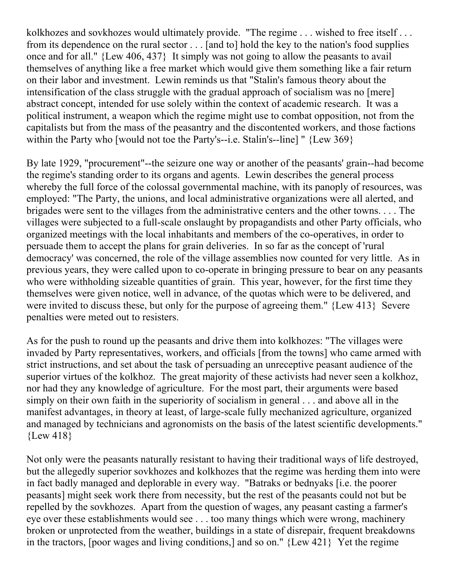kolkhozes and sovkhozes would ultimately provide. "The regime . . . wished to free itself . . . from its dependence on the rural sector . . . [and to] hold the key to the nation's food supplies once and for all." {Lew 406, 437} It simply was not going to allow the peasants to avail themselves of anything like a free market which would give them something like a fair return on their labor and investment. Lewin reminds us that "Stalin's famous theory about the intensification of the class struggle with the gradual approach of socialism was no [mere] abstract concept, intended for use solely within the context of academic research. It was a political instrument, a weapon which the regime might use to combat opposition, not from the capitalists but from the mass of the peasantry and the discontented workers, and those factions within the Party who [would not toe the Party's--i.e. Stalin's--line] " {Lew 369}

By late 1929, "procurement"--the seizure one way or another of the peasants' grain--had become the regime's standing order to its organs and agents. Lewin describes the general process whereby the full force of the colossal governmental machine, with its panoply of resources, was employed: "The Party, the unions, and local administrative organizations were all alerted, and brigades were sent to the villages from the administrative centers and the other towns. . . . The villages were subjected to a full-scale onslaught by propagandists and other Party officials, who organized meetings with the local inhabitants and members of the co-operatives, in order to persuade them to accept the plans for grain deliveries. In so far as the concept of 'rural democracy' was concerned, the role of the village assemblies now counted for very little. As in previous years, they were called upon to co-operate in bringing pressure to bear on any peasants who were withholding sizeable quantities of grain. This year, however, for the first time they themselves were given notice, well in advance, of the quotas which were to be delivered, and were invited to discuss these, but only for the purpose of agreeing them." {Lew 413} Severe penalties were meted out to resisters.

As for the push to round up the peasants and drive them into kolkhozes: "The villages were invaded by Party representatives, workers, and officials [from the towns] who came armed with strict instructions, and set about the task of persuading an unreceptive peasant audience of the superior virtues of the kolkhoz. The great majority of these activists had never seen a kolkhoz, nor had they any knowledge of agriculture. For the most part, their arguments were based simply on their own faith in the superiority of socialism in general . . . and above all in the manifest advantages, in theory at least, of large-scale fully mechanized agriculture, organized and managed by technicians and agronomists on the basis of the latest scientific developments." {Lew 418}

Not only were the peasants naturally resistant to having their traditional ways of life destroyed, but the allegedly superior sovkhozes and kolkhozes that the regime was herding them into were in fact badly managed and deplorable in every way. "Batraks or bednyaks [i.e. the poorer peasants] might seek work there from necessity, but the rest of the peasants could not but be repelled by the sovkhozes. Apart from the question of wages, any peasant casting a farmer's eye over these establishments would see . . . too many things which were wrong, machinery broken or unprotected from the weather, buildings in a state of disrepair, frequent breakdowns in the tractors, [poor wages and living conditions,] and so on." {Lew 421} Yet the regime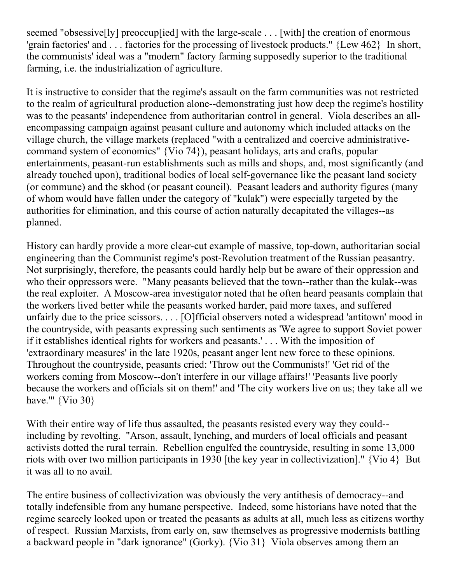seemed "obsessive<sup>[]</sup>[v] preoccup[ied] with the large-scale . . . [with] the creation of enormous 'grain factories' and . . . factories for the processing of livestock products." {Lew 462} In short, the communists' ideal was a "modern" factory farming supposedly superior to the traditional farming, i.e. the industrialization of agriculture.

It is instructive to consider that the regime's assault on the farm communities was not restricted to the realm of agricultural production alone--demonstrating just how deep the regime's hostility was to the peasants' independence from authoritarian control in general. Viola describes an allencompassing campaign against peasant culture and autonomy which included attacks on the village church, the village markets (replaced "with a centralized and coercive administrativecommand system of economics" {Vio 74}), peasant holidays, arts and crafts, popular entertainments, peasant-run establishments such as mills and shops, and, most significantly (and already touched upon), traditional bodies of local self-governance like the peasant land society (or commune) and the skhod (or peasant council). Peasant leaders and authority figures (many of whom would have fallen under the category of "kulak") were especially targeted by the authorities for elimination, and this course of action naturally decapitated the villages--as planned.

History can hardly provide a more clear-cut example of massive, top-down, authoritarian social engineering than the Communist regime's post-Revolution treatment of the Russian peasantry. Not surprisingly, therefore, the peasants could hardly help but be aware of their oppression and who their oppressors were. "Many peasants believed that the town--rather than the kulak--was the real exploiter. A Moscow-area investigator noted that he often heard peasants complain that the workers lived better while the peasants worked harder, paid more taxes, and suffered unfairly due to the price scissors. . . . [O]fficial observers noted a widespread 'antitown' mood in the countryside, with peasants expressing such sentiments as 'We agree to support Soviet power if it establishes identical rights for workers and peasants.' . . . With the imposition of 'extraordinary measures' in the late 1920s, peasant anger lent new force to these opinions. Throughout the countryside, peasants cried: 'Throw out the Communists!' 'Get rid of the workers coming from Moscow--don't interfere in our village affairs!' 'Peasants live poorly because the workers and officials sit on them!' and 'The city workers live on us; they take all we have.'"  $\{V$ io 30 $\}$ 

With their entire way of life thus assaulted, the peasants resisted every way they could- including by revolting. "Arson, assault, lynching, and murders of local officials and peasant activists dotted the rural terrain. Rebellion engulfed the countryside, resulting in some 13,000 riots with over two million participants in 1930 [the key year in collectivization]." {Vio 4} But it was all to no avail.

The entire business of collectivization was obviously the very antithesis of democracy--and totally indefensible from any humane perspective. Indeed, some historians have noted that the regime scarcely looked upon or treated the peasants as adults at all, much less as citizens worthy of respect. Russian Marxists, from early on, saw themselves as progressive modernists battling a backward people in "dark ignorance" (Gorky). {Vio 31} Viola observes among them an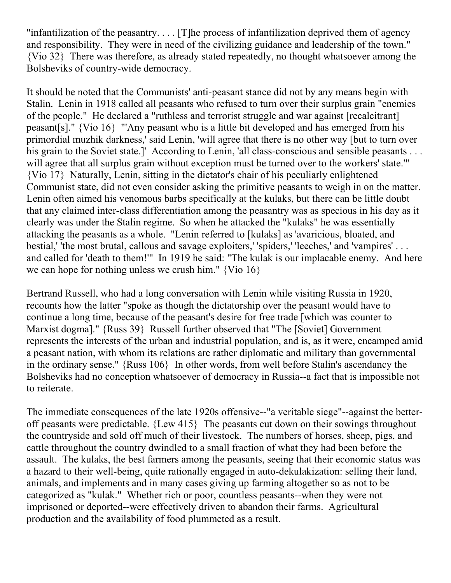"infantilization of the peasantry.... [T]he process of infantilization deprived them of agency and responsibility. They were in need of the civilizing guidance and leadership of the town." {Vio 32} There was therefore, as already stated repeatedly, no thought whatsoever among the Bolsheviks of country-wide democracy.

It should be noted that the Communists' anti-peasant stance did not by any means begin with Stalin. Lenin in 1918 called all peasants who refused to turn over their surplus grain "enemies of the people." He declared a "ruthless and terrorist struggle and war against [recalcitrant] peasant[s]." {Vio 16} "'Any peasant who is a little bit developed and has emerged from his primordial muzhik darkness,' said Lenin, 'will agree that there is no other way [but to turn over his grain to the Soviet state.]' According to Lenin, 'all class-conscious and sensible peasants . . . will agree that all surplus grain without exception must be turned over to the workers' state." {Vio 17} Naturally, Lenin, sitting in the dictator's chair of his peculiarly enlightened Communist state, did not even consider asking the primitive peasants to weigh in on the matter. Lenin often aimed his venomous barbs specifically at the kulaks, but there can be little doubt that any claimed inter-class differentiation among the peasantry was as specious in his day as it clearly was under the Stalin regime. So when he attacked the "kulaks" he was essentially attacking the peasants as a whole. "Lenin referred to [kulaks] as 'avaricious, bloated, and bestial,' 'the most brutal, callous and savage exploiters,' 'spiders,' 'leeches,' and 'vampires' . . . and called for 'death to them!'" In 1919 he said: "The kulak is our implacable enemy. And here we can hope for nothing unless we crush him." {Vio 16}

Bertrand Russell, who had a long conversation with Lenin while visiting Russia in 1920, recounts how the latter "spoke as though the dictatorship over the peasant would have to continue a long time, because of the peasant's desire for free trade [which was counter to Marxist dogma]." {Russ 39} Russell further observed that "The [Soviet] Government represents the interests of the urban and industrial population, and is, as it were, encamped amid a peasant nation, with whom its relations are rather diplomatic and military than governmental in the ordinary sense." {Russ 106} In other words, from well before Stalin's ascendancy the Bolsheviks had no conception whatsoever of democracy in Russia--a fact that is impossible not to reiterate.

The immediate consequences of the late 1920s offensive--"a veritable siege"--against the betteroff peasants were predictable. {Lew 415} The peasants cut down on their sowings throughout the countryside and sold off much of their livestock. The numbers of horses, sheep, pigs, and cattle throughout the country dwindled to a small fraction of what they had been before the assault. The kulaks, the best farmers among the peasants, seeing that their economic status was a hazard to their well-being, quite rationally engaged in auto-dekulakization: selling their land, animals, and implements and in many cases giving up farming altogether so as not to be categorized as "kulak." Whether rich or poor, countless peasants--when they were not imprisoned or deported--were effectively driven to abandon their farms. Agricultural production and the availability of food plummeted as a result.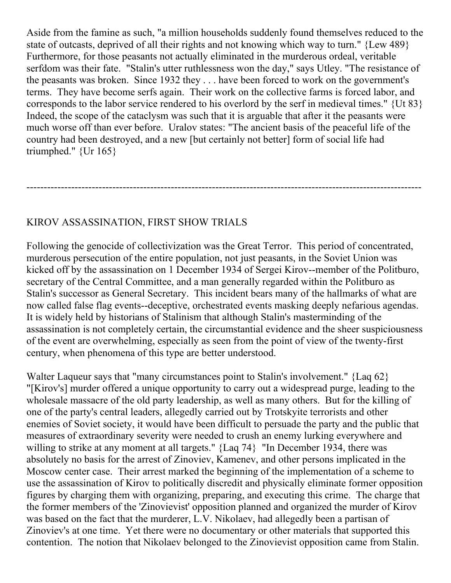Aside from the famine as such, "a million households suddenly found themselves reduced to the state of outcasts, deprived of all their rights and not knowing which way to turn." {Lew 489} Furthermore, for those peasants not actually eliminated in the murderous ordeal, veritable serfdom was their fate. "Stalin's utter ruthlessness won the day," says Utley. "The resistance of the peasants was broken. Since 1932 they . . . have been forced to work on the government's terms. They have become serfs again. Their work on the collective farms is forced labor, and corresponds to the labor service rendered to his overlord by the serf in medieval times." {Ut 83} Indeed, the scope of the cataclysm was such that it is arguable that after it the peasants were much worse off than ever before. Uralov states: "The ancient basis of the peaceful life of the country had been destroyed, and a new [but certainly not better] form of social life had triumphed." {Ur 165}

-------------------------------------------------------------------------------------------------------------------

## KIROV ASSASSINATION, FIRST SHOW TRIALS

Following the genocide of collectivization was the Great Terror. This period of concentrated, murderous persecution of the entire population, not just peasants, in the Soviet Union was kicked off by the assassination on 1 December 1934 of Sergei Kirov--member of the Politburo, secretary of the Central Committee, and a man generally regarded within the Politburo as Stalin's successor as General Secretary. This incident bears many of the hallmarks of what are now called false flag events--deceptive, orchestrated events masking deeply nefarious agendas. It is widely held by historians of Stalinism that although Stalin's masterminding of the assassination is not completely certain, the circumstantial evidence and the sheer suspiciousness of the event are overwhelming, especially as seen from the point of view of the twenty-first century, when phenomena of this type are better understood.

Walter Laqueur says that "many circumstances point to Stalin's involvement." {Laq 62} "[Kirov's] murder offered a unique opportunity to carry out a widespread purge, leading to the wholesale massacre of the old party leadership, as well as many others. But for the killing of one of the party's central leaders, allegedly carried out by Trotskyite terrorists and other enemies of Soviet society, it would have been difficult to persuade the party and the public that measures of extraordinary severity were needed to crush an enemy lurking everywhere and willing to strike at any moment at all targets." {Laq 74} "In December 1934, there was absolutely no basis for the arrest of Zinoviev, Kamenev, and other persons implicated in the Moscow center case. Their arrest marked the beginning of the implementation of a scheme to use the assassination of Kirov to politically discredit and physically eliminate former opposition figures by charging them with organizing, preparing, and executing this crime. The charge that the former members of the 'Zinovievist' opposition planned and organized the murder of Kirov was based on the fact that the murderer, L.V. Nikolaev, had allegedly been a partisan of Zinoviev's at one time. Yet there were no documentary or other materials that supported this contention. The notion that Nikolaev belonged to the Zinovievist opposition came from Stalin.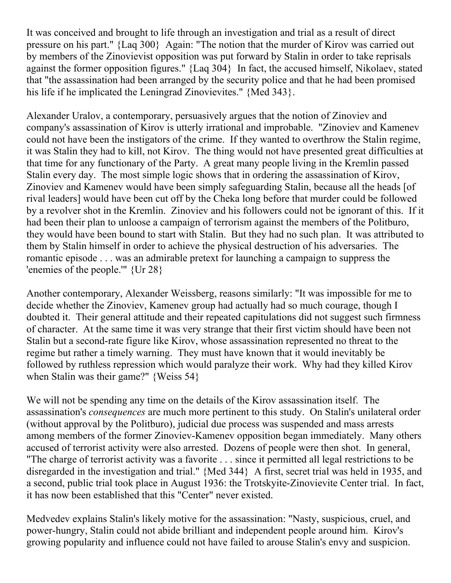It was conceived and brought to life through an investigation and trial as a result of direct pressure on his part." {Laq 300} Again: "The notion that the murder of Kirov was carried out by members of the Zinovievist opposition was put forward by Stalin in order to take reprisals against the former opposition figures." {Laq 304} In fact, the accused himself, Nikolaev, stated that "the assassination had been arranged by the security police and that he had been promised his life if he implicated the Leningrad Zinovievites." {Med 343}.

Alexander Uralov, a contemporary, persuasively argues that the notion of Zinoviev and company's assassination of Kirov is utterly irrational and improbable. "Zinoviev and Kamenev could not have been the instigators of the crime. If they wanted to overthrow the Stalin regime, it was Stalin they had to kill, not Kirov. The thing would not have presented great difficulties at that time for any functionary of the Party. A great many people living in the Kremlin passed Stalin every day. The most simple logic shows that in ordering the assassination of Kirov, Zinoviev and Kamenev would have been simply safeguarding Stalin, because all the heads [of rival leaders] would have been cut off by the Cheka long before that murder could be followed by a revolver shot in the Kremlin. Zinoviev and his followers could not be ignorant of this. If it had been their plan to unloose a campaign of terrorism against the members of the Politburo, they would have been bound to start with Stalin. But they had no such plan. It was attributed to them by Stalin himself in order to achieve the physical destruction of his adversaries. The romantic episode . . . was an admirable pretext for launching a campaign to suppress the 'enemies of the people.'" {Ur 28}

Another contemporary, Alexander Weissberg, reasons similarly: "It was impossible for me to decide whether the Zinoviev, Kamenev group had actually had so much courage, though I doubted it. Their general attitude and their repeated capitulations did not suggest such firmness of character. At the same time it was very strange that their first victim should have been not Stalin but a second-rate figure like Kirov, whose assassination represented no threat to the regime but rather a timely warning. They must have known that it would inevitably be followed by ruthless repression which would paralyze their work. Why had they killed Kirov when Stalin was their game?" {Weiss 54}

We will not be spending any time on the details of the Kirov assassination itself. The assassination's *consequences* are much more pertinent to this study. On Stalin's unilateral order (without approval by the Politburo), judicial due process was suspended and mass arrests among members of the former Zinoviev-Kamenev opposition began immediately. Many others accused of terrorist activity were also arrested. Dozens of people were then shot. In general, "The charge of terrorist activity was a favorite . . . since it permitted all legal restrictions to be disregarded in the investigation and trial." {Med 344} A first, secret trial was held in 1935, and a second, public trial took place in August 1936: the Trotskyite-Zinovievite Center trial. In fact, it has now been established that this "Center" never existed.

Medvedev explains Stalin's likely motive for the assassination: "Nasty, suspicious, cruel, and power-hungry, Stalin could not abide brilliant and independent people around him. Kirov's growing popularity and influence could not have failed to arouse Stalin's envy and suspicion.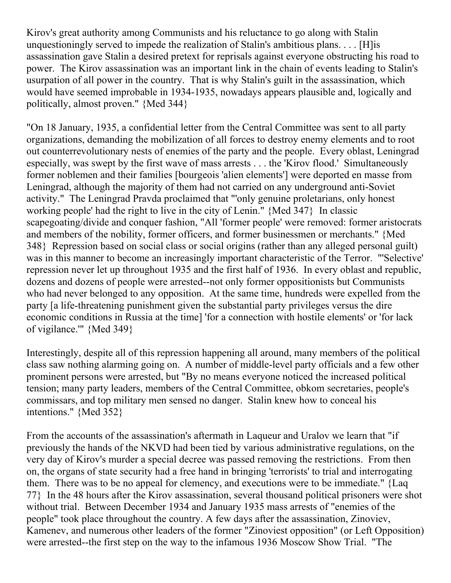Kirov's great authority among Communists and his reluctance to go along with Stalin unquestioningly served to impede the realization of Stalin's ambitious plans. . . . [H]is assassination gave Stalin a desired pretext for reprisals against everyone obstructing his road to power. The Kirov assassination was an important link in the chain of events leading to Stalin's usurpation of all power in the country. That is why Stalin's guilt in the assassination, which would have seemed improbable in 1934-1935, nowadays appears plausible and, logically and politically, almost proven." {Med 344}

"On 18 January, 1935, a confidential letter from the Central Committee was sent to all party organizations, demanding the mobilization of all forces to destroy enemy elements and to root out counterrevolutionary nests of enemies of the party and the people. Every oblast, Leningrad especially, was swept by the first wave of mass arrests . . . the 'Kirov flood.' Simultaneously former noblemen and their families [bourgeois 'alien elements'] were deported en masse from Leningrad, although the majority of them had not carried on any underground anti-Soviet activity." The Leningrad Pravda proclaimed that "'only genuine proletarians, only honest working people' had the right to live in the city of Lenin." {Med 347} In classic scapegoating/divide and conquer fashion, "All 'former people' were removed: former aristocrats and members of the nobility, former officers, and former businessmen or merchants." {Med 348} Repression based on social class or social origins (rather than any alleged personal guilt) was in this manner to become an increasingly important characteristic of the Terror. "'Selective' repression never let up throughout 1935 and the first half of 1936. In every oblast and republic, dozens and dozens of people were arrested--not only former oppositionists but Communists who had never belonged to any opposition. At the same time, hundreds were expelled from the party [a life-threatening punishment given the substantial party privileges versus the dire economic conditions in Russia at the time] 'for a connection with hostile elements' or 'for lack of vigilance.'" {Med 349}

Interestingly, despite all of this repression happening all around, many members of the political class saw nothing alarming going on. A number of middle-level party officials and a few other prominent persons were arrested, but "By no means everyone noticed the increased political tension; many party leaders, members of the Central Committee, obkom secretaries, people's commissars, and top military men sensed no danger. Stalin knew how to conceal his intentions." {Med 352}

From the accounts of the assassination's aftermath in Laqueur and Uralov we learn that "if previously the hands of the NKVD had been tied by various administrative regulations, on the very day of Kirov's murder a special decree was passed removing the restrictions. From then on, the organs of state security had a free hand in bringing 'terrorists' to trial and interrogating them. There was to be no appeal for clemency, and executions were to be immediate." {Laq 77} In the 48 hours after the Kirov assassination, several thousand political prisoners were shot without trial. Between December 1934 and January 1935 mass arrests of "enemies of the people" took place throughout the country. A few days after the assassination, Zinoviev, Kamenev, and numerous other leaders of the former "Zinoviest opposition" (or Left Opposition) were arrested--the first step on the way to the infamous 1936 Moscow Show Trial. "The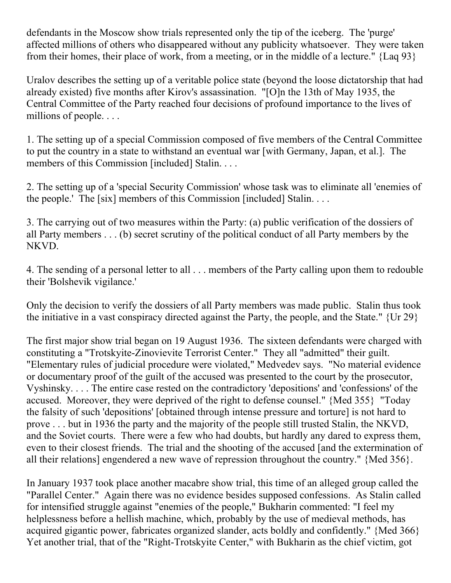defendants in the Moscow show trials represented only the tip of the iceberg. The 'purge' affected millions of others who disappeared without any publicity whatsoever. They were taken from their homes, their place of work, from a meeting, or in the middle of a lecture." {Laq 93}

Uralov describes the setting up of a veritable police state (beyond the loose dictatorship that had already existed) five months after Kirov's assassination. "[O]n the 13th of May 1935, the Central Committee of the Party reached four decisions of profound importance to the lives of millions of people. . . .

1. The setting up of a special Commission composed of five members of the Central Committee to put the country in a state to withstand an eventual war [with Germany, Japan, et al.]. The members of this Commission [included] Stalin. . . .

2. The setting up of a 'special Security Commission' whose task was to eliminate all 'enemies of the people.' The [six] members of this Commission [included] Stalin....

3. The carrying out of two measures within the Party: (a) public verification of the dossiers of all Party members . . . (b) secret scrutiny of the political conduct of all Party members by the NKVD.

4. The sending of a personal letter to all . . . members of the Party calling upon them to redouble their 'Bolshevik vigilance.'

Only the decision to verify the dossiers of all Party members was made public. Stalin thus took the initiative in a vast conspiracy directed against the Party, the people, and the State." {Ur 29}

The first major show trial began on 19 August 1936. The sixteen defendants were charged with constituting a "Trotskyite-Zinovievite Terrorist Center." They all "admitted" their guilt. "Elementary rules of judicial procedure were violated," Medvedev says. "No material evidence or documentary proof of the guilt of the accused was presented to the court by the prosecutor, Vyshinsky. . . . The entire case rested on the contradictory 'depositions' and 'confessions' of the accused. Moreover, they were deprived of the right to defense counsel." {Med 355} "Today the falsity of such 'depositions' [obtained through intense pressure and torture] is not hard to prove . . . but in 1936 the party and the majority of the people still trusted Stalin, the NKVD, and the Soviet courts. There were a few who had doubts, but hardly any dared to express them, even to their closest friends. The trial and the shooting of the accused [and the extermination of all their relations] engendered a new wave of repression throughout the country." {Med 356}.

In January 1937 took place another macabre show trial, this time of an alleged group called the "Parallel Center." Again there was no evidence besides supposed confessions. As Stalin called for intensified struggle against "enemies of the people," Bukharin commented: "I feel my helplessness before a hellish machine, which, probably by the use of medieval methods, has acquired gigantic power, fabricates organized slander, acts boldly and confidently." {Med 366} Yet another trial, that of the "Right-Trotskyite Center," with Bukharin as the chief victim, got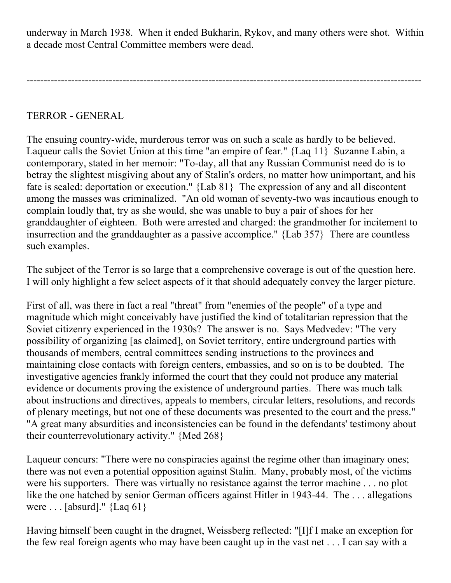underway in March 1938. When it ended Bukharin, Rykov, and many others were shot. Within a decade most Central Committee members were dead.

-------------------------------------------------------------------------------------------------------------------

TERROR - GENERAL

The ensuing country-wide, murderous terror was on such a scale as hardly to be believed. Laqueur calls the Soviet Union at this time "an empire of fear." {Laq 11} Suzanne Labin, a contemporary, stated in her memoir: "To-day, all that any Russian Communist need do is to betray the slightest misgiving about any of Stalin's orders, no matter how unimportant, and his fate is sealed: deportation or execution." {Lab 81} The expression of any and all discontent among the masses was criminalized. "An old woman of seventy-two was incautious enough to complain loudly that, try as she would, she was unable to buy a pair of shoes for her granddaughter of eighteen. Both were arrested and charged: the grandmother for incitement to insurrection and the granddaughter as a passive accomplice." {Lab 357} There are countless such examples.

The subject of the Terror is so large that a comprehensive coverage is out of the question here. I will only highlight a few select aspects of it that should adequately convey the larger picture.

First of all, was there in fact a real "threat" from "enemies of the people" of a type and magnitude which might conceivably have justified the kind of totalitarian repression that the Soviet citizenry experienced in the 1930s? The answer is no. Says Medvedev: "The very possibility of organizing [as claimed], on Soviet territory, entire underground parties with thousands of members, central committees sending instructions to the provinces and maintaining close contacts with foreign centers, embassies, and so on is to be doubted. The investigative agencies frankly informed the court that they could not produce any material evidence or documents proving the existence of underground parties. There was much talk about instructions and directives, appeals to members, circular letters, resolutions, and records of plenary meetings, but not one of these documents was presented to the court and the press." "A great many absurdities and inconsistencies can be found in the defendants' testimony about their counterrevolutionary activity." {Med 268}

Laqueur concurs: "There were no conspiracies against the regime other than imaginary ones; there was not even a potential opposition against Stalin. Many, probably most, of the victims were his supporters. There was virtually no resistance against the terror machine . . . no plot like the one hatched by senior German officers against Hitler in 1943-44. The ... allegations were . . . [absurd]." {Laq 61}

Having himself been caught in the dragnet, Weissberg reflected: "[I]f I make an exception for the few real foreign agents who may have been caught up in the vast net . . . I can say with a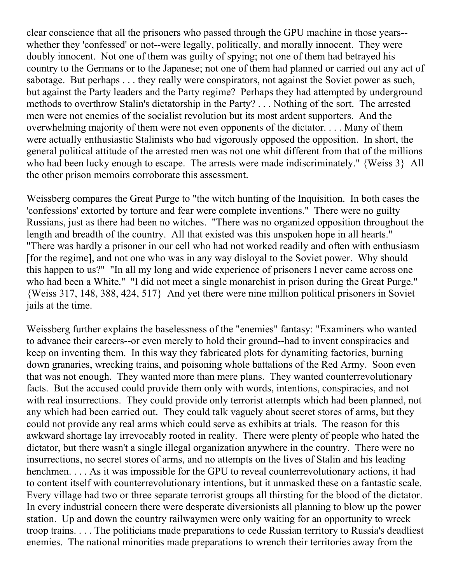clear conscience that all the prisoners who passed through the GPU machine in those years- whether they 'confessed' or not--were legally, politically, and morally innocent. They were doubly innocent. Not one of them was guilty of spying; not one of them had betrayed his country to the Germans or to the Japanese; not one of them had planned or carried out any act of sabotage. But perhaps . . . they really were conspirators, not against the Soviet power as such, but against the Party leaders and the Party regime? Perhaps they had attempted by underground methods to overthrow Stalin's dictatorship in the Party? . . . Nothing of the sort. The arrested men were not enemies of the socialist revolution but its most ardent supporters. And the overwhelming majority of them were not even opponents of the dictator. . . . Many of them were actually enthusiastic Stalinists who had vigorously opposed the opposition. In short, the general political attitude of the arrested men was not one whit different from that of the millions who had been lucky enough to escape. The arrests were made indiscriminately." {Weiss 3} All the other prison memoirs corroborate this assessment.

Weissberg compares the Great Purge to "the witch hunting of the Inquisition. In both cases the 'confessions' extorted by torture and fear were complete inventions." There were no guilty Russians, just as there had been no witches. "There was no organized opposition throughout the length and breadth of the country. All that existed was this unspoken hope in all hearts." "There was hardly a prisoner in our cell who had not worked readily and often with enthusiasm [for the regime], and not one who was in any way disloyal to the Soviet power. Why should this happen to us?" "In all my long and wide experience of prisoners I never came across one who had been a White." "I did not meet a single monarchist in prison during the Great Purge." {Weiss 317, 148, 388, 424, 517} And yet there were nine million political prisoners in Soviet jails at the time.

Weissberg further explains the baselessness of the "enemies" fantasy: "Examiners who wanted to advance their careers--or even merely to hold their ground--had to invent conspiracies and keep on inventing them. In this way they fabricated plots for dynamiting factories, burning down granaries, wrecking trains, and poisoning whole battalions of the Red Army. Soon even that was not enough. They wanted more than mere plans. They wanted counterrevolutionary facts. But the accused could provide them only with words, intentions, conspiracies, and not with real insurrections. They could provide only terrorist attempts which had been planned, not any which had been carried out. They could talk vaguely about secret stores of arms, but they could not provide any real arms which could serve as exhibits at trials. The reason for this awkward shortage lay irrevocably rooted in reality. There were plenty of people who hated the dictator, but there wasn't a single illegal organization anywhere in the country. There were no insurrections, no secret stores of arms, and no attempts on the lives of Stalin and his leading henchmen. . . . As it was impossible for the GPU to reveal counterrevolutionary actions, it had to content itself with counterrevolutionary intentions, but it unmasked these on a fantastic scale. Every village had two or three separate terrorist groups all thirsting for the blood of the dictator. In every industrial concern there were desperate diversionists all planning to blow up the power station. Up and down the country railwaymen were only waiting for an opportunity to wreck troop trains. . . . The politicians made preparations to cede Russian territory to Russia's deadliest enemies. The national minorities made preparations to wrench their territories away from the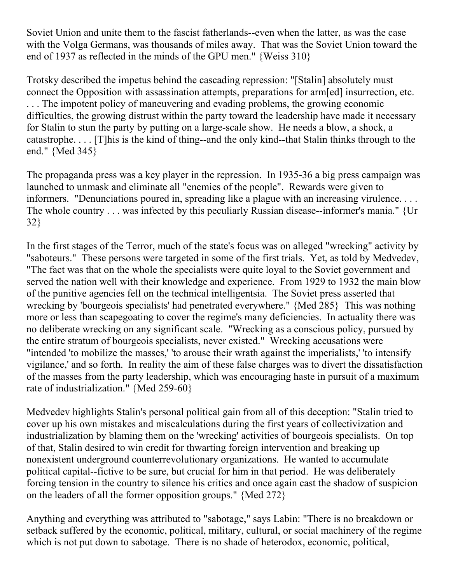Soviet Union and unite them to the fascist fatherlands--even when the latter, as was the case with the Volga Germans, was thousands of miles away. That was the Soviet Union toward the end of 1937 as reflected in the minds of the GPU men." {Weiss 310}

Trotsky described the impetus behind the cascading repression: "[Stalin] absolutely must connect the Opposition with assassination attempts, preparations for arm[ed] insurrection, etc. ... The impotent policy of maneuvering and evading problems, the growing economic difficulties, the growing distrust within the party toward the leadership have made it necessary for Stalin to stun the party by putting on a large-scale show. He needs a blow, a shock, a catastrophe. . . . [T]his is the kind of thing--and the only kind--that Stalin thinks through to the end." {Med 345}

The propaganda press was a key player in the repression. In 1935-36 a big press campaign was launched to unmask and eliminate all "enemies of the people". Rewards were given to informers. "Denunciations poured in, spreading like a plague with an increasing virulence. . . . The whole country . . . was infected by this peculiarly Russian disease--informer's mania." {Ur 32}

In the first stages of the Terror, much of the state's focus was on alleged "wrecking" activity by "saboteurs." These persons were targeted in some of the first trials. Yet, as told by Medvedev, "The fact was that on the whole the specialists were quite loyal to the Soviet government and served the nation well with their knowledge and experience. From 1929 to 1932 the main blow of the punitive agencies fell on the technical intelligentsia. The Soviet press asserted that wrecking by 'bourgeois specialists' had penetrated everywhere." {Med 285} This was nothing more or less than scapegoating to cover the regime's many deficiencies. In actuality there was no deliberate wrecking on any significant scale. "Wrecking as a conscious policy, pursued by the entire stratum of bourgeois specialists, never existed." Wrecking accusations were "intended 'to mobilize the masses,' 'to arouse their wrath against the imperialists,' 'to intensify vigilance,' and so forth. In reality the aim of these false charges was to divert the dissatisfaction of the masses from the party leadership, which was encouraging haste in pursuit of a maximum rate of industrialization." {Med 259-60}

Medvedev highlights Stalin's personal political gain from all of this deception: "Stalin tried to cover up his own mistakes and miscalculations during the first years of collectivization and industrialization by blaming them on the 'wrecking' activities of bourgeois specialists. On top of that, Stalin desired to win credit for thwarting foreign intervention and breaking up nonexistent underground counterrevolutionary organizations. He wanted to accumulate political capital--fictive to be sure, but crucial for him in that period. He was deliberately forcing tension in the country to silence his critics and once again cast the shadow of suspicion on the leaders of all the former opposition groups." {Med 272}

Anything and everything was attributed to "sabotage," says Labin: "There is no breakdown or setback suffered by the economic, political, military, cultural, or social machinery of the regime which is not put down to sabotage. There is no shade of heterodox, economic, political,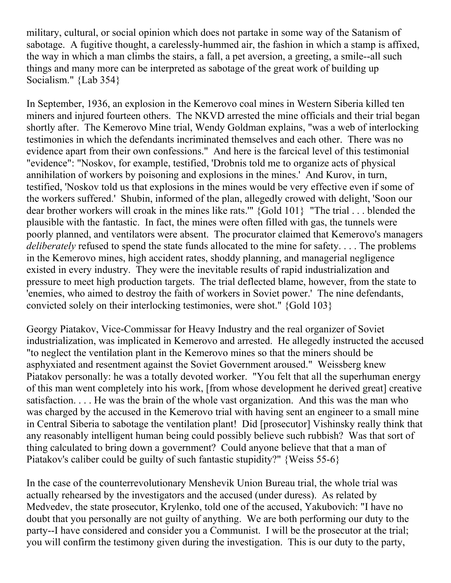military, cultural, or social opinion which does not partake in some way of the Satanism of sabotage. A fugitive thought, a carelessly-hummed air, the fashion in which a stamp is affixed, the way in which a man climbs the stairs, a fall, a pet aversion, a greeting, a smile--all such things and many more can be interpreted as sabotage of the great work of building up Socialism." {Lab 354}

In September, 1936, an explosion in the Kemerovo coal mines in Western Siberia killed ten miners and injured fourteen others. The NKVD arrested the mine officials and their trial began shortly after. The Kemerovo Mine trial, Wendy Goldman explains, "was a web of interlocking testimonies in which the defendants incriminated themselves and each other. There was no evidence apart from their own confessions." And here is the farcical level of this testimonial "evidence": "Noskov, for example, testified, 'Drobnis told me to organize acts of physical annihilation of workers by poisoning and explosions in the mines.' And Kurov, in turn, testified, 'Noskov told us that explosions in the mines would be very effective even if some of the workers suffered.' Shubin, informed of the plan, allegedly crowed with delight, 'Soon our dear brother workers will croak in the mines like rats.'" {Gold 101} "The trial . . . blended the plausible with the fantastic. In fact, the mines were often filled with gas, the tunnels were poorly planned, and ventilators were absent. The procurator claimed that Kemerovo's managers *deliberately* refused to spend the state funds allocated to the mine for safety. . . . The problems in the Kemerovo mines, high accident rates, shoddy planning, and managerial negligence existed in every industry. They were the inevitable results of rapid industrialization and pressure to meet high production targets. The trial deflected blame, however, from the state to 'enemies, who aimed to destroy the faith of workers in Soviet power.' The nine defendants, convicted solely on their interlocking testimonies, were shot." {Gold 103}

Georgy Piatakov, Vice-Commissar for Heavy Industry and the real organizer of Soviet industrialization, was implicated in Kemerovo and arrested. He allegedly instructed the accused "to neglect the ventilation plant in the Kemerovo mines so that the miners should be asphyxiated and resentment against the Soviet Government aroused." Weissberg knew Piatakov personally: he was a totally devoted worker. "You felt that all the superhuman energy of this man went completely into his work, [from whose development he derived great] creative satisfaction. . . . He was the brain of the whole vast organization. And this was the man who was charged by the accused in the Kemerovo trial with having sent an engineer to a small mine in Central Siberia to sabotage the ventilation plant! Did [prosecutor] Vishinsky really think that any reasonably intelligent human being could possibly believe such rubbish? Was that sort of thing calculated to bring down a government? Could anyone believe that that a man of Piatakov's caliber could be guilty of such fantastic stupidity?" {Weiss 55-6}

In the case of the counterrevolutionary Menshevik Union Bureau trial, the whole trial was actually rehearsed by the investigators and the accused (under duress). As related by Medvedev, the state prosecutor, Krylenko, told one of the accused, Yakubovich: "I have no doubt that you personally are not guilty of anything. We are both performing our duty to the party--I have considered and consider you a Communist. I will be the prosecutor at the trial; you will confirm the testimony given during the investigation. This is our duty to the party,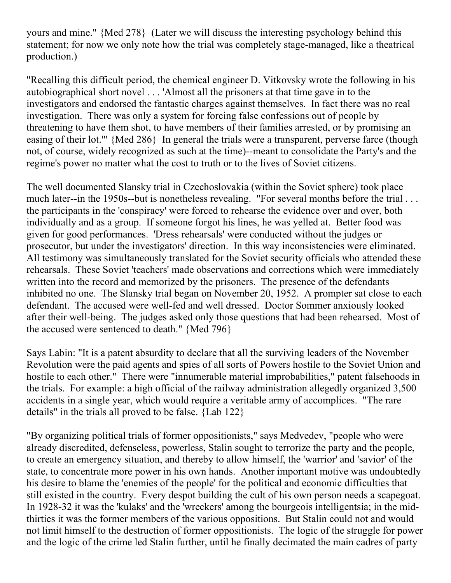yours and mine." {Med 278} (Later we will discuss the interesting psychology behind this statement; for now we only note how the trial was completely stage-managed, like a theatrical production.)

"Recalling this difficult period, the chemical engineer D. Vitkovsky wrote the following in his autobiographical short novel . . . 'Almost all the prisoners at that time gave in to the investigators and endorsed the fantastic charges against themselves. In fact there was no real investigation. There was only a system for forcing false confessions out of people by threatening to have them shot, to have members of their families arrested, or by promising an easing of their lot.'" {Med 286} In general the trials were a transparent, perverse farce (though not, of course, widely recognized as such at the time)--meant to consolidate the Party's and the regime's power no matter what the cost to truth or to the lives of Soviet citizens.

The well documented Slansky trial in Czechoslovakia (within the Soviet sphere) took place much later--in the 1950s--but is nonetheless revealing. "For several months before the trial ... the participants in the 'conspiracy' were forced to rehearse the evidence over and over, both individually and as a group. If someone forgot his lines, he was yelled at. Better food was given for good performances. 'Dress rehearsals' were conducted without the judges or prosecutor, but under the investigators' direction. In this way inconsistencies were eliminated. All testimony was simultaneously translated for the Soviet security officials who attended these rehearsals. These Soviet 'teachers' made observations and corrections which were immediately written into the record and memorized by the prisoners. The presence of the defendants inhibited no one. The Slansky trial began on November 20, 1952. A prompter sat close to each defendant. The accused were well-fed and well dressed. Doctor Sommer anxiously looked after their well-being. The judges asked only those questions that had been rehearsed. Most of the accused were sentenced to death." {Med 796}

Says Labin: "It is a patent absurdity to declare that all the surviving leaders of the November Revolution were the paid agents and spies of all sorts of Powers hostile to the Soviet Union and hostile to each other." There were "innumerable material improbabilities," patent falsehoods in the trials. For example: a high official of the railway administration allegedly organized 3,500 accidents in a single year, which would require a veritable army of accomplices. "The rare details" in the trials all proved to be false. {Lab 122}

"By organizing political trials of former oppositionists," says Medvedev, "people who were already discredited, defenseless, powerless, Stalin sought to terrorize the party and the people, to create an emergency situation, and thereby to allow himself, the 'warrior' and 'savior' of the state, to concentrate more power in his own hands. Another important motive was undoubtedly his desire to blame the 'enemies of the people' for the political and economic difficulties that still existed in the country. Every despot building the cult of his own person needs a scapegoat. In 1928-32 it was the 'kulaks' and the 'wreckers' among the bourgeois intelligentsia; in the midthirties it was the former members of the various oppositions. But Stalin could not and would not limit himself to the destruction of former oppositionists. The logic of the struggle for power and the logic of the crime led Stalin further, until he finally decimated the main cadres of party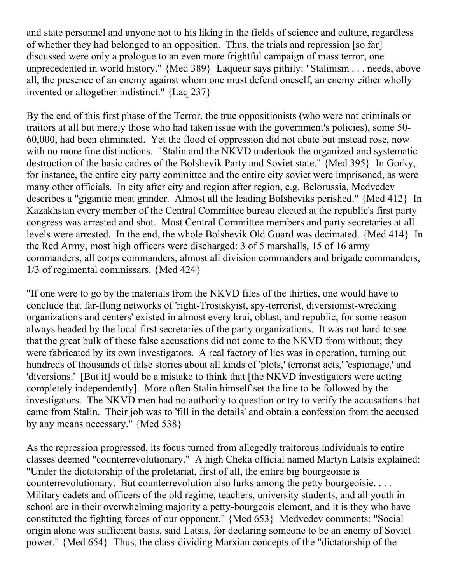and state personnel and anyone not to his liking in the fields of science and culture, regardless of whether they had belonged to an opposition. Thus, the trials and repression [so far] discussed were only a prologue to an even more frightful campaign of mass terror, one unprecedented in world history." {Med 389} Laqueur says pithily: "Stalinism . . . needs, above all, the presence of an enemy against whom one must defend oneself, an enemy either wholly invented or altogether indistinct." {Laq 237}

By the end of this first phase of the Terror, the true oppositionists (who were not criminals or traitors at all but merely those who had taken issue with the government's policies), some 50- 60,000, had been eliminated. Yet the flood of oppression did not abate but instead rose, now with no more fine distinctions. "Stalin and the NKVD undertook the organized and systematic destruction of the basic cadres of the Bolshevik Party and Soviet state." {Med 395} In Gorky, for instance, the entire city party committee and the entire city soviet were imprisoned, as were many other officials. In city after city and region after region, e.g. Belorussia, Medvedev describes a "gigantic meat grinder. Almost all the leading Bolsheviks perished." {Med 412} In Kazakhstan every member of the Central Committee bureau elected at the republic's first party congress was arrested and shot. Most Central Committee members and party secretaries at all levels were arrested. In the end, the whole Bolshevik Old Guard was decimated. {Med 414} In the Red Army, most high officers were discharged: 3 of 5 marshalls, 15 of 16 army commanders, all corps commanders, almost all division commanders and brigade commanders, 1/3 of regimental commissars. {Med 424}

"If one were to go by the materials from the NKVD files of the thirties, one would have to conclude that far-flung networks of 'right-Trostskyist, spy-terrorist, diversionist-wrecking organizations and centers' existed in almost every krai, oblast, and republic, for some reason always headed by the local first secretaries of the party organizations. It was not hard to see that the great bulk of these false accusations did not come to the NKVD from without; they were fabricated by its own investigators. A real factory of lies was in operation, turning out hundreds of thousands of false stories about all kinds of 'plots,' terrorist acts,' 'espionage,' and 'diversions.' [But it] would be a mistake to think that [the NKVD investigators were acting completely independently]. More often Stalin himself set the line to be followed by the investigators. The NKVD men had no authority to question or try to verify the accusations that came from Stalin. Their job was to 'fill in the details' and obtain a confession from the accused by any means necessary." {Med 538}

As the repression progressed, its focus turned from allegedly traitorous individuals to entire classes deemed "counterrevolutionary." A high Cheka official named Martyn Latsis explained: "Under the dictatorship of the proletariat, first of all, the entire big bourgeoisie is counterrevolutionary. But counterrevolution also lurks among the petty bourgeoisie.... Military cadets and officers of the old regime, teachers, university students, and all youth in school are in their overwhelming majority a petty-bourgeois element, and it is they who have constituted the fighting forces of our opponent." {Med 653} Medvedev comments: "Social origin alone was sufficient basis, said Latsis, for declaring someone to be an enemy of Soviet power." {Med 654} Thus, the class-dividing Marxian concepts of the "dictatorship of the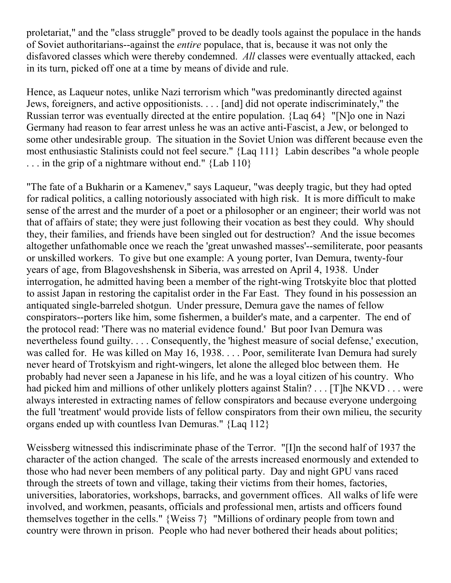proletariat," and the "class struggle" proved to be deadly tools against the populace in the hands of Soviet authoritarians--against the *entire* populace, that is, because it was not only the disfavored classes which were thereby condemned. *All* classes were eventually attacked, each in its turn, picked off one at a time by means of divide and rule.

Hence, as Laqueur notes, unlike Nazi terrorism which "was predominantly directed against Jews, foreigners, and active oppositionists. . . . [and] did not operate indiscriminately," the Russian terror was eventually directed at the entire population. {Laq 64} "[N]o one in Nazi Germany had reason to fear arrest unless he was an active anti-Fascist, a Jew, or belonged to some other undesirable group. The situation in the Soviet Union was different because even the most enthusiastic Stalinists could not feel secure." {Laq 111} Labin describes "a whole people ... in the grip of a nightmare without end." {Lab 110}

"The fate of a Bukharin or a Kamenev," says Laqueur, "was deeply tragic, but they had opted for radical politics, a calling notoriously associated with high risk. It is more difficult to make sense of the arrest and the murder of a poet or a philosopher or an engineer; their world was not that of affairs of state; they were just following their vocation as best they could. Why should they, their families, and friends have been singled out for destruction? And the issue becomes altogether unfathomable once we reach the 'great unwashed masses'--semiliterate, poor peasants or unskilled workers. To give but one example: A young porter, Ivan Demura, twenty-four years of age, from Blagoveshshensk in Siberia, was arrested on April 4, 1938. Under interrogation, he admitted having been a member of the right-wing Trotskyite bloc that plotted to assist Japan in restoring the capitalist order in the Far East. They found in his possession an antiquated single-barreled shotgun. Under pressure, Demura gave the names of fellow conspirators--porters like him, some fishermen, a builder's mate, and a carpenter. The end of the protocol read: 'There was no material evidence found.' But poor Ivan Demura was nevertheless found guilty. . . . Consequently, the 'highest measure of social defense,' execution, was called for. He was killed on May 16, 1938. . . . Poor, semiliterate Ivan Demura had surely never heard of Trotskyism and right-wingers, let alone the alleged bloc between them. He probably had never seen a Japanese in his life, and he was a loyal citizen of his country. Who had picked him and millions of other unlikely plotters against Stalin? . . . [T]he NKVD . . . were always interested in extracting names of fellow conspirators and because everyone undergoing the full 'treatment' would provide lists of fellow conspirators from their own milieu, the security organs ended up with countless Ivan Demuras." {Laq 112}

Weissberg witnessed this indiscriminate phase of the Terror. "[I]n the second half of 1937 the character of the action changed. The scale of the arrests increased enormously and extended to those who had never been members of any political party. Day and night GPU vans raced through the streets of town and village, taking their victims from their homes, factories, universities, laboratories, workshops, barracks, and government offices. All walks of life were involved, and workmen, peasants, officials and professional men, artists and officers found themselves together in the cells." {Weiss 7} "Millions of ordinary people from town and country were thrown in prison. People who had never bothered their heads about politics;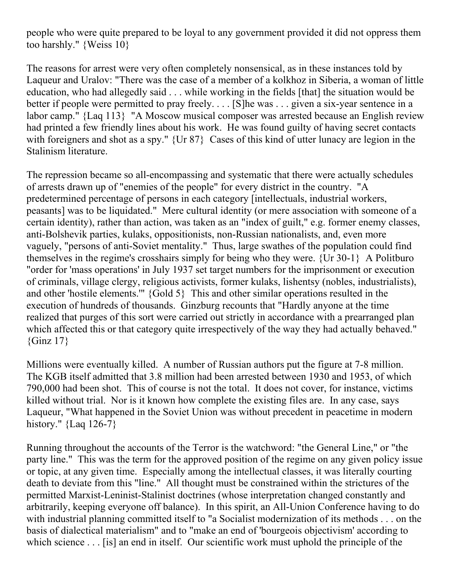people who were quite prepared to be loyal to any government provided it did not oppress them too harshly." {Weiss 10}

The reasons for arrest were very often completely nonsensical, as in these instances told by Laqueur and Uralov: "There was the case of a member of a kolkhoz in Siberia, a woman of little education, who had allegedly said . . . while working in the fields [that] the situation would be better if people were permitted to pray freely.... [S] he was ... given a six-year sentence in a labor camp." {Laq 113} "A Moscow musical composer was arrested because an English review had printed a few friendly lines about his work. He was found guilty of having secret contacts with foreigners and shot as a spy." {Ur 87} Cases of this kind of utter lunacy are legion in the Stalinism literature.

The repression became so all-encompassing and systematic that there were actually schedules of arrests drawn up of "enemies of the people" for every district in the country. "A predetermined percentage of persons in each category [intellectuals, industrial workers, peasants] was to be liquidated." Mere cultural identity (or mere association with someone of a certain identity), rather than action, was taken as an "index of guilt," e.g. former enemy classes, anti-Bolshevik parties, kulaks, oppositionists, non-Russian nationalists, and, even more vaguely, "persons of anti-Soviet mentality." Thus, large swathes of the population could find themselves in the regime's crosshairs simply for being who they were. {Ur 30-1} A Politburo "order for 'mass operations' in July 1937 set target numbers for the imprisonment or execution of criminals, village clergy, religious activists, former kulaks, lishentsy (nobles, industrialists), and other 'hostile elements.'" {Gold 5} This and other similar operations resulted in the execution of hundreds of thousands. Ginzburg recounts that "Hardly anyone at the time realized that purges of this sort were carried out strictly in accordance with a prearranged plan which affected this or that category quite irrespectively of the way they had actually behaved."  ${Ginz 17}$ 

Millions were eventually killed. A number of Russian authors put the figure at 7-8 million. The KGB itself admitted that 3.8 million had been arrested between 1930 and 1953, of which 790,000 had been shot. This of course is not the total. It does not cover, for instance, victims killed without trial. Nor is it known how complete the existing files are. In any case, says Laqueur, "What happened in the Soviet Union was without precedent in peacetime in modern history." {Laq 126-7}

Running throughout the accounts of the Terror is the watchword: "the General Line," or "the party line." This was the term for the approved position of the regime on any given policy issue or topic, at any given time. Especially among the intellectual classes, it was literally courting death to deviate from this "line." All thought must be constrained within the strictures of the permitted Marxist-Leninist-Stalinist doctrines (whose interpretation changed constantly and arbitrarily, keeping everyone off balance). In this spirit, an All-Union Conference having to do with industrial planning committed itself to "a Socialist modernization of its methods . . . on the basis of dialectical materialism" and to "make an end of 'bourgeois objectivism' according to which science . . . [is] an end in itself. Our scientific work must uphold the principle of the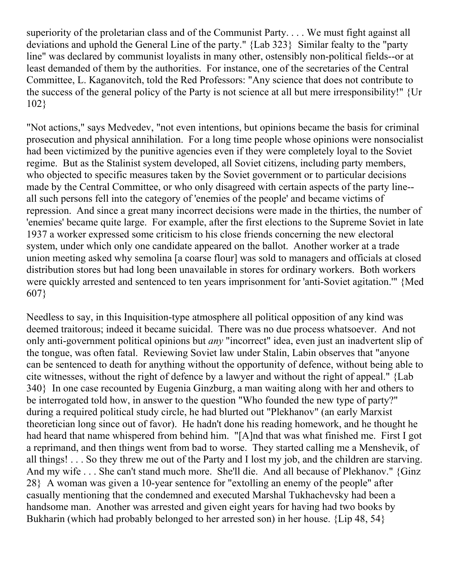superiority of the proletarian class and of the Communist Party. . . . We must fight against all deviations and uphold the General Line of the party." {Lab 323} Similar fealty to the "party line" was declared by communist loyalists in many other, ostensibly non-political fields--or at least demanded of them by the authorities. For instance, one of the secretaries of the Central Committee, L. Kaganovitch, told the Red Professors: "Any science that does not contribute to the success of the general policy of the Party is not science at all but mere irresponsibility!" {Ur 102}

"Not actions," says Medvedev, "not even intentions, but opinions became the basis for criminal prosecution and physical annihilation. For a long time people whose opinions were nonsocialist had been victimized by the punitive agencies even if they were completely loyal to the Soviet regime. But as the Stalinist system developed, all Soviet citizens, including party members, who objected to specific measures taken by the Soviet government or to particular decisions made by the Central Committee, or who only disagreed with certain aspects of the party line- all such persons fell into the category of 'enemies of the people' and became victims of repression. And since a great many incorrect decisions were made in the thirties, the number of 'enemies' became quite large. For example, after the first elections to the Supreme Soviet in late 1937 a worker expressed some criticism to his close friends concerning the new electoral system, under which only one candidate appeared on the ballot. Another worker at a trade union meeting asked why semolina [a coarse flour] was sold to managers and officials at closed distribution stores but had long been unavailable in stores for ordinary workers. Both workers were quickly arrested and sentenced to ten years imprisonment for 'anti-Soviet agitation.'" {Med 607}

Needless to say, in this Inquisition-type atmosphere all political opposition of any kind was deemed traitorous; indeed it became suicidal. There was no due process whatsoever. And not only anti-government political opinions but *any* "incorrect" idea, even just an inadvertent slip of the tongue, was often fatal. Reviewing Soviet law under Stalin, Labin observes that "anyone can be sentenced to death for anything without the opportunity of defence, without being able to cite witnesses, without the right of defence by a lawyer and without the right of appeal." {Lab 340} In one case recounted by Eugenia Ginzburg, a man waiting along with her and others to be interrogated told how, in answer to the question "Who founded the new type of party?" during a required political study circle, he had blurted out "Plekhanov" (an early Marxist theoretician long since out of favor). He hadn't done his reading homework, and he thought he had heard that name whispered from behind him. "[A]nd that was what finished me. First I got a reprimand, and then things went from bad to worse. They started calling me a Menshevik, of all things! . . . So they threw me out of the Party and I lost my job, and the children are starving. And my wife . . . She can't stand much more. She'll die. And all because of Plekhanov." {Ginz 28} A woman was given a 10-year sentence for "extolling an enemy of the people" after casually mentioning that the condemned and executed Marshal Tukhachevsky had been a handsome man. Another was arrested and given eight years for having had two books by Bukharin (which had probably belonged to her arrested son) in her house. {Lip 48, 54}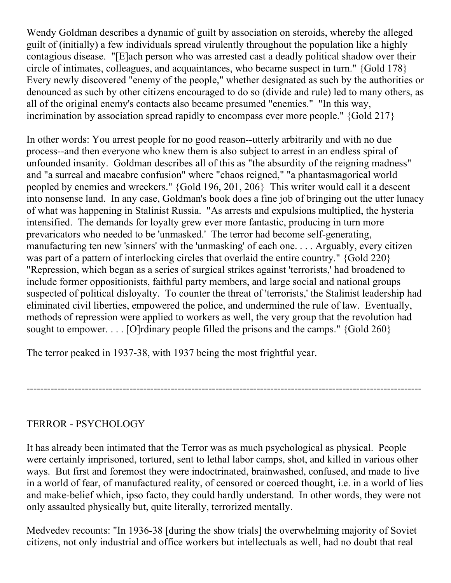Wendy Goldman describes a dynamic of guilt by association on steroids, whereby the alleged guilt of (initially) a few individuals spread virulently throughout the population like a highly contagious disease. "[E]ach person who was arrested cast a deadly political shadow over their circle of intimates, colleagues, and acquaintances, who became suspect in turn." {Gold 178} Every newly discovered "enemy of the people," whether designated as such by the authorities or denounced as such by other citizens encouraged to do so (divide and rule) led to many others, as all of the original enemy's contacts also became presumed "enemies." "In this way, incrimination by association spread rapidly to encompass ever more people." {Gold 217}

In other words: You arrest people for no good reason--utterly arbitrarily and with no due process--and then everyone who knew them is also subject to arrest in an endless spiral of unfounded insanity. Goldman describes all of this as "the absurdity of the reigning madness" and "a surreal and macabre confusion" where "chaos reigned," "a phantasmagorical world peopled by enemies and wreckers." {Gold 196, 201, 206} This writer would call it a descent into nonsense land. In any case, Goldman's book does a fine job of bringing out the utter lunacy of what was happening in Stalinist Russia. "As arrests and expulsions multiplied, the hysteria intensified. The demands for loyalty grew ever more fantastic, producing in turn more prevaricators who needed to be 'unmasked.' The terror had become self-generating, manufacturing ten new 'sinners' with the 'unmasking' of each one. . . . Arguably, every citizen was part of a pattern of interlocking circles that overlaid the entire country." {Gold 220} "Repression, which began as a series of surgical strikes against 'terrorists,' had broadened to include former oppositionists, faithful party members, and large social and national groups suspected of political disloyalty. To counter the threat of 'terrorists,' the Stalinist leadership had eliminated civil liberties, empowered the police, and undermined the rule of law. Eventually, methods of repression were applied to workers as well, the very group that the revolution had sought to empower. . . . [O]rdinary people filled the prisons and the camps."  $\{Gold\ 260\}$ 

The terror peaked in 1937-38, with 1937 being the most frightful year.

# TERROR - PSYCHOLOGY

It has already been intimated that the Terror was as much psychological as physical. People were certainly imprisoned, tortured, sent to lethal labor camps, shot, and killed in various other ways. But first and foremost they were indoctrinated, brainwashed, confused, and made to live in a world of fear, of manufactured reality, of censored or coerced thought, i.e. in a world of lies and make-belief which, ipso facto, they could hardly understand. In other words, they were not only assaulted physically but, quite literally, terrorized mentally.

-------------------------------------------------------------------------------------------------------------------

Medvedev recounts: "In 1936-38 [during the show trials] the overwhelming majority of Soviet citizens, not only industrial and office workers but intellectuals as well, had no doubt that real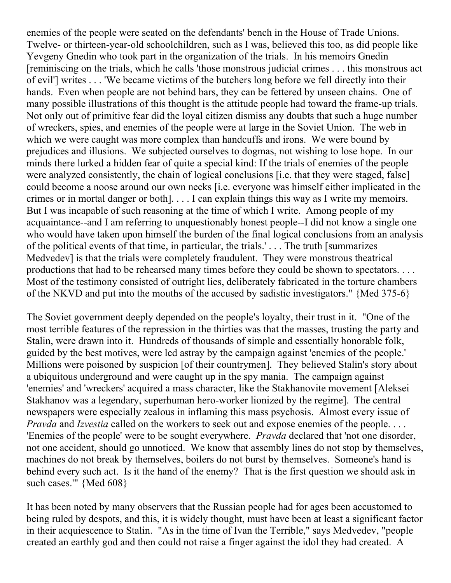enemies of the people were seated on the defendants' bench in the House of Trade Unions. Twelve- or thirteen-year-old schoolchildren, such as I was, believed this too, as did people like Yevgeny Gnedin who took part in the organization of the trials. In his memoirs Gnedin [reminiscing on the trials, which he calls 'those monstrous judicial crimes . . . this monstrous act of evil'] writes . . . 'We became victims of the butchers long before we fell directly into their hands. Even when people are not behind bars, they can be fettered by unseen chains. One of many possible illustrations of this thought is the attitude people had toward the frame-up trials. Not only out of primitive fear did the loyal citizen dismiss any doubts that such a huge number of wreckers, spies, and enemies of the people were at large in the Soviet Union. The web in which we were caught was more complex than handcuffs and irons. We were bound by prejudices and illusions. We subjected ourselves to dogmas, not wishing to lose hope. In our minds there lurked a hidden fear of quite a special kind: If the trials of enemies of the people were analyzed consistently, the chain of logical conclusions [i.e. that they were staged, false] could become a noose around our own necks [i.e. everyone was himself either implicated in the crimes or in mortal danger or both]. . . . I can explain things this way as I write my memoirs. But I was incapable of such reasoning at the time of which I write. Among people of my acquaintance--and I am referring to unquestionably honest people--I did not know a single one who would have taken upon himself the burden of the final logical conclusions from an analysis of the political events of that time, in particular, the trials.' . . . The truth [summarizes Medvedev] is that the trials were completely fraudulent. They were monstrous theatrical productions that had to be rehearsed many times before they could be shown to spectators. . . . Most of the testimony consisted of outright lies, deliberately fabricated in the torture chambers of the NKVD and put into the mouths of the accused by sadistic investigators." {Med 375-6}

The Soviet government deeply depended on the people's loyalty, their trust in it. "One of the most terrible features of the repression in the thirties was that the masses, trusting the party and Stalin, were drawn into it. Hundreds of thousands of simple and essentially honorable folk, guided by the best motives, were led astray by the campaign against 'enemies of the people.' Millions were poisoned by suspicion [of their countrymen]. They believed Stalin's story about a ubiquitous underground and were caught up in the spy mania. The campaign against 'enemies' and 'wreckers' acquired a mass character, like the Stakhanovite movement [Aleksei Stakhanov was a legendary, superhuman hero-worker lionized by the regime]. The central newspapers were especially zealous in inflaming this mass psychosis. Almost every issue of *Pravda* and *Izvestia* called on the workers to seek out and expose enemies of the people. . . . 'Enemies of the people' were to be sought everywhere. *Pravda* declared that 'not one disorder, not one accident, should go unnoticed. We know that assembly lines do not stop by themselves, machines do not break by themselves, boilers do not burst by themselves. Someone's hand is behind every such act. Is it the hand of the enemy? That is the first question we should ask in such cases.'" {Med 608}

It has been noted by many observers that the Russian people had for ages been accustomed to being ruled by despots, and this, it is widely thought, must have been at least a significant factor in their acquiescence to Stalin. "As in the time of Ivan the Terrible," says Medvedev, "people created an earthly god and then could not raise a finger against the idol they had created. A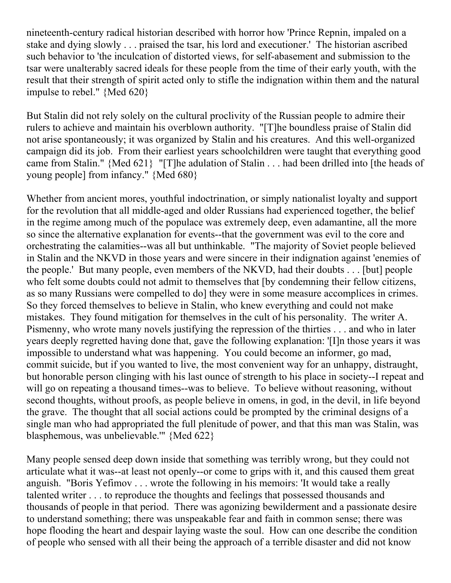nineteenth-century radical historian described with horror how 'Prince Repnin, impaled on a stake and dying slowly . . . praised the tsar, his lord and executioner.' The historian ascribed such behavior to 'the inculcation of distorted views, for self-abasement and submission to the tsar were unalterably sacred ideals for these people from the time of their early youth, with the result that their strength of spirit acted only to stifle the indignation within them and the natural impulse to rebel." {Med 620}

But Stalin did not rely solely on the cultural proclivity of the Russian people to admire their rulers to achieve and maintain his overblown authority. "[T]he boundless praise of Stalin did not arise spontaneously; it was organized by Stalin and his creatures. And this well-organized campaign did its job. From their earliest years schoolchildren were taught that everything good came from Stalin." {Med 621} "[T]he adulation of Stalin . . . had been drilled into [the heads of young people] from infancy." {Med 680}

Whether from ancient mores, youthful indoctrination, or simply nationalist loyalty and support for the revolution that all middle-aged and older Russians had experienced together, the belief in the regime among much of the populace was extremely deep, even adamantine, all the more so since the alternative explanation for events--that the government was evil to the core and orchestrating the calamities--was all but unthinkable. "The majority of Soviet people believed in Stalin and the NKVD in those years and were sincere in their indignation against 'enemies of the people.' But many people, even members of the NKVD, had their doubts . . . [but] people who felt some doubts could not admit to themselves that [by condemning their fellow citizens, as so many Russians were compelled to do] they were in some measure accomplices in crimes. So they forced themselves to believe in Stalin, who knew everything and could not make mistakes. They found mitigation for themselves in the cult of his personality. The writer A. Pismenny, who wrote many novels justifying the repression of the thirties . . . and who in later years deeply regretted having done that, gave the following explanation: '[I]n those years it was impossible to understand what was happening. You could become an informer, go mad, commit suicide, but if you wanted to live, the most convenient way for an unhappy, distraught, but honorable person clinging with his last ounce of strength to his place in society--I repeat and will go on repeating a thousand times--was to believe. To believe without reasoning, without second thoughts, without proofs, as people believe in omens, in god, in the devil, in life beyond the grave. The thought that all social actions could be prompted by the criminal designs of a single man who had appropriated the full plenitude of power, and that this man was Stalin, was blasphemous, was unbelievable.'" {Med 622}

Many people sensed deep down inside that something was terribly wrong, but they could not articulate what it was--at least not openly--or come to grips with it, and this caused them great anguish. "Boris Yefimov . . . wrote the following in his memoirs: 'It would take a really talented writer . . . to reproduce the thoughts and feelings that possessed thousands and thousands of people in that period. There was agonizing bewilderment and a passionate desire to understand something; there was unspeakable fear and faith in common sense; there was hope flooding the heart and despair laying waste the soul. How can one describe the condition of people who sensed with all their being the approach of a terrible disaster and did not know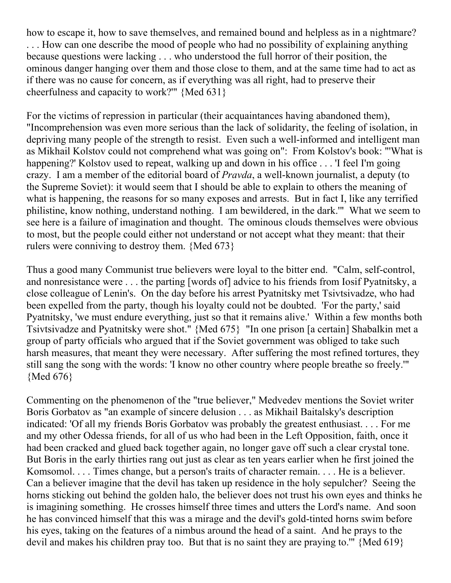how to escape it, how to save themselves, and remained bound and helpless as in a nightmare? . . . How can one describe the mood of people who had no possibility of explaining anything because questions were lacking . . . who understood the full horror of their position, the ominous danger hanging over them and those close to them, and at the same time had to act as if there was no cause for concern, as if everything was all right, had to preserve their cheerfulness and capacity to work?'" {Med 631}

For the victims of repression in particular (their acquaintances having abandoned them), "Incomprehension was even more serious than the lack of solidarity, the feeling of isolation, in depriving many people of the strength to resist. Even such a well-informed and intelligent man as Mikhail Kolstov could not comprehend what was going on": From Kolstov's book: "'What is happening?' Kolstov used to repeat, walking up and down in his office . . . 'I feel I'm going crazy. I am a member of the editorial board of *Pravda*, a well-known journalist, a deputy (to the Supreme Soviet): it would seem that I should be able to explain to others the meaning of what is happening, the reasons for so many exposes and arrests. But in fact I, like any terrified philistine, know nothing, understand nothing. I am bewildered, in the dark.'" What we seem to see here is a failure of imagination and thought. The ominous clouds themselves were obvious to most, but the people could either not understand or not accept what they meant: that their rulers were conniving to destroy them. {Med 673}

Thus a good many Communist true believers were loyal to the bitter end. "Calm, self-control, and nonresistance were . . . the parting [words of] advice to his friends from Iosif Pyatnitsky, a close colleague of Lenin's. On the day before his arrest Pyatnitsky met Tsivtsivadze, who had been expelled from the party, though his loyalty could not be doubted. 'For the party,' said Pyatnitsky, 'we must endure everything, just so that it remains alive.' Within a few months both Tsivtsivadze and Pyatnitsky were shot." {Med 675} "In one prison [a certain] Shabalkin met a group of party officials who argued that if the Soviet government was obliged to take such harsh measures, that meant they were necessary. After suffering the most refined tortures, they still sang the song with the words: 'I know no other country where people breathe so freely.'" {Med 676}

Commenting on the phenomenon of the "true believer," Medvedev mentions the Soviet writer Boris Gorbatov as "an example of sincere delusion . . . as Mikhail Baitalsky's description indicated: 'Of all my friends Boris Gorbatov was probably the greatest enthusiast. . . . For me and my other Odessa friends, for all of us who had been in the Left Opposition, faith, once it had been cracked and glued back together again, no longer gave off such a clear crystal tone. But Boris in the early thirties rang out just as clear as ten years earlier when he first joined the Komsomol. . . . Times change, but a person's traits of character remain. . . . He is a believer. Can a believer imagine that the devil has taken up residence in the holy sepulcher? Seeing the horns sticking out behind the golden halo, the believer does not trust his own eyes and thinks he is imagining something. He crosses himself three times and utters the Lord's name. And soon he has convinced himself that this was a mirage and the devil's gold-tinted horns swim before his eyes, taking on the features of a nimbus around the head of a saint. And he prays to the devil and makes his children pray too. But that is no saint they are praying to." {Med 619}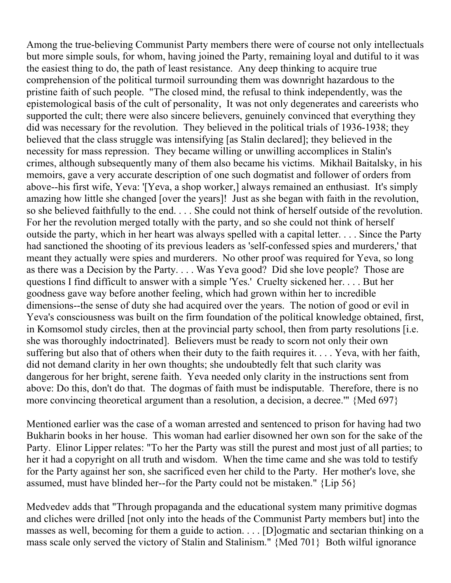Among the true-believing Communist Party members there were of course not only intellectuals but more simple souls, for whom, having joined the Party, remaining loyal and dutiful to it was the easiest thing to do, the path of least resistance. Any deep thinking to acquire true comprehension of the political turmoil surrounding them was downright hazardous to the pristine faith of such people. "The closed mind, the refusal to think independently, was the epistemological basis of the cult of personality, It was not only degenerates and careerists who supported the cult; there were also sincere believers, genuinely convinced that everything they did was necessary for the revolution. They believed in the political trials of 1936-1938; they believed that the class struggle was intensifying [as Stalin declared]; they believed in the necessity for mass repression. They became willing or unwilling accomplices in Stalin's crimes, although subsequently many of them also became his victims. Mikhail Baitalsky, in his memoirs, gave a very accurate description of one such dogmatist and follower of orders from above--his first wife, Yeva: '[Yeva, a shop worker,] always remained an enthusiast. It's simply amazing how little she changed [over the years]! Just as she began with faith in the revolution, so she believed faithfully to the end. . . . She could not think of herself outside of the revolution. For her the revolution merged totally with the party, and so she could not think of herself outside the party, which in her heart was always spelled with a capital letter. . . . Since the Party had sanctioned the shooting of its previous leaders as 'self-confessed spies and murderers,' that meant they actually were spies and murderers. No other proof was required for Yeva, so long as there was a Decision by the Party. . . . Was Yeva good? Did she love people? Those are questions I find difficult to answer with a simple 'Yes.' Cruelty sickened her. . . . But her goodness gave way before another feeling, which had grown within her to incredible dimensions--the sense of duty she had acquired over the years. The notion of good or evil in Yeva's consciousness was built on the firm foundation of the political knowledge obtained, first, in Komsomol study circles, then at the provincial party school, then from party resolutions [i.e. she was thoroughly indoctrinated]. Believers must be ready to scorn not only their own suffering but also that of others when their duty to the faith requires it. . . . Yeva, with her faith, did not demand clarity in her own thoughts; she undoubtedly felt that such clarity was dangerous for her bright, serene faith. Yeva needed only clarity in the instructions sent from above: Do this, don't do that. The dogmas of faith must be indisputable. Therefore, there is no more convincing theoretical argument than a resolution, a decision, a decree.'" {Med 697}

Mentioned earlier was the case of a woman arrested and sentenced to prison for having had two Bukharin books in her house. This woman had earlier disowned her own son for the sake of the Party. Elinor Lipper relates: "To her the Party was still the purest and most just of all parties; to her it had a copyright on all truth and wisdom. When the time came and she was told to testify for the Party against her son, she sacrificed even her child to the Party. Her mother's love, she assumed, must have blinded her--for the Party could not be mistaken." {Lip 56}

Medvedev adds that "Through propaganda and the educational system many primitive dogmas and cliches were drilled [not only into the heads of the Communist Party members but] into the masses as well, becoming for them a guide to action. . . . [D]ogmatic and sectarian thinking on a mass scale only served the victory of Stalin and Stalinism." {Med 701} Both wilful ignorance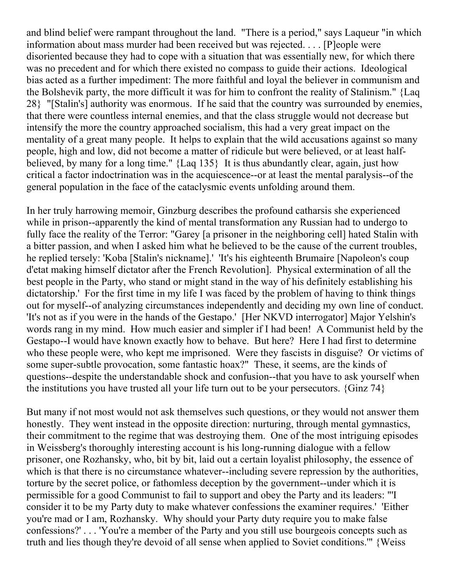and blind belief were rampant throughout the land. "There is a period," says Laqueur "in which information about mass murder had been received but was rejected. . . . [P]eople were disoriented because they had to cope with a situation that was essentially new, for which there was no precedent and for which there existed no compass to guide their actions. Ideological bias acted as a further impediment: The more faithful and loyal the believer in communism and the Bolshevik party, the more difficult it was for him to confront the reality of Stalinism." {Laq 28} "[Stalin's] authority was enormous. If he said that the country was surrounded by enemies, that there were countless internal enemies, and that the class struggle would not decrease but intensify the more the country approached socialism, this had a very great impact on the mentality of a great many people. It helps to explain that the wild accusations against so many people, high and low, did not become a matter of ridicule but were believed, or at least halfbelieved, by many for a long time." {Laq 135} It is thus abundantly clear, again, just how critical a factor indoctrination was in the acquiescence--or at least the mental paralysis--of the general population in the face of the cataclysmic events unfolding around them.

In her truly harrowing memoir, Ginzburg describes the profound catharsis she experienced while in prison--apparently the kind of mental transformation any Russian had to undergo to fully face the reality of the Terror: "Garey [a prisoner in the neighboring cell] hated Stalin with a bitter passion, and when I asked him what he believed to be the cause of the current troubles, he replied tersely: 'Koba [Stalin's nickname].' 'It's his eighteenth Brumaire [Napoleon's coup d'etat making himself dictator after the French Revolution]. Physical extermination of all the best people in the Party, who stand or might stand in the way of his definitely establishing his dictatorship.' For the first time in my life I was faced by the problem of having to think things out for myself--of analyzing circumstances independently and deciding my own line of conduct. 'It's not as if you were in the hands of the Gestapo.' [Her NKVD interrogator] Major Yelshin's words rang in my mind. How much easier and simpler if I had been! A Communist held by the Gestapo--I would have known exactly how to behave. But here? Here I had first to determine who these people were, who kept me imprisoned. Were they fascists in disguise? Or victims of some super-subtle provocation, some fantastic hoax?" These, it seems, are the kinds of questions--despite the understandable shock and confusion--that you have to ask yourself when the institutions you have trusted all your life turn out to be your persecutors. {Ginz 74}

But many if not most would not ask themselves such questions, or they would not answer them honestly. They went instead in the opposite direction: nurturing, through mental gymnastics, their commitment to the regime that was destroying them. One of the most intriguing episodes in Weissberg's thoroughly interesting account is his long-running dialogue with a fellow prisoner, one Rozhansky, who, bit by bit, laid out a certain loyalist philosophy, the essence of which is that there is no circumstance whatever--including severe repression by the authorities, torture by the secret police, or fathomless deception by the government--under which it is permissible for a good Communist to fail to support and obey the Party and its leaders: "'I consider it to be my Party duty to make whatever confessions the examiner requires.' 'Either you're mad or I am, Rozhansky. Why should your Party duty require you to make false confessions?' . . . 'You're a member of the Party and you still use bourgeois concepts such as truth and lies though they're devoid of all sense when applied to Soviet conditions.'" {Weiss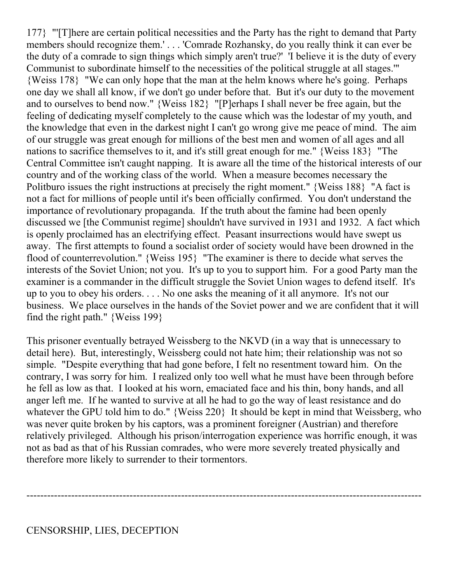177} "'[T]here are certain political necessities and the Party has the right to demand that Party members should recognize them.' . . . 'Comrade Rozhansky, do you really think it can ever be the duty of a comrade to sign things which simply aren't true?' 'I believe it is the duty of every Communist to subordinate himself to the necessities of the political struggle at all stages.'" {Weiss 178} "We can only hope that the man at the helm knows where he's going. Perhaps one day we shall all know, if we don't go under before that. But it's our duty to the movement and to ourselves to bend now." {Weiss 182} "[P]erhaps I shall never be free again, but the feeling of dedicating myself completely to the cause which was the lodestar of my youth, and the knowledge that even in the darkest night I can't go wrong give me peace of mind. The aim of our struggle was great enough for millions of the best men and women of all ages and all nations to sacrifice themselves to it, and it's still great enough for me." {Weiss 183} "The Central Committee isn't caught napping. It is aware all the time of the historical interests of our country and of the working class of the world. When a measure becomes necessary the Politburo issues the right instructions at precisely the right moment." {Weiss 188} "A fact is not a fact for millions of people until it's been officially confirmed. You don't understand the importance of revolutionary propaganda. If the truth about the famine had been openly discussed we [the Communist regime] shouldn't have survived in 1931 and 1932. A fact which is openly proclaimed has an electrifying effect. Peasant insurrections would have swept us away. The first attempts to found a socialist order of society would have been drowned in the flood of counterrevolution." {Weiss 195} "The examiner is there to decide what serves the interests of the Soviet Union; not you. It's up to you to support him. For a good Party man the examiner is a commander in the difficult struggle the Soviet Union wages to defend itself. It's up to you to obey his orders. . . . No one asks the meaning of it all anymore. It's not our business. We place ourselves in the hands of the Soviet power and we are confident that it will find the right path." {Weiss 199}

This prisoner eventually betrayed Weissberg to the NKVD (in a way that is unnecessary to detail here). But, interestingly, Weissberg could not hate him; their relationship was not so simple. "Despite everything that had gone before, I felt no resentment toward him. On the contrary, I was sorry for him. I realized only too well what he must have been through before he fell as low as that. I looked at his worn, emaciated face and his thin, bony hands, and all anger left me. If he wanted to survive at all he had to go the way of least resistance and do whatever the GPU told him to do." {Weiss 220} It should be kept in mind that Weissberg, who was never quite broken by his captors, was a prominent foreigner (Austrian) and therefore relatively privileged. Although his prison/interrogation experience was horrific enough, it was not as bad as that of his Russian comrades, who were more severely treated physically and therefore more likely to surrender to their tormentors.

-------------------------------------------------------------------------------------------------------------------

#### CENSORSHIP, LIES, DECEPTION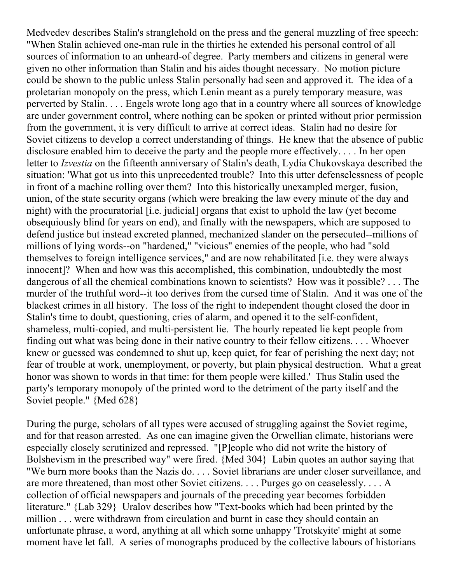Medvedev describes Stalin's stranglehold on the press and the general muzzling of free speech: "When Stalin achieved one-man rule in the thirties he extended his personal control of all sources of information to an unheard-of degree. Party members and citizens in general were given no other information than Stalin and his aides thought necessary. No motion picture could be shown to the public unless Stalin personally had seen and approved it. The idea of a proletarian monopoly on the press, which Lenin meant as a purely temporary measure, was perverted by Stalin. . . . Engels wrote long ago that in a country where all sources of knowledge are under government control, where nothing can be spoken or printed without prior permission from the government, it is very difficult to arrive at correct ideas. Stalin had no desire for Soviet citizens to develop a correct understanding of things. He knew that the absence of public disclosure enabled him to deceive the party and the people more effectively. . . . In her open letter to *Izvestia* on the fifteenth anniversary of Stalin's death, Lydia Chukovskaya described the situation: 'What got us into this unprecedented trouble? Into this utter defenselessness of people in front of a machine rolling over them? Into this historically unexampled merger, fusion, union, of the state security organs (which were breaking the law every minute of the day and night) with the procuratorial [i.e. judicial] organs that exist to uphold the law (yet become obsequiously blind for years on end), and finally with the newspapers, which are supposed to defend justice but instead excreted planned, mechanized slander on the persecuted--millions of millions of lying words--on "hardened," "vicious" enemies of the people, who had "sold themselves to foreign intelligence services," and are now rehabilitated [i.e. they were always innocent]? When and how was this accomplished, this combination, undoubtedly the most dangerous of all the chemical combinations known to scientists? How was it possible? . . . The murder of the truthful word--it too derives from the cursed time of Stalin. And it was one of the blackest crimes in all history. The loss of the right to independent thought closed the door in Stalin's time to doubt, questioning, cries of alarm, and opened it to the self-confident, shameless, multi-copied, and multi-persistent lie. The hourly repeated lie kept people from finding out what was being done in their native country to their fellow citizens. . . . Whoever knew or guessed was condemned to shut up, keep quiet, for fear of perishing the next day; not fear of trouble at work, unemployment, or poverty, but plain physical destruction. What a great honor was shown to words in that time: for them people were killed.' Thus Stalin used the party's temporary monopoly of the printed word to the detriment of the party itself and the Soviet people." {Med 628}

During the purge, scholars of all types were accused of struggling against the Soviet regime, and for that reason arrested. As one can imagine given the Orwellian climate, historians were especially closely scrutinized and repressed. "[P]eople who did not write the history of Bolshevism in the prescribed way" were fired. {Med 304} Labin quotes an author saying that "We burn more books than the Nazis do. . . . Soviet librarians are under closer surveillance, and are more threatened, than most other Soviet citizens. . . . Purges go on ceaselessly. . . . A collection of official newspapers and journals of the preceding year becomes forbidden literature." {Lab 329} Uralov describes how "Text-books which had been printed by the million . . . were withdrawn from circulation and burnt in case they should contain an unfortunate phrase, a word, anything at all which some unhappy 'Trotskyite' might at some moment have let fall. A series of monographs produced by the collective labours of historians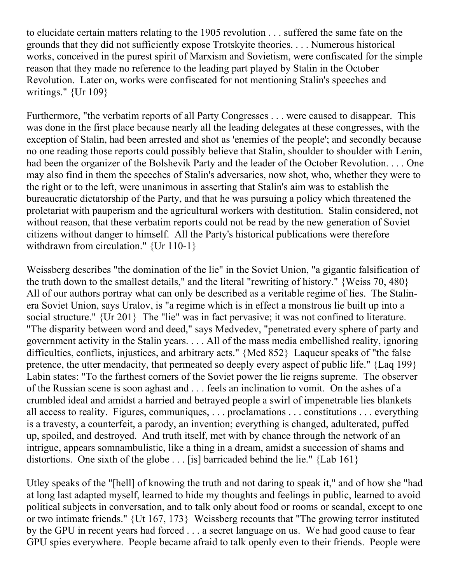to elucidate certain matters relating to the 1905 revolution . . . suffered the same fate on the grounds that they did not sufficiently expose Trotskyite theories. . . . Numerous historical works, conceived in the purest spirit of Marxism and Sovietism, were confiscated for the simple reason that they made no reference to the leading part played by Stalin in the October Revolution. Later on, works were confiscated for not mentioning Stalin's speeches and writings." {Ur 109}

Furthermore, "the verbatim reports of all Party Congresses . . . were caused to disappear. This was done in the first place because nearly all the leading delegates at these congresses, with the exception of Stalin, had been arrested and shot as 'enemies of the people'; and secondly because no one reading those reports could possibly believe that Stalin, shoulder to shoulder with Lenin, had been the organizer of the Bolshevik Party and the leader of the October Revolution. . . . One may also find in them the speeches of Stalin's adversaries, now shot, who, whether they were to the right or to the left, were unanimous in asserting that Stalin's aim was to establish the bureaucratic dictatorship of the Party, and that he was pursuing a policy which threatened the proletariat with pauperism and the agricultural workers with destitution. Stalin considered, not without reason, that these verbatim reports could not be read by the new generation of Soviet citizens without danger to himself. All the Party's historical publications were therefore withdrawn from circulation." {Ur 110-1}

Weissberg describes "the domination of the lie" in the Soviet Union, "a gigantic falsification of the truth down to the smallest details," and the literal "rewriting of history." {Weiss 70, 480} All of our authors portray what can only be described as a veritable regime of lies. The Stalinera Soviet Union, says Uralov, is "a regime which is in effect a monstrous lie built up into a social structure." {Ur 201} The "lie" was in fact pervasive; it was not confined to literature. "The disparity between word and deed," says Medvedev, "penetrated every sphere of party and government activity in the Stalin years. . . . All of the mass media embellished reality, ignoring difficulties, conflicts, injustices, and arbitrary acts." {Med 852} Laqueur speaks of "the false pretence, the utter mendacity, that permeated so deeply every aspect of public life." {Laq 199} Labin states: "To the farthest corners of the Soviet power the lie reigns supreme. The observer of the Russian scene is soon aghast and . . . feels an inclination to vomit. On the ashes of a crumbled ideal and amidst a harried and betrayed people a swirl of impenetrable lies blankets all access to reality. Figures, communiques, . . . proclamations . . . constitutions . . . everything is a travesty, a counterfeit, a parody, an invention; everything is changed, adulterated, puffed up, spoiled, and destroyed. And truth itself, met with by chance through the network of an intrigue, appears somnambulistic, like a thing in a dream, amidst a succession of shams and distortions. One sixth of the globe . . . [is] barricaded behind the lie." {Lab 161}

Utley speaks of the "[hell] of knowing the truth and not daring to speak it," and of how she "had at long last adapted myself, learned to hide my thoughts and feelings in public, learned to avoid political subjects in conversation, and to talk only about food or rooms or scandal, except to one or two intimate friends." {Ut 167, 173} Weissberg recounts that "The growing terror instituted by the GPU in recent years had forced . . . a secret language on us. We had good cause to fear GPU spies everywhere. People became afraid to talk openly even to their friends. People were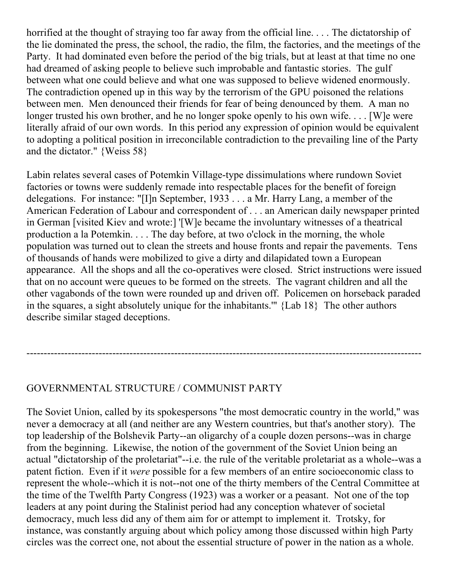horrified at the thought of straying too far away from the official line. . . . The dictatorship of the lie dominated the press, the school, the radio, the film, the factories, and the meetings of the Party. It had dominated even before the period of the big trials, but at least at that time no one had dreamed of asking people to believe such improbable and fantastic stories. The gulf between what one could believe and what one was supposed to believe widened enormously. The contradiction opened up in this way by the terrorism of the GPU poisoned the relations between men. Men denounced their friends for fear of being denounced by them. A man no longer trusted his own brother, and he no longer spoke openly to his own wife.... [W] e were literally afraid of our own words. In this period any expression of opinion would be equivalent to adopting a political position in irreconcilable contradiction to the prevailing line of the Party and the dictator." {Weiss 58}

Labin relates several cases of Potemkin Village-type dissimulations where rundown Soviet factories or towns were suddenly remade into respectable places for the benefit of foreign delegations. For instance: "[I]n September, 1933 . . . a Mr. Harry Lang, a member of the American Federation of Labour and correspondent of . . . an American daily newspaper printed in German [visited Kiev and wrote:] '[W]e became the involuntary witnesses of a theatrical production a la Potemkin. . . . The day before, at two o'clock in the morning, the whole population was turned out to clean the streets and house fronts and repair the pavements. Tens of thousands of hands were mobilized to give a dirty and dilapidated town a European appearance. All the shops and all the co-operatives were closed. Strict instructions were issued that on no account were queues to be formed on the streets. The vagrant children and all the other vagabonds of the town were rounded up and driven off. Policemen on horseback paraded in the squares, a sight absolutely unique for the inhabitants.'" {Lab 18} The other authors describe similar staged deceptions.

-------------------------------------------------------------------------------------------------------------------

# GOVERNMENTAL STRUCTURE / COMMUNIST PARTY

The Soviet Union, called by its spokespersons "the most democratic country in the world," was never a democracy at all (and neither are any Western countries, but that's another story). The top leadership of the Bolshevik Party--an oligarchy of a couple dozen persons--was in charge from the beginning. Likewise, the notion of the government of the Soviet Union being an actual "dictatorship of the proletariat"--i.e. the rule of the veritable proletariat as a whole--was a patent fiction. Even if it *were* possible for a few members of an entire socioeconomic class to represent the whole--which it is not--not one of the thirty members of the Central Committee at the time of the Twelfth Party Congress (1923) was a worker or a peasant. Not one of the top leaders at any point during the Stalinist period had any conception whatever of societal democracy, much less did any of them aim for or attempt to implement it. Trotsky, for instance, was constantly arguing about which policy among those discussed within high Party circles was the correct one, not about the essential structure of power in the nation as a whole.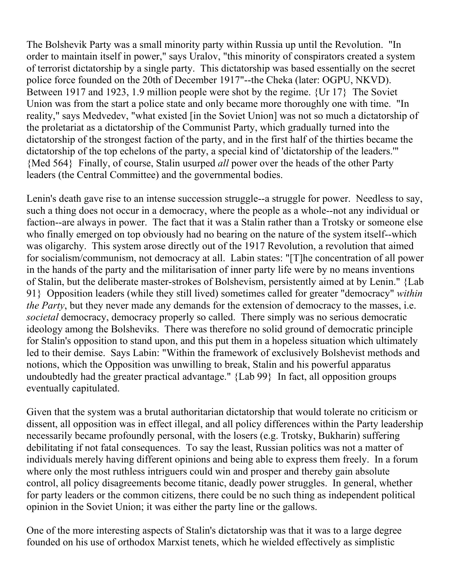The Bolshevik Party was a small minority party within Russia up until the Revolution. "In order to maintain itself in power," says Uralov, "this minority of conspirators created a system of terrorist dictatorship by a single party. This dictatorship was based essentially on the secret police force founded on the 20th of December 1917"--the Cheka (later: OGPU, NKVD). Between 1917 and 1923, 1.9 million people were shot by the regime. {Ur 17} The Soviet Union was from the start a police state and only became more thoroughly one with time. "In reality," says Medvedev, "what existed [in the Soviet Union] was not so much a dictatorship of the proletariat as a dictatorship of the Communist Party, which gradually turned into the dictatorship of the strongest faction of the party, and in the first half of the thirties became the dictatorship of the top echelons of the party, a special kind of 'dictatorship of the leaders.'" {Med 564} Finally, of course, Stalin usurped *all* power over the heads of the other Party leaders (the Central Committee) and the governmental bodies.

Lenin's death gave rise to an intense succession struggle--a struggle for power. Needless to say, such a thing does not occur in a democracy, where the people as a whole--not any individual or faction--are always in power. The fact that it was a Stalin rather than a Trotsky or someone else who finally emerged on top obviously had no bearing on the nature of the system itself--which was oligarchy. This system arose directly out of the 1917 Revolution, a revolution that aimed for socialism/communism, not democracy at all. Labin states: "[T]he concentration of all power in the hands of the party and the militarisation of inner party life were by no means inventions of Stalin, but the deliberate master-strokes of Bolshevism, persistently aimed at by Lenin." {Lab 91} Opposition leaders (while they still lived) sometimes called for greater "democracy" *within the Party*, but they never made any demands for the extension of democracy to the masses, i.e. *societal* democracy, democracy properly so called. There simply was no serious democratic ideology among the Bolsheviks. There was therefore no solid ground of democratic principle for Stalin's opposition to stand upon, and this put them in a hopeless situation which ultimately led to their demise. Says Labin: "Within the framework of exclusively Bolshevist methods and notions, which the Opposition was unwilling to break, Stalin and his powerful apparatus undoubtedly had the greater practical advantage." {Lab 99} In fact, all opposition groups eventually capitulated.

Given that the system was a brutal authoritarian dictatorship that would tolerate no criticism or dissent, all opposition was in effect illegal, and all policy differences within the Party leadership necessarily became profoundly personal, with the losers (e.g. Trotsky, Bukharin) suffering debilitating if not fatal consequences. To say the least, Russian politics was not a matter of individuals merely having different opinions and being able to express them freely. In a forum where only the most ruthless intriguers could win and prosper and thereby gain absolute control, all policy disagreements become titanic, deadly power struggles. In general, whether for party leaders or the common citizens, there could be no such thing as independent political opinion in the Soviet Union; it was either the party line or the gallows.

One of the more interesting aspects of Stalin's dictatorship was that it was to a large degree founded on his use of orthodox Marxist tenets, which he wielded effectively as simplistic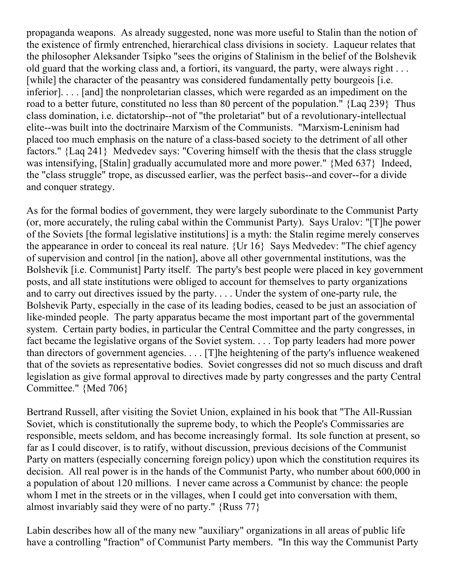propaganda weapons. As already suggested, none was more useful to Stalin than the notion of the existence of firmly entrenched, hierarchical class divisions in society. Laqueur relates that the philosopher Aleksander Tsipko "sees the origins of Stalinism in the belief of the Bolshevik old guard that the working class and, a fortiori, its vanguard, the party, were always right . . . [while] the character of the peasantry was considered fundamentally petty bourgeois [i.e.] inferior]. . . . [and] the nonproletarian classes, which were regarded as an impediment on the road to a better future, constituted no less than 80 percent of the population." {Laq 239} Thus class domination, i.e. dictatorship--not of "the proletariat" but of a revolutionary-intellectual elite--was built into the doctrinaire Marxism of the Communists. "Marxism-Leninism had placed too much emphasis on the nature of a class-based society to the detriment of all other factors." {Laq 241} Medvedev says: "Covering himself with the thesis that the class struggle was intensifying, [Stalin] gradually accumulated more and more power." {Med 637} Indeed, the "class struggle" trope, as discussed earlier, was the perfect basis--and cover--for a divide and conquer strategy.

As for the formal bodies of government, they were largely subordinate to the Communist Party (or, more accurately, the ruling cabal within the Communist Party). Says Uralov: "[T]he power of the Soviets [the formal legislative institutions] is a myth: the Stalin regime merely conserves the appearance in order to conceal its real nature. {Ur 16} Says Medvedev: "The chief agency of supervision and control [in the nation], above all other governmental institutions, was the Bolshevik [i.e. Communist] Party itself. The party's best people were placed in key government posts, and all state institutions were obliged to account for themselves to party organizations and to carry out directives issued by the party. . . . Under the system of one-party rule, the Bolshevik Party, especially in the case of its leading bodies, ceased to be just an association of like-minded people. The party apparatus became the most important part of the governmental system. Certain party bodies, in particular the Central Committee and the party congresses, in fact became the legislative organs of the Soviet system. . . . Top party leaders had more power than directors of government agencies. . . . [T]he heightening of the party's influence weakened that of the soviets as representative bodies. Soviet congresses did not so much discuss and draft legislation as give formal approval to directives made by party congresses and the party Central Committee." {Med 706}

Bertrand Russell, after visiting the Soviet Union, explained in his book that "The All-Russian Soviet, which is constitutionally the supreme body, to which the People's Commissaries are responsible, meets seldom, and has become increasingly formal. Its sole function at present, so far as I could discover, is to ratify, without discussion, previous decisions of the Communist Party on matters (especially concerning foreign policy) upon which the constitution requires its decision. All real power is in the hands of the Communist Party, who number about 600,000 in a population of about 120 millions. I never came across a Communist by chance: the people whom I met in the streets or in the villages, when I could get into conversation with them, almost invariably said they were of no party." {Russ 77}

Labin describes how all of the many new "auxiliary" organizations in all areas of public life have a controlling "fraction" of Communist Party members. "In this way the Communist Party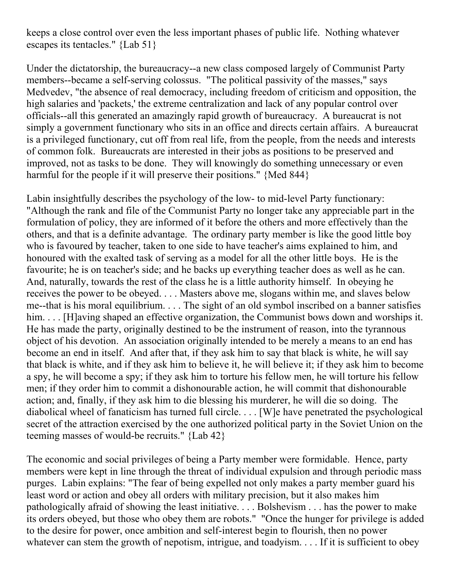keeps a close control over even the less important phases of public life. Nothing whatever escapes its tentacles." {Lab 51}

Under the dictatorship, the bureaucracy--a new class composed largely of Communist Party members--became a self-serving colossus. "The political passivity of the masses," says Medvedev, "the absence of real democracy, including freedom of criticism and opposition, the high salaries and 'packets,' the extreme centralization and lack of any popular control over officials--all this generated an amazingly rapid growth of bureaucracy. A bureaucrat is not simply a government functionary who sits in an office and directs certain affairs. A bureaucrat is a privileged functionary, cut off from real life, from the people, from the needs and interests of common folk. Bureaucrats are interested in their jobs as positions to be preserved and improved, not as tasks to be done. They will knowingly do something unnecessary or even harmful for the people if it will preserve their positions." {Med 844}

Labin insightfully describes the psychology of the low- to mid-level Party functionary: "Although the rank and file of the Communist Party no longer take any appreciable part in the formulation of policy, they are informed of it before the others and more effectively than the others, and that is a definite advantage. The ordinary party member is like the good little boy who is favoured by teacher, taken to one side to have teacher's aims explained to him, and honoured with the exalted task of serving as a model for all the other little boys. He is the favourite; he is on teacher's side; and he backs up everything teacher does as well as he can. And, naturally, towards the rest of the class he is a little authority himself. In obeying he receives the power to be obeyed. . . . Masters above me, slogans within me, and slaves below me--that is his moral equilibrium. . . . The sight of an old symbol inscribed on a banner satisfies him. . . . [H]aving shaped an effective organization, the Communist bows down and worships it. He has made the party, originally destined to be the instrument of reason, into the tyrannous object of his devotion. An association originally intended to be merely a means to an end has become an end in itself. And after that, if they ask him to say that black is white, he will say that black is white, and if they ask him to believe it, he will believe it; if they ask him to become a spy, he will become a spy; if they ask him to torture his fellow men, he will torture his fellow men; if they order him to commit a dishonourable action, he will commit that dishonourable action; and, finally, if they ask him to die blessing his murderer, he will die so doing. The diabolical wheel of fanaticism has turned full circle. . . . [W]e have penetrated the psychological secret of the attraction exercised by the one authorized political party in the Soviet Union on the teeming masses of would-be recruits." {Lab 42}

The economic and social privileges of being a Party member were formidable. Hence, party members were kept in line through the threat of individual expulsion and through periodic mass purges. Labin explains: "The fear of being expelled not only makes a party member guard his least word or action and obey all orders with military precision, but it also makes him pathologically afraid of showing the least initiative. . . . Bolshevism . . . has the power to make its orders obeyed, but those who obey them are robots." "Once the hunger for privilege is added to the desire for power, once ambition and self-interest begin to flourish, then no power whatever can stem the growth of nepotism, intrigue, and toadyism. . . . If it is sufficient to obey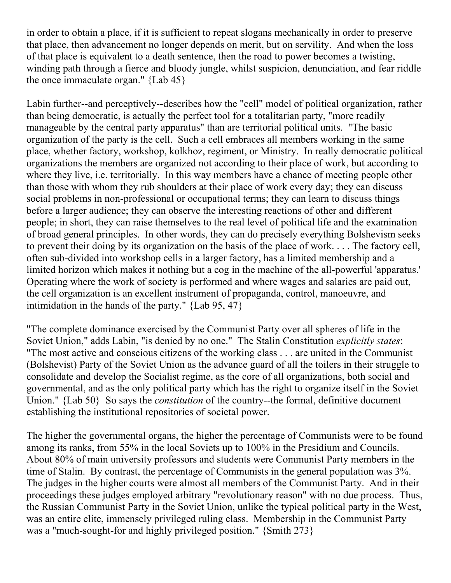in order to obtain a place, if it is sufficient to repeat slogans mechanically in order to preserve that place, then advancement no longer depends on merit, but on servility. And when the loss of that place is equivalent to a death sentence, then the road to power becomes a twisting, winding path through a fierce and bloody jungle, whilst suspicion, denunciation, and fear riddle the once immaculate organ." {Lab 45}

Labin further--and perceptively--describes how the "cell" model of political organization, rather than being democratic, is actually the perfect tool for a totalitarian party, "more readily manageable by the central party apparatus" than are territorial political units. "The basic organization of the party is the cell. Such a cell embraces all members working in the same place, whether factory, workshop, kolkhoz, regiment, or Ministry. In really democratic political organizations the members are organized not according to their place of work, but according to where they live, i.e. territorially. In this way members have a chance of meeting people other than those with whom they rub shoulders at their place of work every day; they can discuss social problems in non-professional or occupational terms; they can learn to discuss things before a larger audience; they can observe the interesting reactions of other and different people; in short, they can raise themselves to the real level of political life and the examination of broad general principles. In other words, they can do precisely everything Bolshevism seeks to prevent their doing by its organization on the basis of the place of work. . . . The factory cell, often sub-divided into workshop cells in a larger factory, has a limited membership and a limited horizon which makes it nothing but a cog in the machine of the all-powerful 'apparatus.' Operating where the work of society is performed and where wages and salaries are paid out, the cell organization is an excellent instrument of propaganda, control, manoeuvre, and intimidation in the hands of the party." {Lab 95, 47}

"The complete dominance exercised by the Communist Party over all spheres of life in the Soviet Union," adds Labin, "is denied by no one." The Stalin Constitution *explicitly states*: "The most active and conscious citizens of the working class . . . are united in the Communist (Bolshevist) Party of the Soviet Union as the advance guard of all the toilers in their struggle to consolidate and develop the Socialist regime, as the core of all organizations, both social and governmental, and as the only political party which has the right to organize itself in the Soviet Union." {Lab 50} So says the *constitution* of the country--the formal, definitive document establishing the institutional repositories of societal power.

The higher the governmental organs, the higher the percentage of Communists were to be found among its ranks, from 55% in the local Soviets up to 100% in the Presidium and Councils. About 80% of main university professors and students were Communist Party members in the time of Stalin. By contrast, the percentage of Communists in the general population was 3%. The judges in the higher courts were almost all members of the Communist Party. And in their proceedings these judges employed arbitrary "revolutionary reason" with no due process. Thus, the Russian Communist Party in the Soviet Union, unlike the typical political party in the West, was an entire elite, immensely privileged ruling class. Membership in the Communist Party was a "much-sought-for and highly privileged position." {Smith 273}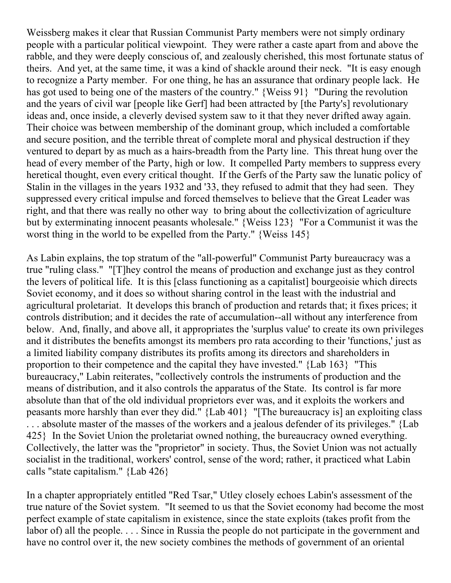Weissberg makes it clear that Russian Communist Party members were not simply ordinary people with a particular political viewpoint. They were rather a caste apart from and above the rabble, and they were deeply conscious of, and zealously cherished, this most fortunate status of theirs. And yet, at the same time, it was a kind of shackle around their neck. "It is easy enough to recognize a Party member. For one thing, he has an assurance that ordinary people lack. He has got used to being one of the masters of the country." {Weiss 91} "During the revolution and the years of civil war [people like Gerf] had been attracted by [the Party's] revolutionary ideas and, once inside, a cleverly devised system saw to it that they never drifted away again. Their choice was between membership of the dominant group, which included a comfortable and secure position, and the terrible threat of complete moral and physical destruction if they ventured to depart by as much as a hairs-breadth from the Party line. This threat hung over the head of every member of the Party, high or low. It compelled Party members to suppress every heretical thought, even every critical thought. If the Gerfs of the Party saw the lunatic policy of Stalin in the villages in the years 1932 and '33, they refused to admit that they had seen. They suppressed every critical impulse and forced themselves to believe that the Great Leader was right, and that there was really no other way to bring about the collectivization of agriculture but by exterminating innocent peasants wholesale." {Weiss 123} "For a Communist it was the worst thing in the world to be expelled from the Party." {Weiss 145}

As Labin explains, the top stratum of the "all-powerful" Communist Party bureaucracy was a true "ruling class." "[T]hey control the means of production and exchange just as they control the levers of political life. It is this [class functioning as a capitalist] bourgeoisie which directs Soviet economy, and it does so without sharing control in the least with the industrial and agricultural proletariat. It develops this branch of production and retards that; it fixes prices; it controls distribution; and it decides the rate of accumulation--all without any interference from below. And, finally, and above all, it appropriates the 'surplus value' to create its own privileges and it distributes the benefits amongst its members pro rata according to their 'functions,' just as a limited liability company distributes its profits among its directors and shareholders in proportion to their competence and the capital they have invested." {Lab 163} "This bureaucracy," Labin reiterates, "collectively controls the instruments of production and the means of distribution, and it also controls the apparatus of the State. Its control is far more absolute than that of the old individual proprietors ever was, and it exploits the workers and peasants more harshly than ever they did." {Lab 401} "[The bureaucracy is] an exploiting class . . . absolute master of the masses of the workers and a jealous defender of its privileges." {Lab 425} In the Soviet Union the proletariat owned nothing, the bureaucracy owned everything. Collectively, the latter was the "proprietor" in society. Thus, the Soviet Union was not actually socialist in the traditional, workers' control, sense of the word; rather, it practiced what Labin calls "state capitalism." {Lab 426}

In a chapter appropriately entitled "Red Tsar," Utley closely echoes Labin's assessment of the true nature of the Soviet system. "It seemed to us that the Soviet economy had become the most perfect example of state capitalism in existence, since the state exploits (takes profit from the labor of) all the people. . . . Since in Russia the people do not participate in the government and have no control over it, the new society combines the methods of government of an oriental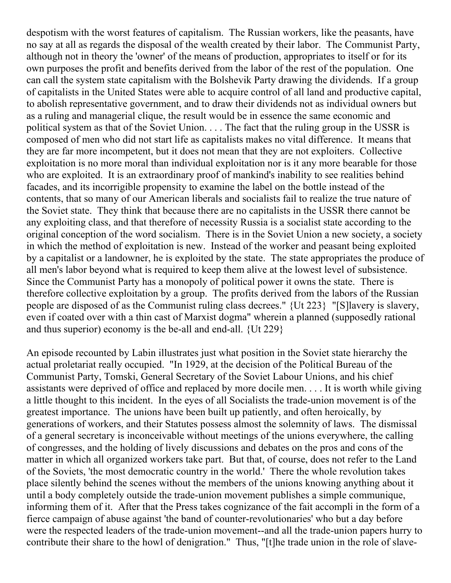despotism with the worst features of capitalism. The Russian workers, like the peasants, have no say at all as regards the disposal of the wealth created by their labor. The Communist Party, although not in theory the 'owner' of the means of production, appropriates to itself or for its own purposes the profit and benefits derived from the labor of the rest of the population. One can call the system state capitalism with the Bolshevik Party drawing the dividends. If a group of capitalists in the United States were able to acquire control of all land and productive capital, to abolish representative government, and to draw their dividends not as individual owners but as a ruling and managerial clique, the result would be in essence the same economic and political system as that of the Soviet Union. . . . The fact that the ruling group in the USSR is composed of men who did not start life as capitalists makes no vital difference. It means that they are far more incompetent, but it does not mean that they are not exploiters. Collective exploitation is no more moral than individual exploitation nor is it any more bearable for those who are exploited. It is an extraordinary proof of mankind's inability to see realities behind facades, and its incorrigible propensity to examine the label on the bottle instead of the contents, that so many of our American liberals and socialists fail to realize the true nature of the Soviet state. They think that because there are no capitalists in the USSR there cannot be any exploiting class, and that therefore of necessity Russia is a socialist state according to the original conception of the word socialism. There is in the Soviet Union a new society, a society in which the method of exploitation is new. Instead of the worker and peasant being exploited by a capitalist or a landowner, he is exploited by the state. The state appropriates the produce of all men's labor beyond what is required to keep them alive at the lowest level of subsistence. Since the Communist Party has a monopoly of political power it owns the state. There is therefore collective exploitation by a group. The profits derived from the labors of the Russian people are disposed of as the Communist ruling class decrees." {Ut 223} "[S]lavery is slavery, even if coated over with a thin cast of Marxist dogma" wherein a planned (supposedly rational and thus superior) economy is the be-all and end-all. {Ut 229}

An episode recounted by Labin illustrates just what position in the Soviet state hierarchy the actual proletariat really occupied. "In 1929, at the decision of the Political Bureau of the Communist Party, Tomski, General Secretary of the Soviet Labour Unions, and his chief assistants were deprived of office and replaced by more docile men. . . . It is worth while giving a little thought to this incident. In the eyes of all Socialists the trade-union movement is of the greatest importance. The unions have been built up patiently, and often heroically, by generations of workers, and their Statutes possess almost the solemnity of laws. The dismissal of a general secretary is inconceivable without meetings of the unions everywhere, the calling of congresses, and the holding of lively discussions and debates on the pros and cons of the matter in which all organized workers take part. But that, of course, does not refer to the Land of the Soviets, 'the most democratic country in the world.' There the whole revolution takes place silently behind the scenes without the members of the unions knowing anything about it until a body completely outside the trade-union movement publishes a simple communique, informing them of it. After that the Press takes cognizance of the fait accompli in the form of a fierce campaign of abuse against 'the band of counter-revolutionaries' who but a day before were the respected leaders of the trade-union movement--and all the trade-union papers hurry to contribute their share to the howl of denigration." Thus, "[t]he trade union in the role of slave-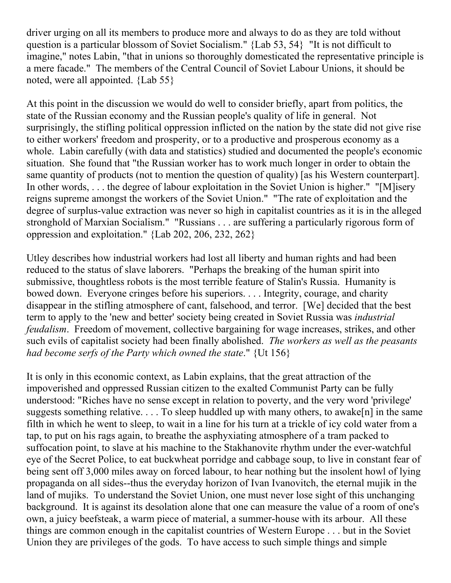driver urging on all its members to produce more and always to do as they are told without question is a particular blossom of Soviet Socialism." {Lab 53, 54} "It is not difficult to imagine," notes Labin, "that in unions so thoroughly domesticated the representative principle is a mere facade." The members of the Central Council of Soviet Labour Unions, it should be noted, were all appointed. {Lab 55}

At this point in the discussion we would do well to consider briefly, apart from politics, the state of the Russian economy and the Russian people's quality of life in general. Not surprisingly, the stifling political oppression inflicted on the nation by the state did not give rise to either workers' freedom and prosperity, or to a productive and prosperous economy as a whole. Labin carefully (with data and statistics) studied and documented the people's economic situation. She found that "the Russian worker has to work much longer in order to obtain the same quantity of products (not to mention the question of quality) [as his Western counterpart]. In other words, . . . the degree of labour exploitation in the Soviet Union is higher." "[M]isery reigns supreme amongst the workers of the Soviet Union." "The rate of exploitation and the degree of surplus-value extraction was never so high in capitalist countries as it is in the alleged stronghold of Marxian Socialism." "Russians . . . are suffering a particularly rigorous form of oppression and exploitation." {Lab 202, 206, 232, 262}

Utley describes how industrial workers had lost all liberty and human rights and had been reduced to the status of slave laborers. "Perhaps the breaking of the human spirit into submissive, thoughtless robots is the most terrible feature of Stalin's Russia. Humanity is bowed down. Everyone cringes before his superiors. . . . Integrity, courage, and charity disappear in the stifling atmosphere of cant, falsehood, and terror. [We] decided that the best term to apply to the 'new and better' society being created in Soviet Russia was *industrial feudalism*. Freedom of movement, collective bargaining for wage increases, strikes, and other such evils of capitalist society had been finally abolished. *The workers as well as the peasants had become serfs of the Party which owned the state*." {Ut 156}

It is only in this economic context, as Labin explains, that the great attraction of the impoverished and oppressed Russian citizen to the exalted Communist Party can be fully understood: "Riches have no sense except in relation to poverty, and the very word 'privilege' suggests something relative.  $\dots$  To sleep huddled up with many others, to awake[n] in the same filth in which he went to sleep, to wait in a line for his turn at a trickle of icy cold water from a tap, to put on his rags again, to breathe the asphyxiating atmosphere of a tram packed to suffocation point, to slave at his machine to the Stakhanovite rhythm under the ever-watchful eye of the Secret Police, to eat buckwheat porridge and cabbage soup, to live in constant fear of being sent off 3,000 miles away on forced labour, to hear nothing but the insolent howl of lying propaganda on all sides--thus the everyday horizon of Ivan Ivanovitch, the eternal mujik in the land of mujiks. To understand the Soviet Union, one must never lose sight of this unchanging background. It is against its desolation alone that one can measure the value of a room of one's own, a juicy beefsteak, a warm piece of material, a summer-house with its arbour. All these things are common enough in the capitalist countries of Western Europe . . . but in the Soviet Union they are privileges of the gods. To have access to such simple things and simple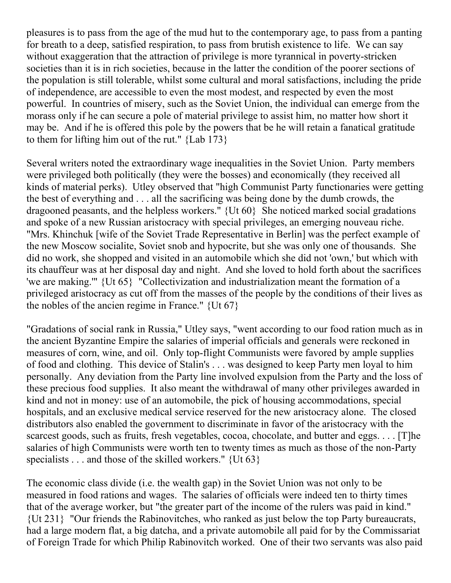pleasures is to pass from the age of the mud hut to the contemporary age, to pass from a panting for breath to a deep, satisfied respiration, to pass from brutish existence to life. We can say without exaggeration that the attraction of privilege is more tyrannical in poverty-stricken societies than it is in rich societies, because in the latter the condition of the poorer sections of the population is still tolerable, whilst some cultural and moral satisfactions, including the pride of independence, are accessible to even the most modest, and respected by even the most powerful. In countries of misery, such as the Soviet Union, the individual can emerge from the morass only if he can secure a pole of material privilege to assist him, no matter how short it may be. And if he is offered this pole by the powers that be he will retain a fanatical gratitude to them for lifting him out of the rut." {Lab 173}

Several writers noted the extraordinary wage inequalities in the Soviet Union. Party members were privileged both politically (they were the bosses) and economically (they received all kinds of material perks). Utley observed that "high Communist Party functionaries were getting the best of everything and . . . all the sacrificing was being done by the dumb crowds, the dragooned peasants, and the helpless workers." {Ut 60} She noticed marked social gradations and spoke of a new Russian aristocracy with special privileges, an emerging nouveau riche. "Mrs. Khinchuk [wife of the Soviet Trade Representative in Berlin] was the perfect example of the new Moscow socialite, Soviet snob and hypocrite, but she was only one of thousands. She did no work, she shopped and visited in an automobile which she did not 'own,' but which with its chauffeur was at her disposal day and night. And she loved to hold forth about the sacrifices 'we are making.'" {Ut 65} "Collectivization and industrialization meant the formation of a privileged aristocracy as cut off from the masses of the people by the conditions of their lives as the nobles of the ancien regime in France."  $\{Ut\ 67\}$ 

"Gradations of social rank in Russia," Utley says, "went according to our food ration much as in the ancient Byzantine Empire the salaries of imperial officials and generals were reckoned in measures of corn, wine, and oil. Only top-flight Communists were favored by ample supplies of food and clothing. This device of Stalin's . . . was designed to keep Party men loyal to him personally. Any deviation from the Party line involved expulsion from the Party and the loss of these precious food supplies. It also meant the withdrawal of many other privileges awarded in kind and not in money: use of an automobile, the pick of housing accommodations, special hospitals, and an exclusive medical service reserved for the new aristocracy alone. The closed distributors also enabled the government to discriminate in favor of the aristocracy with the scarcest goods, such as fruits, fresh vegetables, cocoa, chocolate, and butter and eggs. . . . [T]he salaries of high Communists were worth ten to twenty times as much as those of the non-Party specialists . . . and those of the skilled workers." {Ut 63}

The economic class divide (i.e. the wealth gap) in the Soviet Union was not only to be measured in food rations and wages. The salaries of officials were indeed ten to thirty times that of the average worker, but "the greater part of the income of the rulers was paid in kind." {Ut 231} "Our friends the Rabinovitches, who ranked as just below the top Party bureaucrats, had a large modern flat, a big datcha, and a private automobile all paid for by the Commissariat of Foreign Trade for which Philip Rabinovitch worked. One of their two servants was also paid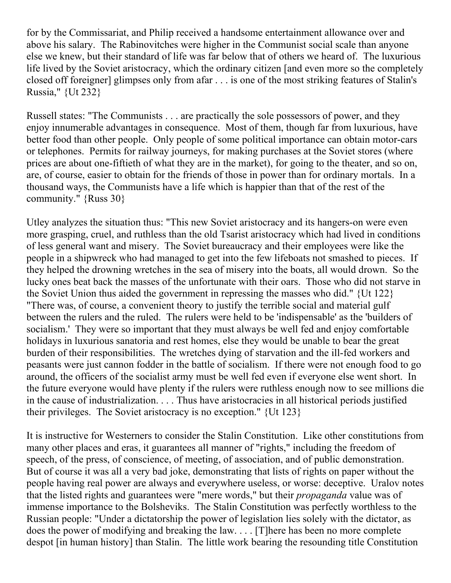for by the Commissariat, and Philip received a handsome entertainment allowance over and above his salary. The Rabinovitches were higher in the Communist social scale than anyone else we knew, but their standard of life was far below that of others we heard of. The luxurious life lived by the Soviet aristocracy, which the ordinary citizen [and even more so the completely closed off foreigner] glimpses only from afar . . . is one of the most striking features of Stalin's Russia," {Ut 232}

Russell states: "The Communists . . . are practically the sole possessors of power, and they enjoy innumerable advantages in consequence. Most of them, though far from luxurious, have better food than other people. Only people of some political importance can obtain motor-cars or telephones. Permits for railway journeys, for making purchases at the Soviet stores (where prices are about one-fiftieth of what they are in the market), for going to the theater, and so on, are, of course, easier to obtain for the friends of those in power than for ordinary mortals. In a thousand ways, the Communists have a life which is happier than that of the rest of the community." {Russ 30}

Utley analyzes the situation thus: "This new Soviet aristocracy and its hangers-on were even more grasping, cruel, and ruthless than the old Tsarist aristocracy which had lived in conditions of less general want and misery. The Soviet bureaucracy and their employees were like the people in a shipwreck who had managed to get into the few lifeboats not smashed to pieces. If they helped the drowning wretches in the sea of misery into the boats, all would drown. So the lucky ones beat back the masses of the unfortunate with their oars. Those who did not starve in the Soviet Union thus aided the government in repressing the masses who did." {Ut 122} "There was, of course, a convenient theory to justify the terrible social and material gulf between the rulers and the ruled. The rulers were held to be 'indispensable' as the 'builders of socialism.' They were so important that they must always be well fed and enjoy comfortable holidays in luxurious sanatoria and rest homes, else they would be unable to bear the great burden of their responsibilities. The wretches dying of starvation and the ill-fed workers and peasants were just cannon fodder in the battle of socialism. If there were not enough food to go around, the officers of the socialist army must be well fed even if everyone else went short. In the future everyone would have plenty if the rulers were ruthless enough now to see millions die in the cause of industrialization. . . . Thus have aristocracies in all historical periods justified their privileges. The Soviet aristocracy is no exception." {Ut 123}

It is instructive for Westerners to consider the Stalin Constitution. Like other constitutions from many other places and eras, it guarantees all manner of "rights," including the freedom of speech, of the press, of conscience, of meeting, of association, and of public demonstration. But of course it was all a very bad joke, demonstrating that lists of rights on paper without the people having real power are always and everywhere useless, or worse: deceptive. Uralov notes that the listed rights and guarantees were "mere words," but their *propaganda* value was of immense importance to the Bolsheviks. The Stalin Constitution was perfectly worthless to the Russian people: "Under a dictatorship the power of legislation lies solely with the dictator, as does the power of modifying and breaking the law. . . . [T]here has been no more complete despot [in human history] than Stalin. The little work bearing the resounding title Constitution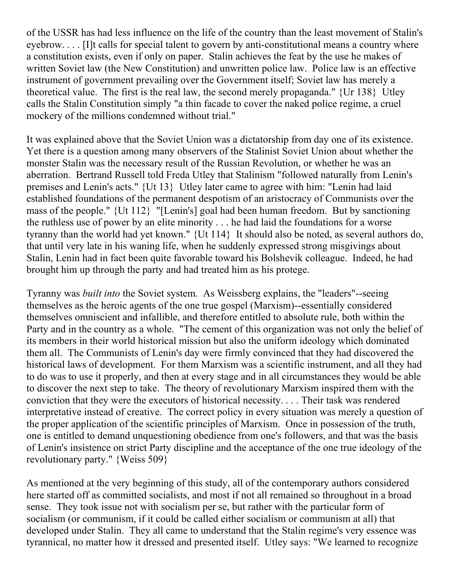of the USSR has had less influence on the life of the country than the least movement of Stalin's eyebrow. . . . [I]t calls for special talent to govern by anti-constitutional means a country where a constitution exists, even if only on paper. Stalin achieves the feat by the use he makes of written Soviet law (the New Constitution) and unwritten police law. Police law is an effective instrument of government prevailing over the Government itself; Soviet law has merely a theoretical value. The first is the real law, the second merely propaganda." {Ur 138} Utley calls the Stalin Constitution simply "a thin facade to cover the naked police regime, a cruel mockery of the millions condemned without trial."

It was explained above that the Soviet Union was a dictatorship from day one of its existence. Yet there is a question among many observers of the Stalinist Soviet Union about whether the monster Stalin was the necessary result of the Russian Revolution, or whether he was an aberration. Bertrand Russell told Freda Utley that Stalinism "followed naturally from Lenin's premises and Lenin's acts." {Ut 13} Utley later came to agree with him: "Lenin had laid established foundations of the permanent despotism of an aristocracy of Communists over the mass of the people." {Ut 112} "[Lenin's] goal had been human freedom. But by sanctioning the ruthless use of power by an elite minority . . . he had laid the foundations for a worse tyranny than the world had yet known." {Ut 114} It should also be noted, as several authors do, that until very late in his waning life, when he suddenly expressed strong misgivings about Stalin, Lenin had in fact been quite favorable toward his Bolshevik colleague. Indeed, he had brought him up through the party and had treated him as his protege.

Tyranny was *built into* the Soviet system. As Weissberg explains, the "leaders"--seeing themselves as the heroic agents of the one true gospel (Marxism)--essentially considered themselves omniscient and infallible, and therefore entitled to absolute rule, both within the Party and in the country as a whole. "The cement of this organization was not only the belief of its members in their world historical mission but also the uniform ideology which dominated them all. The Communists of Lenin's day were firmly convinced that they had discovered the historical laws of development. For them Marxism was a scientific instrument, and all they had to do was to use it properly, and then at every stage and in all circumstances they would be able to discover the next step to take. The theory of revolutionary Marxism inspired them with the conviction that they were the executors of historical necessity. . . . Their task was rendered interpretative instead of creative. The correct policy in every situation was merely a question of the proper application of the scientific principles of Marxism. Once in possession of the truth, one is entitled to demand unquestioning obedience from one's followers, and that was the basis of Lenin's insistence on strict Party discipline and the acceptance of the one true ideology of the revolutionary party." {Weiss 509}

As mentioned at the very beginning of this study, all of the contemporary authors considered here started off as committed socialists, and most if not all remained so throughout in a broad sense. They took issue not with socialism per se, but rather with the particular form of socialism (or communism, if it could be called either socialism or communism at all) that developed under Stalin. They all came to understand that the Stalin regime's very essence was tyrannical, no matter how it dressed and presented itself. Utley says: "We learned to recognize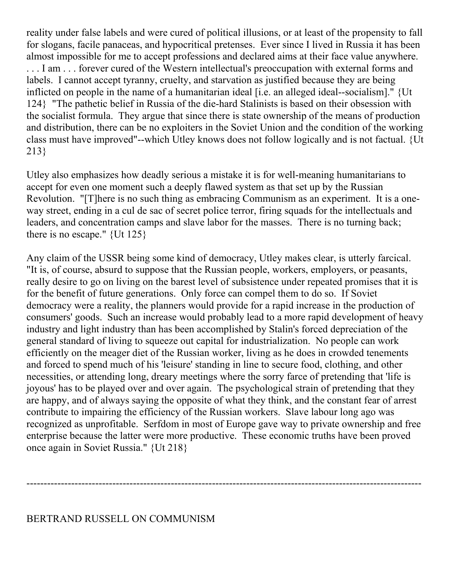reality under false labels and were cured of political illusions, or at least of the propensity to fall for slogans, facile panaceas, and hypocritical pretenses. Ever since I lived in Russia it has been almost impossible for me to accept professions and declared aims at their face value anywhere. ... I am ... forever cured of the Western intellectual's preoccupation with external forms and labels. I cannot accept tyranny, cruelty, and starvation as justified because they are being inflicted on people in the name of a humanitarian ideal [i.e. an alleged ideal--socialism]." {Ut 124} "The pathetic belief in Russia of the die-hard Stalinists is based on their obsession with the socialist formula. They argue that since there is state ownership of the means of production and distribution, there can be no exploiters in the Soviet Union and the condition of the working class must have improved"--which Utley knows does not follow logically and is not factual. {Ut 213}

Utley also emphasizes how deadly serious a mistake it is for well-meaning humanitarians to accept for even one moment such a deeply flawed system as that set up by the Russian Revolution. "[T]here is no such thing as embracing Communism as an experiment. It is a oneway street, ending in a cul de sac of secret police terror, firing squads for the intellectuals and leaders, and concentration camps and slave labor for the masses. There is no turning back; there is no escape."  $\{Ut\ 125\}$ 

Any claim of the USSR being some kind of democracy, Utley makes clear, is utterly farcical. "It is, of course, absurd to suppose that the Russian people, workers, employers, or peasants, really desire to go on living on the barest level of subsistence under repeated promises that it is for the benefit of future generations. Only force can compel them to do so. If Soviet democracy were a reality, the planners would provide for a rapid increase in the production of consumers' goods. Such an increase would probably lead to a more rapid development of heavy industry and light industry than has been accomplished by Stalin's forced depreciation of the general standard of living to squeeze out capital for industrialization. No people can work efficiently on the meager diet of the Russian worker, living as he does in crowded tenements and forced to spend much of his 'leisure' standing in line to secure food, clothing, and other necessities, or attending long, dreary meetings where the sorry farce of pretending that 'life is joyous' has to be played over and over again. The psychological strain of pretending that they are happy, and of always saying the opposite of what they think, and the constant fear of arrest contribute to impairing the efficiency of the Russian workers. Slave labour long ago was recognized as unprofitable. Serfdom in most of Europe gave way to private ownership and free enterprise because the latter were more productive. These economic truths have been proved once again in Soviet Russia." {Ut 218}

-------------------------------------------------------------------------------------------------------------------

## BERTRAND RUSSELL ON COMMUNISM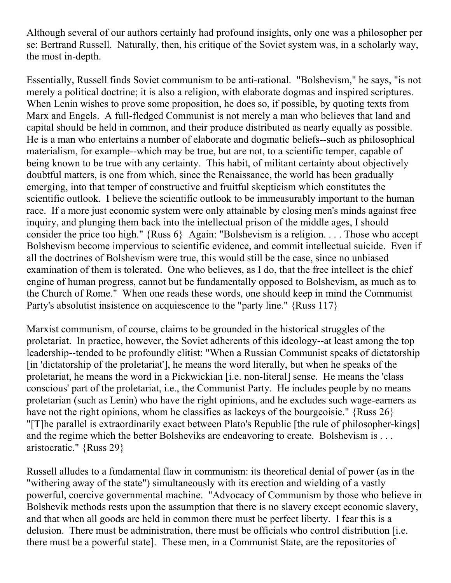Although several of our authors certainly had profound insights, only one was a philosopher per se: Bertrand Russell. Naturally, then, his critique of the Soviet system was, in a scholarly way, the most in-depth.

Essentially, Russell finds Soviet communism to be anti-rational. "Bolshevism," he says, "is not merely a political doctrine; it is also a religion, with elaborate dogmas and inspired scriptures. When Lenin wishes to prove some proposition, he does so, if possible, by quoting texts from Marx and Engels. A full-fledged Communist is not merely a man who believes that land and capital should be held in common, and their produce distributed as nearly equally as possible. He is a man who entertains a number of elaborate and dogmatic beliefs--such as philosophical materialism, for example--which may be true, but are not, to a scientific temper, capable of being known to be true with any certainty. This habit, of militant certainty about objectively doubtful matters, is one from which, since the Renaissance, the world has been gradually emerging, into that temper of constructive and fruitful skepticism which constitutes the scientific outlook. I believe the scientific outlook to be immeasurably important to the human race. If a more just economic system were only attainable by closing men's minds against free inquiry, and plunging them back into the intellectual prison of the middle ages, I should consider the price too high." {Russ 6} Again: "Bolshevism is a religion. . . . Those who accept Bolshevism become impervious to scientific evidence, and commit intellectual suicide. Even if all the doctrines of Bolshevism were true, this would still be the case, since no unbiased examination of them is tolerated. One who believes, as I do, that the free intellect is the chief engine of human progress, cannot but be fundamentally opposed to Bolshevism, as much as to the Church of Rome." When one reads these words, one should keep in mind the Communist Party's absolutist insistence on acquiescence to the "party line." {Russ 117}

Marxist communism, of course, claims to be grounded in the historical struggles of the proletariat. In practice, however, the Soviet adherents of this ideology--at least among the top leadership--tended to be profoundly elitist: "When a Russian Communist speaks of dictatorship [in 'dictatorship of the proletariat'], he means the word literally, but when he speaks of the proletariat, he means the word in a Pickwickian [i.e. non-literal] sense. He means the 'class conscious' part of the proletariat, i.e., the Communist Party. He includes people by no means proletarian (such as Lenin) who have the right opinions, and he excludes such wage-earners as have not the right opinions, whom he classifies as lackeys of the bourgeoisie." {Russ 26} "[T]he parallel is extraordinarily exact between Plato's Republic [the rule of philosopher-kings] and the regime which the better Bolsheviks are endeavoring to create. Bolshevism is . . . aristocratic." {Russ 29}

Russell alludes to a fundamental flaw in communism: its theoretical denial of power (as in the "withering away of the state") simultaneously with its erection and wielding of a vastly powerful, coercive governmental machine. "Advocacy of Communism by those who believe in Bolshevik methods rests upon the assumption that there is no slavery except economic slavery, and that when all goods are held in common there must be perfect liberty. I fear this is a delusion. There must be administration, there must be officials who control distribution [i.e. there must be a powerful state]. These men, in a Communist State, are the repositories of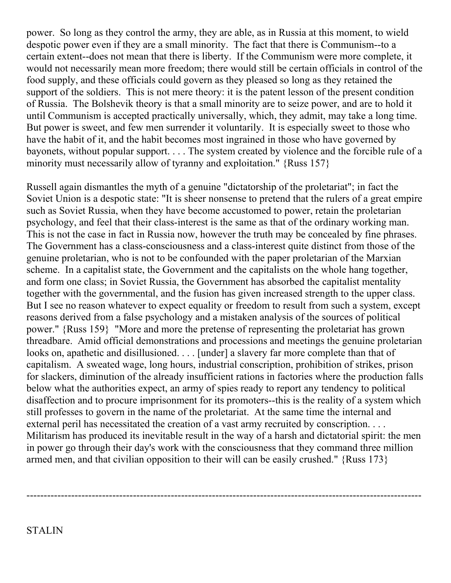power. So long as they control the army, they are able, as in Russia at this moment, to wield despotic power even if they are a small minority. The fact that there is Communism--to a certain extent--does not mean that there is liberty. If the Communism were more complete, it would not necessarily mean more freedom; there would still be certain officials in control of the food supply, and these officials could govern as they pleased so long as they retained the support of the soldiers. This is not mere theory: it is the patent lesson of the present condition of Russia. The Bolshevik theory is that a small minority are to seize power, and are to hold it until Communism is accepted practically universally, which, they admit, may take a long time. But power is sweet, and few men surrender it voluntarily. It is especially sweet to those who have the habit of it, and the habit becomes most ingrained in those who have governed by bayonets, without popular support. . . . The system created by violence and the forcible rule of a minority must necessarily allow of tyranny and exploitation." {Russ 157}

Russell again dismantles the myth of a genuine "dictatorship of the proletariat"; in fact the Soviet Union is a despotic state: "It is sheer nonsense to pretend that the rulers of a great empire such as Soviet Russia, when they have become accustomed to power, retain the proletarian psychology, and feel that their class-interest is the same as that of the ordinary working man. This is not the case in fact in Russia now, however the truth may be concealed by fine phrases. The Government has a class-consciousness and a class-interest quite distinct from those of the genuine proletarian, who is not to be confounded with the paper proletarian of the Marxian scheme. In a capitalist state, the Government and the capitalists on the whole hang together, and form one class; in Soviet Russia, the Government has absorbed the capitalist mentality together with the governmental, and the fusion has given increased strength to the upper class. But I see no reason whatever to expect equality or freedom to result from such a system, except reasons derived from a false psychology and a mistaken analysis of the sources of political power." {Russ 159} "More and more the pretense of representing the proletariat has grown threadbare. Amid official demonstrations and processions and meetings the genuine proletarian looks on, apathetic and disillusioned. . . . [under] a slavery far more complete than that of capitalism. A sweated wage, long hours, industrial conscription, prohibition of strikes, prison for slackers, diminution of the already insufficient rations in factories where the production falls below what the authorities expect, an army of spies ready to report any tendency to political disaffection and to procure imprisonment for its promoters--this is the reality of a system which still professes to govern in the name of the proletariat. At the same time the internal and external peril has necessitated the creation of a vast army recruited by conscription. . . . Militarism has produced its inevitable result in the way of a harsh and dictatorial spirit: the men in power go through their day's work with the consciousness that they command three million armed men, and that civilian opposition to their will can be easily crushed." {Russ 173}

-------------------------------------------------------------------------------------------------------------------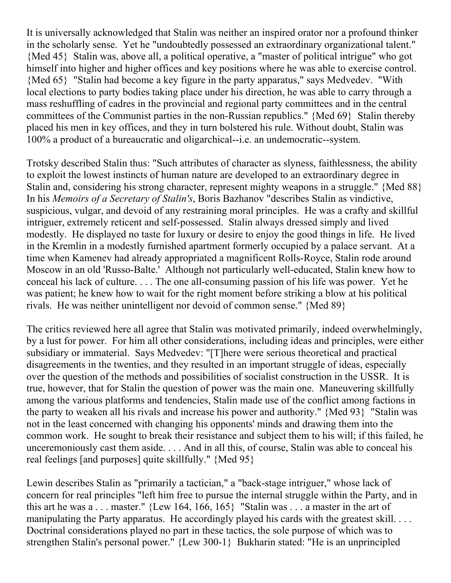It is universally acknowledged that Stalin was neither an inspired orator nor a profound thinker in the scholarly sense. Yet he "undoubtedly possessed an extraordinary organizational talent." {Med 45} Stalin was, above all, a political operative, a "master of political intrigue" who got himself into higher and higher offices and key positions where he was able to exercise control. {Med 65} "Stalin had become a key figure in the party apparatus," says Medvedev. "With local elections to party bodies taking place under his direction, he was able to carry through a mass reshuffling of cadres in the provincial and regional party committees and in the central committees of the Communist parties in the non-Russian republics." {Med 69} Stalin thereby placed his men in key offices, and they in turn bolstered his rule. Without doubt, Stalin was 100% a product of a bureaucratic and oligarchical--i.e. an undemocratic--system.

Trotsky described Stalin thus: "Such attributes of character as slyness, faithlessness, the ability to exploit the lowest instincts of human nature are developed to an extraordinary degree in Stalin and, considering his strong character, represent mighty weapons in a struggle." {Med 88} In his *Memoirs of a Secretary of Stalin's*, Boris Bazhanov "describes Stalin as vindictive, suspicious, vulgar, and devoid of any restraining moral principles. He was a crafty and skillful intriguer, extremely reticent and self-possessed. Stalin always dressed simply and lived modestly. He displayed no taste for luxury or desire to enjoy the good things in life. He lived in the Kremlin in a modestly furnished apartment formerly occupied by a palace servant. At a time when Kamenev had already appropriated a magnificent Rolls-Royce, Stalin rode around Moscow in an old 'Russo-Balte.' Although not particularly well-educated, Stalin knew how to conceal his lack of culture. . . . The one all-consuming passion of his life was power. Yet he was patient; he knew how to wait for the right moment before striking a blow at his political rivals. He was neither unintelligent nor devoid of common sense." {Med 89}

The critics reviewed here all agree that Stalin was motivated primarily, indeed overwhelmingly, by a lust for power. For him all other considerations, including ideas and principles, were either subsidiary or immaterial. Says Medvedev: "[T]here were serious theoretical and practical disagreements in the twenties, and they resulted in an important struggle of ideas, especially over the question of the methods and possibilities of socialist construction in the USSR. It is true, however, that for Stalin the question of power was the main one. Maneuvering skillfully among the various platforms and tendencies, Stalin made use of the conflict among factions in the party to weaken all his rivals and increase his power and authority." {Med 93} "Stalin was not in the least concerned with changing his opponents' minds and drawing them into the common work. He sought to break their resistance and subject them to his will; if this failed, he unceremoniously cast them aside. . . . And in all this, of course, Stalin was able to conceal his real feelings [and purposes] quite skillfully." {Med 95}

Lewin describes Stalin as "primarily a tactician," a "back-stage intriguer," whose lack of concern for real principles "left him free to pursue the internal struggle within the Party, and in this art he was a . . . master." {Lew 164, 166, 165} "Stalin was . . . a master in the art of manipulating the Party apparatus. He accordingly played his cards with the greatest skill. . . . Doctrinal considerations played no part in these tactics, the sole purpose of which was to strengthen Stalin's personal power." {Lew 300-1} Bukharin stated: "He is an unprincipled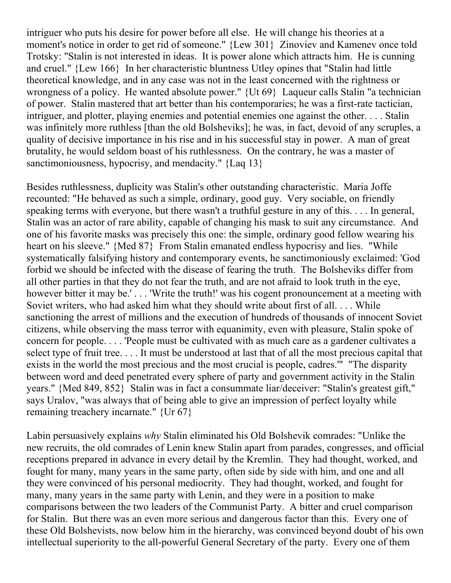intriguer who puts his desire for power before all else. He will change his theories at a moment's notice in order to get rid of someone." {Lew 301} Zinoviev and Kamenev once told Trotsky: "Stalin is not interested in ideas. It is power alone which attracts him. He is cunning and cruel." {Lew 166} In her characteristic bluntness Utley opines that "Stalin had little theoretical knowledge, and in any case was not in the least concerned with the rightness or wrongness of a policy. He wanted absolute power." {Ut 69} Laqueur calls Stalin "a technician of power. Stalin mastered that art better than his contemporaries; he was a first-rate tactician, intriguer, and plotter, playing enemies and potential enemies one against the other. . . . Stalin was infinitely more ruthless [than the old Bolsheviks]; he was, in fact, devoid of any scruples, a quality of decisive importance in his rise and in his successful stay in power. A man of great brutality, he would seldom boast of his ruthlessness. On the contrary, he was a master of sanctimoniousness, hypocrisy, and mendacity." {Laq 13}

Besides ruthlessness, duplicity was Stalin's other outstanding characteristic. Maria Joffe recounted: "He behaved as such a simple, ordinary, good guy. Very sociable, on friendly speaking terms with everyone, but there wasn't a truthful gesture in any of this. . . . In general, Stalin was an actor of rare ability, capable of changing his mask to suit any circumstance. And one of his favorite masks was precisely this one: the simple, ordinary good fellow wearing his heart on his sleeve." {Med 87} From Stalin emanated endless hypocrisy and lies. "While systematically falsifying history and contemporary events, he sanctimoniously exclaimed: 'God forbid we should be infected with the disease of fearing the truth. The Bolsheviks differ from all other parties in that they do not fear the truth, and are not afraid to look truth in the eye, however bitter it may be.'... 'Write the truth!' was his cogent pronouncement at a meeting with Soviet writers, who had asked him what they should write about first of all. . . . While sanctioning the arrest of millions and the execution of hundreds of thousands of innocent Soviet citizens, while observing the mass terror with equanimity, even with pleasure, Stalin spoke of concern for people. . . . 'People must be cultivated with as much care as a gardener cultivates a select type of fruit tree. . . . It must be understood at last that of all the most precious capital that exists in the world the most precious and the most crucial is people, cadres.'" "The disparity between word and deed penetrated every sphere of party and government activity in the Stalin years." {Med 849, 852} Stalin was in fact a consummate liar/deceiver: "Stalin's greatest gift," says Uralov, "was always that of being able to give an impression of perfect loyalty while remaining treachery incarnate." {Ur 67}

Labin persuasively explains *why* Stalin eliminated his Old Bolshevik comrades: "Unlike the new recruits, the old comrades of Lenin knew Stalin apart from parades, congresses, and official receptions prepared in advance in every detail by the Kremlin. They had thought, worked, and fought for many, many years in the same party, often side by side with him, and one and all they were convinced of his personal mediocrity. They had thought, worked, and fought for many, many years in the same party with Lenin, and they were in a position to make comparisons between the two leaders of the Communist Party. A bitter and cruel comparison for Stalin. But there was an even more serious and dangerous factor than this. Every one of these Old Bolshevists, now below him in the hierarchy, was convinced beyond doubt of his own intellectual superiority to the all-powerful General Secretary of the party. Every one of them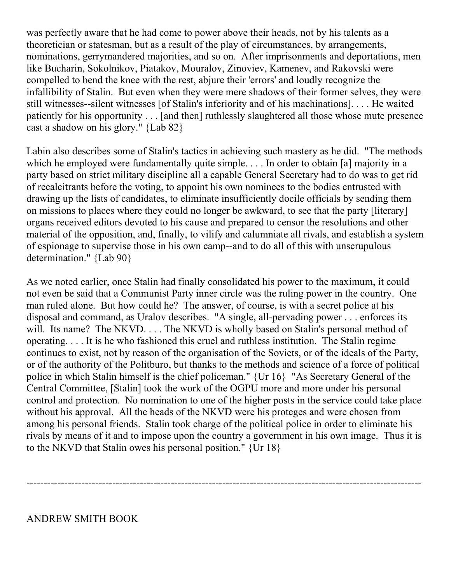was perfectly aware that he had come to power above their heads, not by his talents as a theoretician or statesman, but as a result of the play of circumstances, by arrangements, nominations, gerrymandered majorities, and so on. After imprisonments and deportations, men like Bucharin, Sokolnikov, Piatakov, Mouralov, Zinoviev, Kamenev, and Rakovski were compelled to bend the knee with the rest, abjure their 'errors' and loudly recognize the infallibility of Stalin. But even when they were mere shadows of their former selves, they were still witnesses--silent witnesses [of Stalin's inferiority and of his machinations]. . . . He waited patiently for his opportunity . . . [and then] ruthlessly slaughtered all those whose mute presence cast a shadow on his glory." {Lab 82}

Labin also describes some of Stalin's tactics in achieving such mastery as he did. "The methods which he employed were fundamentally quite simple. . . . In order to obtain [a] majority in a party based on strict military discipline all a capable General Secretary had to do was to get rid of recalcitrants before the voting, to appoint his own nominees to the bodies entrusted with drawing up the lists of candidates, to eliminate insufficiently docile officials by sending them on missions to places where they could no longer be awkward, to see that the party [literary] organs received editors devoted to his cause and prepared to censor the resolutions and other material of the opposition, and, finally, to vilify and calumniate all rivals, and establish a system of espionage to supervise those in his own camp--and to do all of this with unscrupulous determination." {Lab 90}

As we noted earlier, once Stalin had finally consolidated his power to the maximum, it could not even be said that a Communist Party inner circle was the ruling power in the country. One man ruled alone. But how could he? The answer, of course, is with a secret police at his disposal and command, as Uralov describes. "A single, all-pervading power . . . enforces its will. Its name? The NKVD. . . . The NKVD is wholly based on Stalin's personal method of operating. . . . It is he who fashioned this cruel and ruthless institution. The Stalin regime continues to exist, not by reason of the organisation of the Soviets, or of the ideals of the Party, or of the authority of the Politburo, but thanks to the methods and science of a force of political police in which Stalin himself is the chief policeman." {Ur 16} "As Secretary General of the Central Committee, [Stalin] took the work of the OGPU more and more under his personal control and protection. No nomination to one of the higher posts in the service could take place without his approval. All the heads of the NKVD were his proteges and were chosen from among his personal friends. Stalin took charge of the political police in order to eliminate his rivals by means of it and to impose upon the country a government in his own image. Thus it is to the NKVD that Stalin owes his personal position." {Ur 18}

-------------------------------------------------------------------------------------------------------------------

ANDREW SMITH BOOK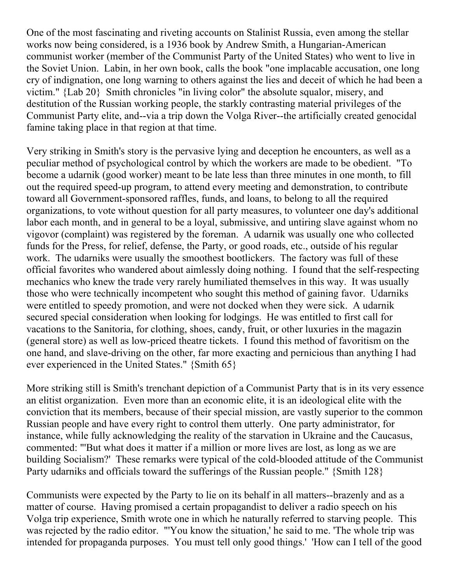One of the most fascinating and riveting accounts on Stalinist Russia, even among the stellar works now being considered, is a 1936 book by Andrew Smith, a Hungarian-American communist worker (member of the Communist Party of the United States) who went to live in the Soviet Union. Labin, in her own book, calls the book "one implacable accusation, one long cry of indignation, one long warning to others against the lies and deceit of which he had been a victim." {Lab 20} Smith chronicles "in living color" the absolute squalor, misery, and destitution of the Russian working people, the starkly contrasting material privileges of the Communist Party elite, and--via a trip down the Volga River--the artificially created genocidal famine taking place in that region at that time.

Very striking in Smith's story is the pervasive lying and deception he encounters, as well as a peculiar method of psychological control by which the workers are made to be obedient. "To become a udarnik (good worker) meant to be late less than three minutes in one month, to fill out the required speed-up program, to attend every meeting and demonstration, to contribute toward all Government-sponsored raffles, funds, and loans, to belong to all the required organizations, to vote without question for all party measures, to volunteer one day's additional labor each month, and in general to be a loyal, submissive, and untiring slave against whom no vigovor (complaint) was registered by the foreman. A udarnik was usually one who collected funds for the Press, for relief, defense, the Party, or good roads, etc., outside of his regular work. The udarniks were usually the smoothest bootlickers. The factory was full of these official favorites who wandered about aimlessly doing nothing. I found that the self-respecting mechanics who knew the trade very rarely humiliated themselves in this way. It was usually those who were technically incompetent who sought this method of gaining favor. Udarniks were entitled to speedy promotion, and were not docked when they were sick. A udarnik secured special consideration when looking for lodgings. He was entitled to first call for vacations to the Sanitoria, for clothing, shoes, candy, fruit, or other luxuries in the magazin (general store) as well as low-priced theatre tickets. I found this method of favoritism on the one hand, and slave-driving on the other, far more exacting and pernicious than anything I had ever experienced in the United States." {Smith 65}

More striking still is Smith's trenchant depiction of a Communist Party that is in its very essence an elitist organization. Even more than an economic elite, it is an ideological elite with the conviction that its members, because of their special mission, are vastly superior to the common Russian people and have every right to control them utterly. One party administrator, for instance, while fully acknowledging the reality of the starvation in Ukraine and the Caucasus, commented: "'But what does it matter if a million or more lives are lost, as long as we are building Socialism?' These remarks were typical of the cold-blooded attitude of the Communist Party udarniks and officials toward the sufferings of the Russian people." {Smith 128}

Communists were expected by the Party to lie on its behalf in all matters--brazenly and as a matter of course. Having promised a certain propagandist to deliver a radio speech on his Volga trip experience, Smith wrote one in which he naturally referred to starving people. This was rejected by the radio editor. "'You know the situation,' he said to me. 'The whole trip was intended for propaganda purposes. You must tell only good things.' 'How can I tell of the good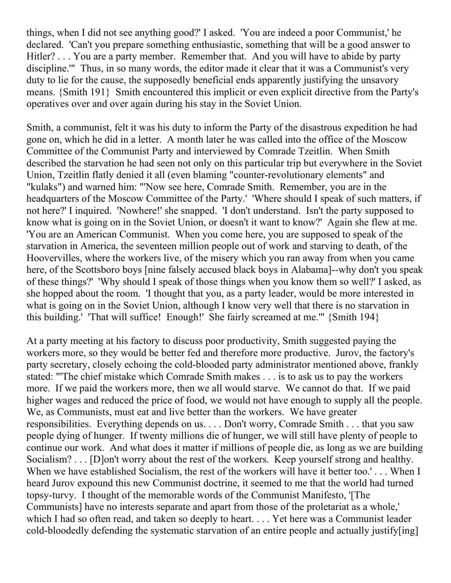things, when I did not see anything good?' I asked. 'You are indeed a poor Communist,' he declared. 'Can't you prepare something enthusiastic, something that will be a good answer to Hitler? . . . You are a party member. Remember that. And you will have to abide by party discipline.'" Thus, in so many words, the editor made it clear that it was a Communist's very duty to lie for the cause, the supposedly beneficial ends apparently justifying the unsavory means. {Smith 191} Smith encountered this implicit or even explicit directive from the Party's operatives over and over again during his stay in the Soviet Union.

Smith, a communist, felt it was his duty to inform the Party of the disastrous expedition he had gone on, which he did in a letter. A month later he was called into the office of the Moscow Committee of the Communist Party and interviewed by Comrade Tzeitlin. When Smith described the starvation he had seen not only on this particular trip but everywhere in the Soviet Union, Tzeitlin flatly denied it all (even blaming "counter-revolutionary elements" and "kulaks") and warned him: "'Now see here, Comrade Smith. Remember, you are in the headquarters of the Moscow Committee of the Party.' 'Where should I speak of such matters, if not here?' I inquired. 'Nowhere!' she snapped. 'I don't understand. Isn't the party supposed to know what is going on in the Soviet Union, or doesn't it want to know?' Again she flew at me. 'You are an American Communist. When you come here, you are supposed to speak of the starvation in America, the seventeen million people out of work and starving to death, of the Hoovervilles, where the workers live, of the misery which you ran away from when you came here, of the Scottsboro boys [nine falsely accused black boys in Alabama]--why don't you speak of these things?' 'Why should I speak of those things when you know them so well?' I asked, as she hopped about the room. 'I thought that you, as a party leader, would be more interested in what is going on in the Soviet Union, although I know very well that there is no starvation in this building.' 'That will suffice! Enough!' She fairly screamed at me.'" {Smith 194}

At a party meeting at his factory to discuss poor productivity, Smith suggested paying the workers more, so they would be better fed and therefore more productive. Jurov, the factory's party secretary, closely echoing the cold-blooded party administrator mentioned above, frankly stated: "'The chief mistake which Comrade Smith makes . . . is to ask us to pay the workers more. If we paid the workers more, then we all would starve. We cannot do that. If we paid higher wages and reduced the price of food, we would not have enough to supply all the people. We, as Communists, must eat and live better than the workers. We have greater responsibilities. Everything depends on us. . . . Don't worry, Comrade Smith . . . that you saw people dying of hunger. If twenty millions die of hunger, we will still have plenty of people to continue our work. And what does it matter if millions of people die, as long as we are building Socialism? . . . [D]on't worry about the rest of the workers. Keep yourself strong and healthy. When we have established Socialism, the rest of the workers will have it better too.'... When I heard Jurov expound this new Communist doctrine, it seemed to me that the world had turned topsy-turvy. I thought of the memorable words of the Communist Manifesto, '[The Communists] have no interests separate and apart from those of the proletariat as a whole,' which I had so often read, and taken so deeply to heart. . . . Yet here was a Communist leader cold-bloodedly defending the systematic starvation of an entire people and actually justify[ing]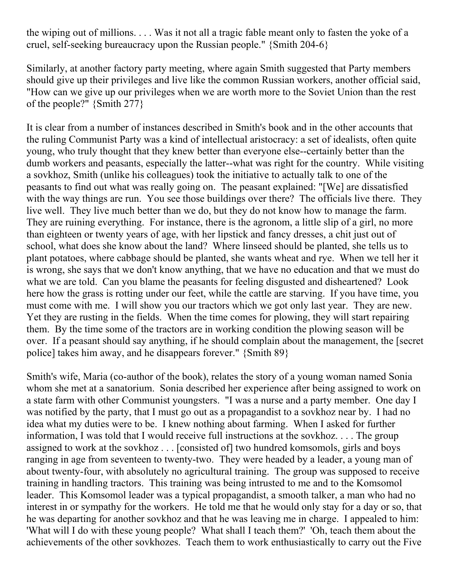the wiping out of millions. . . . Was it not all a tragic fable meant only to fasten the yoke of a cruel, self-seeking bureaucracy upon the Russian people." {Smith 204-6}

Similarly, at another factory party meeting, where again Smith suggested that Party members should give up their privileges and live like the common Russian workers, another official said, "How can we give up our privileges when we are worth more to the Soviet Union than the rest of the people?" {Smith 277}

It is clear from a number of instances described in Smith's book and in the other accounts that the ruling Communist Party was a kind of intellectual aristocracy: a set of idealists, often quite young, who truly thought that they knew better than everyone else--certainly better than the dumb workers and peasants, especially the latter--what was right for the country. While visiting a sovkhoz, Smith (unlike his colleagues) took the initiative to actually talk to one of the peasants to find out what was really going on. The peasant explained: "[We] are dissatisfied with the way things are run. You see those buildings over there? The officials live there. They live well. They live much better than we do, but they do not know how to manage the farm. They are ruining everything. For instance, there is the agronom, a little slip of a girl, no more than eighteen or twenty years of age, with her lipstick and fancy dresses, a chit just out of school, what does she know about the land? Where linseed should be planted, she tells us to plant potatoes, where cabbage should be planted, she wants wheat and rye. When we tell her it is wrong, she says that we don't know anything, that we have no education and that we must do what we are told. Can you blame the peasants for feeling disgusted and disheartened? Look here how the grass is rotting under our feet, while the cattle are starving. If you have time, you must come with me. I will show you our tractors which we got only last year. They are new. Yet they are rusting in the fields. When the time comes for plowing, they will start repairing them. By the time some of the tractors are in working condition the plowing season will be over. If a peasant should say anything, if he should complain about the management, the [secret police] takes him away, and he disappears forever." {Smith 89}

Smith's wife, Maria (co-author of the book), relates the story of a young woman named Sonia whom she met at a sanatorium. Sonia described her experience after being assigned to work on a state farm with other Communist youngsters. "I was a nurse and a party member. One day I was notified by the party, that I must go out as a propagandist to a sovkhoz near by. I had no idea what my duties were to be. I knew nothing about farming. When I asked for further information, I was told that I would receive full instructions at the sovkhoz. . . . The group assigned to work at the sovkhoz . . . [consisted of] two hundred komsomols, girls and boys ranging in age from seventeen to twenty-two. They were headed by a leader, a young man of about twenty-four, with absolutely no agricultural training. The group was supposed to receive training in handling tractors. This training was being intrusted to me and to the Komsomol leader. This Komsomol leader was a typical propagandist, a smooth talker, a man who had no interest in or sympathy for the workers. He told me that he would only stay for a day or so, that he was departing for another sovkhoz and that he was leaving me in charge. I appealed to him: 'What will I do with these young people? What shall I teach them?' 'Oh, teach them about the achievements of the other sovkhozes. Teach them to work enthusiastically to carry out the Five